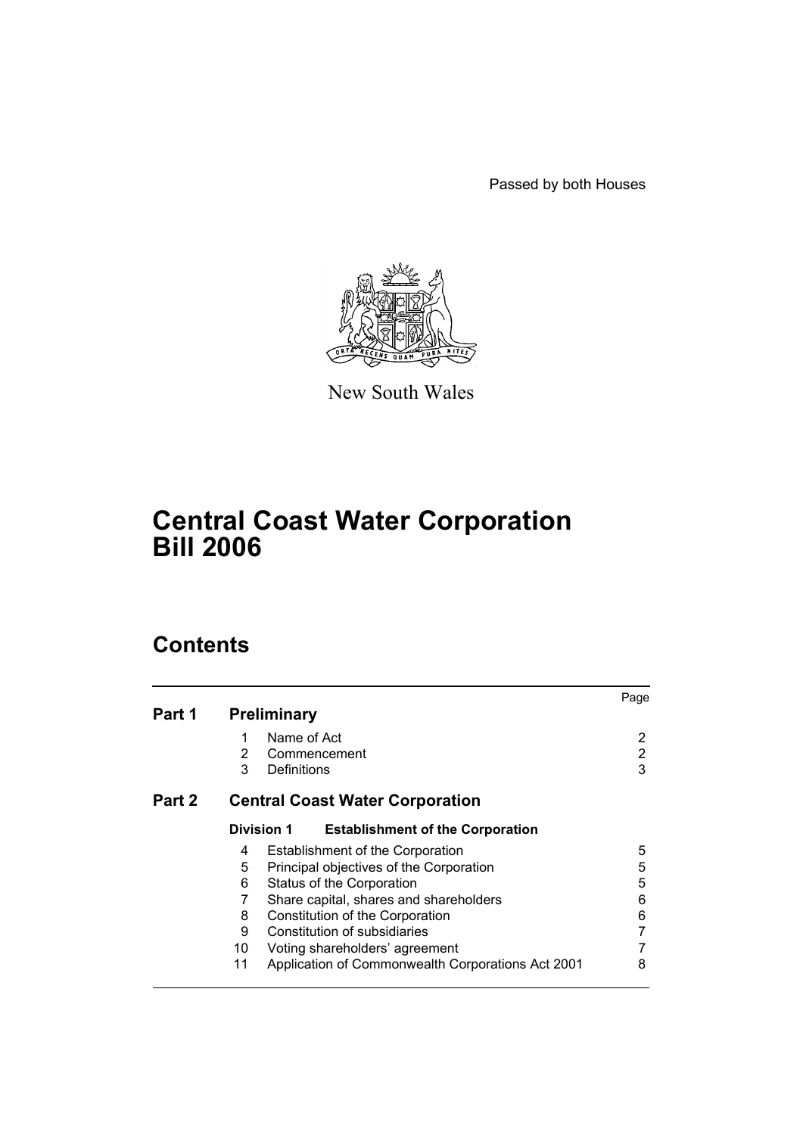Passed by both Houses



New South Wales

# **Central Coast Water Corporation Bill 2006**

# **Contents**

|        |                    |                                                   | Page |
|--------|--------------------|---------------------------------------------------|------|
| Part 1 | <b>Preliminary</b> |                                                   |      |
|        | Name of Act<br>1   |                                                   | 2    |
|        | 2                  | Commencement                                      | 2    |
|        | 3<br>Definitions   |                                                   | 3    |
| Part 2 |                    | <b>Central Coast Water Corporation</b>            |      |
|        | <b>Division 1</b>  | <b>Establishment of the Corporation</b>           |      |
|        | 4                  | Establishment of the Corporation                  | 5    |
|        | 5                  | Principal objectives of the Corporation           | 5    |
|        | 6                  | Status of the Corporation                         | 5    |
|        | 7                  | Share capital, shares and shareholders            | 6    |
|        | 8                  | Constitution of the Corporation                   | 6    |
|        | 9                  | Constitution of subsidiaries                      |      |
|        | 10                 | Voting shareholders' agreement                    |      |
|        | 11                 | Application of Commonwealth Corporations Act 2001 | 8    |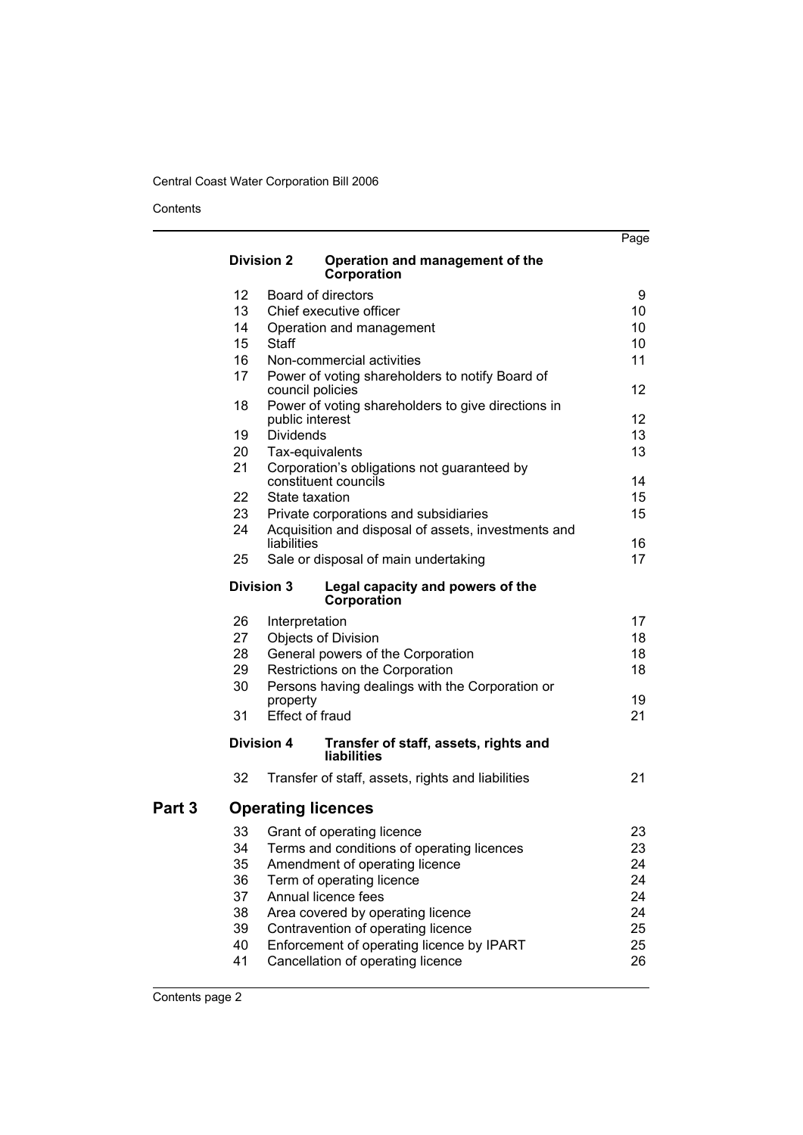Contents

|                   |                 |                   |                                                                       | Page     |
|-------------------|-----------------|-------------------|-----------------------------------------------------------------------|----------|
|                   |                 | <b>Division 2</b> | Operation and management of the<br>Corporation                        |          |
|                   | 12 <sup>2</sup> |                   | Board of directors                                                    | 9        |
|                   | 13              |                   | Chief executive officer                                               | 10       |
|                   | 14              |                   | Operation and management                                              | 10       |
|                   | 15              | Staff             |                                                                       | 10       |
|                   | 16              |                   | Non-commercial activities                                             | 11       |
|                   | 17              |                   | Power of voting shareholders to notify Board of<br>council policies   | 12       |
|                   | 18              |                   | Power of voting shareholders to give directions in<br>public interest | 12       |
|                   | 19              | <b>Dividends</b>  |                                                                       | 13       |
|                   | 20              |                   | Tax-equivalents                                                       | 13       |
|                   | 21              |                   | Corporation's obligations not guaranteed by<br>constituent councils   | 14       |
|                   | 22              |                   | State taxation                                                        | 15       |
|                   | 23<br>24        |                   | Private corporations and subsidiaries                                 | 15       |
|                   |                 | liabilities       | Acquisition and disposal of assets, investments and                   | 16       |
|                   | 25              |                   | Sale or disposal of main undertaking                                  | 17       |
|                   |                 | <b>Division 3</b> | Legal capacity and powers of the<br>Corporation                       |          |
|                   | 26              | Interpretation    |                                                                       | 17       |
|                   | 27              |                   | Objects of Division                                                   | 18       |
|                   | 28              |                   | General powers of the Corporation                                     | 18       |
|                   | 29              |                   | Restrictions on the Corporation                                       | 18       |
|                   | 30              |                   | Persons having dealings with the Corporation or                       |          |
|                   | 31              | property          | <b>Effect of fraud</b>                                                | 19<br>21 |
|                   |                 | <b>Division 4</b> | Transfer of staff, assets, rights and<br><b>liabilities</b>           |          |
|                   | 32              |                   | Transfer of staff, assets, rights and liabilities                     | 21       |
| Part <sub>3</sub> |                 |                   | <b>Operating licences</b>                                             |          |
|                   | 33              |                   | Grant of operating licence                                            | 23       |
|                   | 34              |                   | Terms and conditions of operating licences                            | 23       |
|                   | 35              |                   | Amendment of operating licence                                        | 24       |
|                   | 36              |                   | Term of operating licence                                             | 24       |
|                   | 37              |                   | Annual licence fees                                                   | 24       |
|                   | 38              |                   | Area covered by operating licence                                     | 24       |
|                   | 39              |                   | Contravention of operating licence                                    | 25       |
|                   | 40              |                   | Enforcement of operating licence by IPART                             | 25       |
|                   | 41              |                   | Cancellation of operating licence                                     | 26       |
|                   |                 |                   |                                                                       |          |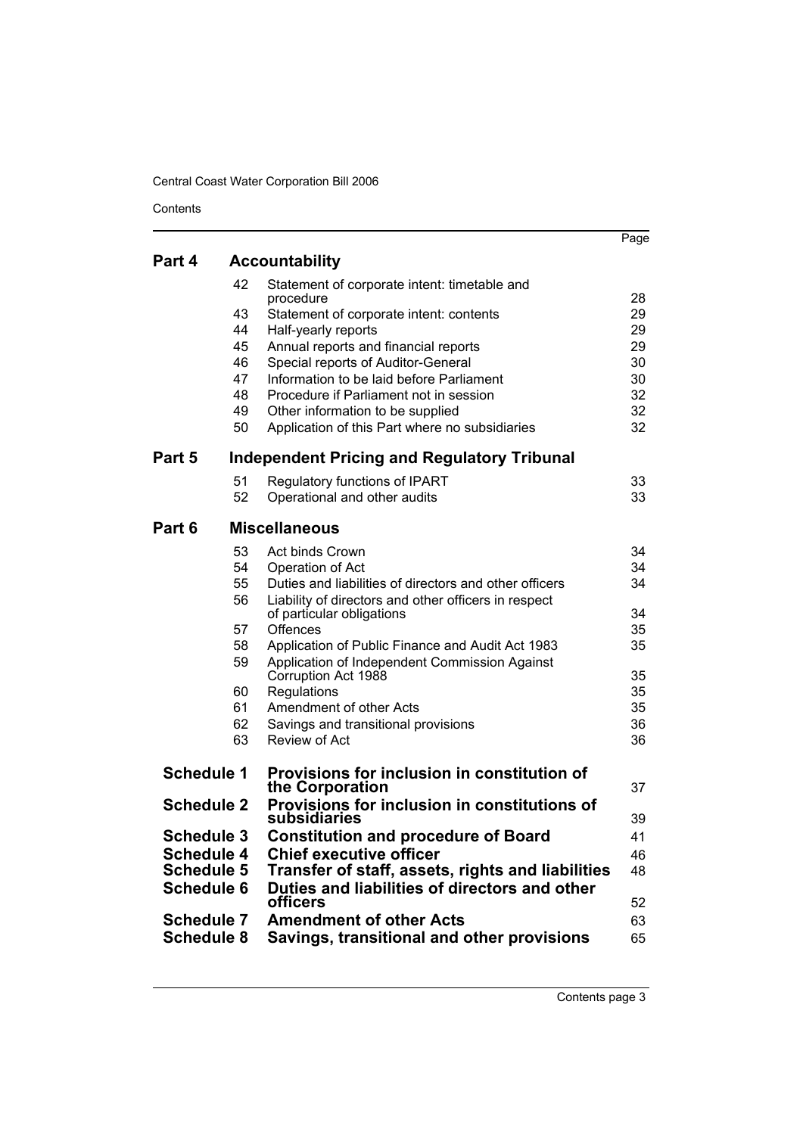**Contents** 

|        |    |                                                                      | Page |
|--------|----|----------------------------------------------------------------------|------|
| Part 4 |    | <b>Accountability</b>                                                |      |
|        | 42 | Statement of corporate intent: timetable and<br>procedure            | 28   |
|        | 43 | Statement of corporate intent: contents                              | 29   |
|        | 44 | Half-yearly reports                                                  | 29   |
|        | 45 | Annual reports and financial reports                                 | 29   |
|        | 46 | Special reports of Auditor-General                                   | 30   |
|        | 47 | Information to be laid before Parliament                             | 30   |
|        | 48 | Procedure if Parliament not in session                               | 32   |
|        | 49 | Other information to be supplied                                     | 32   |
|        | 50 | Application of this Part where no subsidiaries                       | 32   |
| Part 5 |    | <b>Independent Pricing and Regulatory Tribunal</b>                   |      |
|        | 51 | Regulatory functions of IPART                                        | 33   |
|        | 52 | Operational and other audits                                         | 33   |
| Part 6 |    | <b>Miscellaneous</b>                                                 |      |
|        | 53 | Act binds Crown                                                      | 34   |
|        | 54 | Operation of Act                                                     | 34   |
|        | 55 | Duties and liabilities of directors and other officers               | 34   |
|        | 56 | Liability of directors and other officers in respect                 |      |
|        |    | of particular obligations                                            | 34   |
|        | 57 | Offences                                                             | 35   |
|        | 58 | Application of Public Finance and Audit Act 1983                     | 35   |
|        | 59 | Application of Independent Commission Against<br>Corruption Act 1988 | 35   |
|        | 60 | Regulations                                                          | 35   |
|        | 61 | Amendment of other Acts                                              | 35   |
|        | 62 | Savings and transitional provisions                                  | 36   |
|        | 63 | Review of Act                                                        | 36   |

| <b>Schedule 1</b> | Provisions for inclusion in constitution of<br>the Corporation | 37 |
|-------------------|----------------------------------------------------------------|----|
| <b>Schedule 2</b> | Provisions for inclusion in constitutions of<br>subsidiaries   | 39 |
| <b>Schedule 3</b> | <b>Constitution and procedure of Board</b>                     | 41 |
| <b>Schedule 4</b> | <b>Chief executive officer</b>                                 | 46 |
| <b>Schedule 5</b> | Transfer of staff, assets, rights and liabilities              | 48 |
| <b>Schedule 6</b> | Duties and liabilities of directors and other                  |    |
|                   | officers                                                       | 52 |
| <b>Schedule 7</b> | <b>Amendment of other Acts</b>                                 | 63 |
| <b>Schedule 8</b> | Savings, transitional and other provisions                     | 65 |
|                   |                                                                |    |

Contents page 3

Page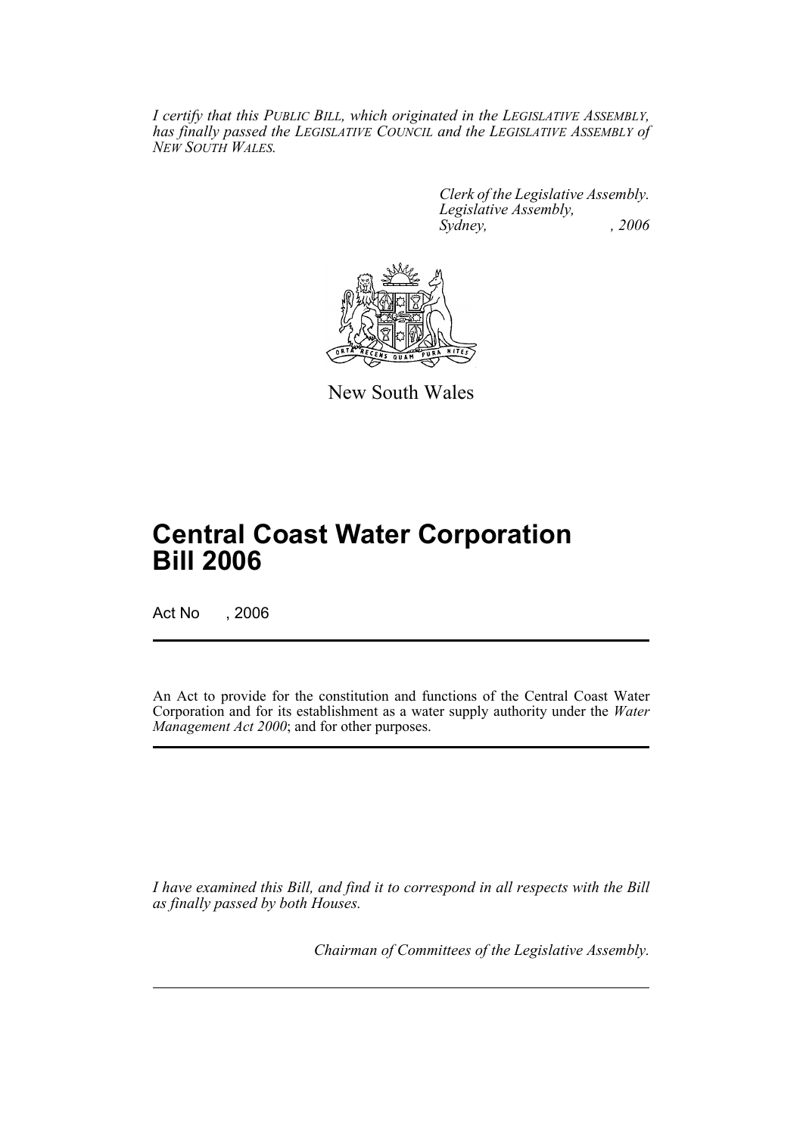*I certify that this PUBLIC BILL, which originated in the LEGISLATIVE ASSEMBLY, has finally passed the LEGISLATIVE COUNCIL and the LEGISLATIVE ASSEMBLY of NEW SOUTH WALES.*

> *Clerk of the Legislative Assembly. Legislative Assembly, Sydney, , 2006*



New South Wales

# **Central Coast Water Corporation Bill 2006**

Act No , 2006

An Act to provide for the constitution and functions of the Central Coast Water Corporation and for its establishment as a water supply authority under the *Water Management Act 2000*; and for other purposes.

*I have examined this Bill, and find it to correspond in all respects with the Bill as finally passed by both Houses.*

*Chairman of Committees of the Legislative Assembly.*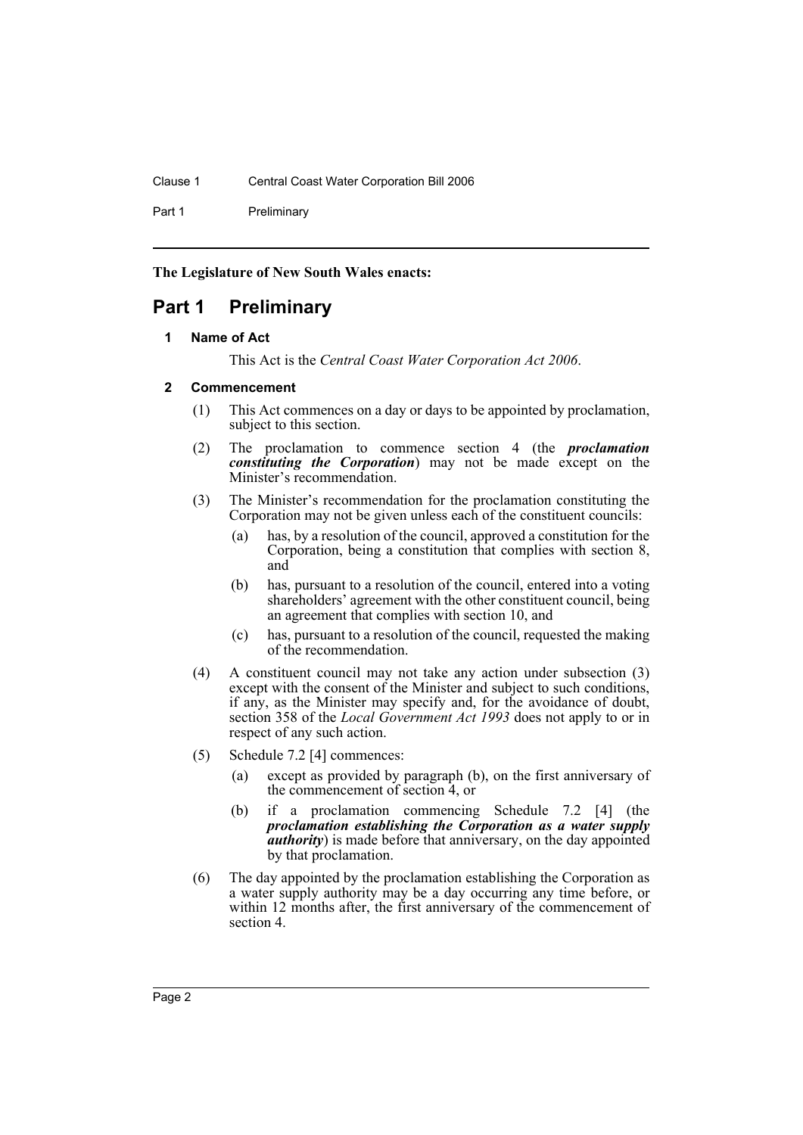### Clause 1 Central Coast Water Corporation Bill 2006

Part 1 Preliminary

**The Legislature of New South Wales enacts:**

## <span id="page-4-1"></span><span id="page-4-0"></span>**Part 1 Preliminary**

### **1 Name of Act**

This Act is the *Central Coast Water Corporation Act 2006*.

### <span id="page-4-2"></span>**2 Commencement**

- (1) This Act commences on a day or days to be appointed by proclamation, subject to this section.
- (2) The proclamation to commence section 4 (the *proclamation constituting the Corporation*) may not be made except on the Minister's recommendation.
- (3) The Minister's recommendation for the proclamation constituting the Corporation may not be given unless each of the constituent councils:
	- (a) has, by a resolution of the council, approved a constitution for the Corporation, being a constitution that complies with section 8, and
	- (b) has, pursuant to a resolution of the council, entered into a voting shareholders' agreement with the other constituent council, being an agreement that complies with section 10, and
	- (c) has, pursuant to a resolution of the council, requested the making of the recommendation.
- (4) A constituent council may not take any action under subsection (3) except with the consent of the Minister and subject to such conditions, if any, as the Minister may specify and, for the avoidance of doubt, section 358 of the *Local Government Act 1993* does not apply to or in respect of any such action.
- (5) Schedule 7.2 [4] commences:
	- (a) except as provided by paragraph (b), on the first anniversary of the commencement of section 4, or
	- (b) if a proclamation commencing Schedule 7.2 [4] (the *proclamation establishing the Corporation as a water supply authority*) is made before that anniversary, on the day appointed by that proclamation.
- (6) The day appointed by the proclamation establishing the Corporation as a water supply authority may be a day occurring any time before, or within 12 months after, the first anniversary of the commencement of section 4.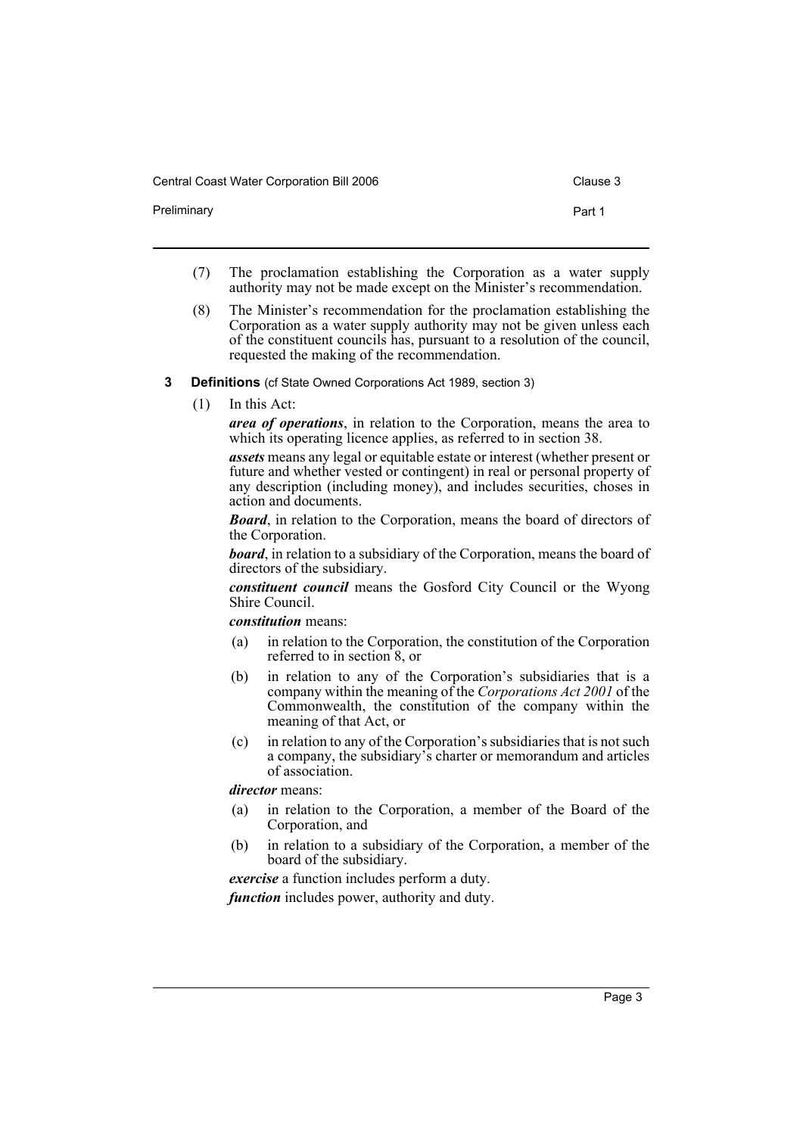Central Coast Water Corporation Bill 2006 Clause 3

Preliminary **Preliminary** Part 1

- 
- (7) The proclamation establishing the Corporation as a water supply authority may not be made except on the Minister's recommendation.
- (8) The Minister's recommendation for the proclamation establishing the Corporation as a water supply authority may not be given unless each of the constituent councils has, pursuant to a resolution of the council, requested the making of the recommendation.
- <span id="page-5-0"></span>**3 Definitions** (cf State Owned Corporations Act 1989, section 3)
	- (1) In this Act:

*area of operations*, in relation to the Corporation, means the area to which its operating licence applies, as referred to in section 38.

*assets* means any legal or equitable estate or interest (whether present or future and whether vested or contingent) in real or personal property of any description (including money), and includes securities, choses in action and documents.

*Board*, in relation to the Corporation, means the board of directors of the Corporation.

*board*, in relation to a subsidiary of the Corporation, means the board of directors of the subsidiary.

*constituent council* means the Gosford City Council or the Wyong Shire Council.

*constitution* means:

- (a) in relation to the Corporation, the constitution of the Corporation referred to in section 8, or
- (b) in relation to any of the Corporation's subsidiaries that is a company within the meaning of the *Corporations Act 2001* of the Commonwealth, the constitution of the company within the meaning of that Act, or
- (c) in relation to any of the Corporation's subsidiaries that is not such a company, the subsidiary's charter or memorandum and articles of association.

*director* means:

- (a) in relation to the Corporation, a member of the Board of the Corporation, and
- (b) in relation to a subsidiary of the Corporation, a member of the board of the subsidiary.

*exercise* a function includes perform a duty.

*function* includes power, authority and duty.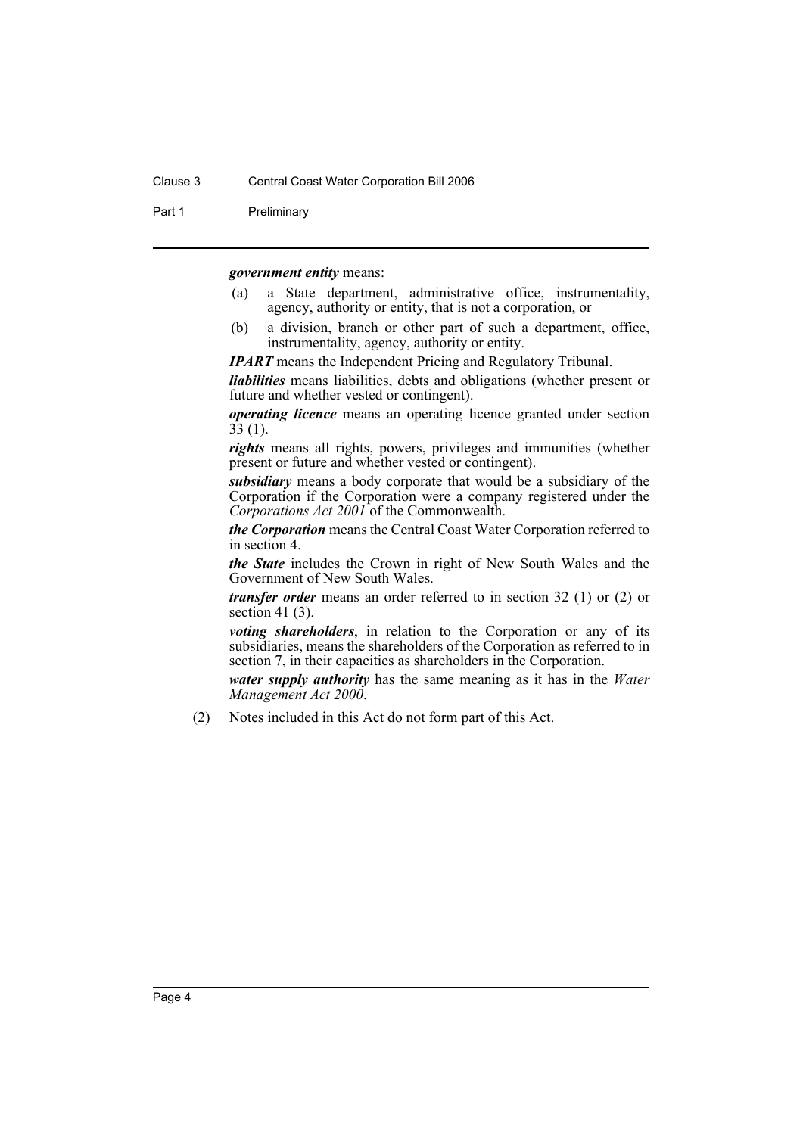#### Clause 3 Central Coast Water Corporation Bill 2006

Part 1 Preliminary

*government entity* means:

- (a) a State department, administrative office, instrumentality, agency, authority or entity, that is not a corporation, or
- (b) a division, branch or other part of such a department, office, instrumentality, agency, authority or entity.

*IPART* means the Independent Pricing and Regulatory Tribunal.

*liabilities* means liabilities, debts and obligations (whether present or future and whether vested or contingent).

*operating licence* means an operating licence granted under section  $33(1)$ .

*rights* means all rights, powers, privileges and immunities (whether present or future and whether vested or contingent).

*subsidiary* means a body corporate that would be a subsidiary of the Corporation if the Corporation were a company registered under the *Corporations Act 2001* of the Commonwealth.

*the Corporation* means the Central Coast Water Corporation referred to in section 4.

*the State* includes the Crown in right of New South Wales and the Government of New South Wales.

*transfer order* means an order referred to in section 32 (1) or (2) or section 41 $(3)$ .

*voting shareholders*, in relation to the Corporation or any of its subsidiaries, means the shareholders of the Corporation as referred to in section 7, in their capacities as shareholders in the Corporation.

*water supply authority* has the same meaning as it has in the *Water Management Act 2000*.

(2) Notes included in this Act do not form part of this Act.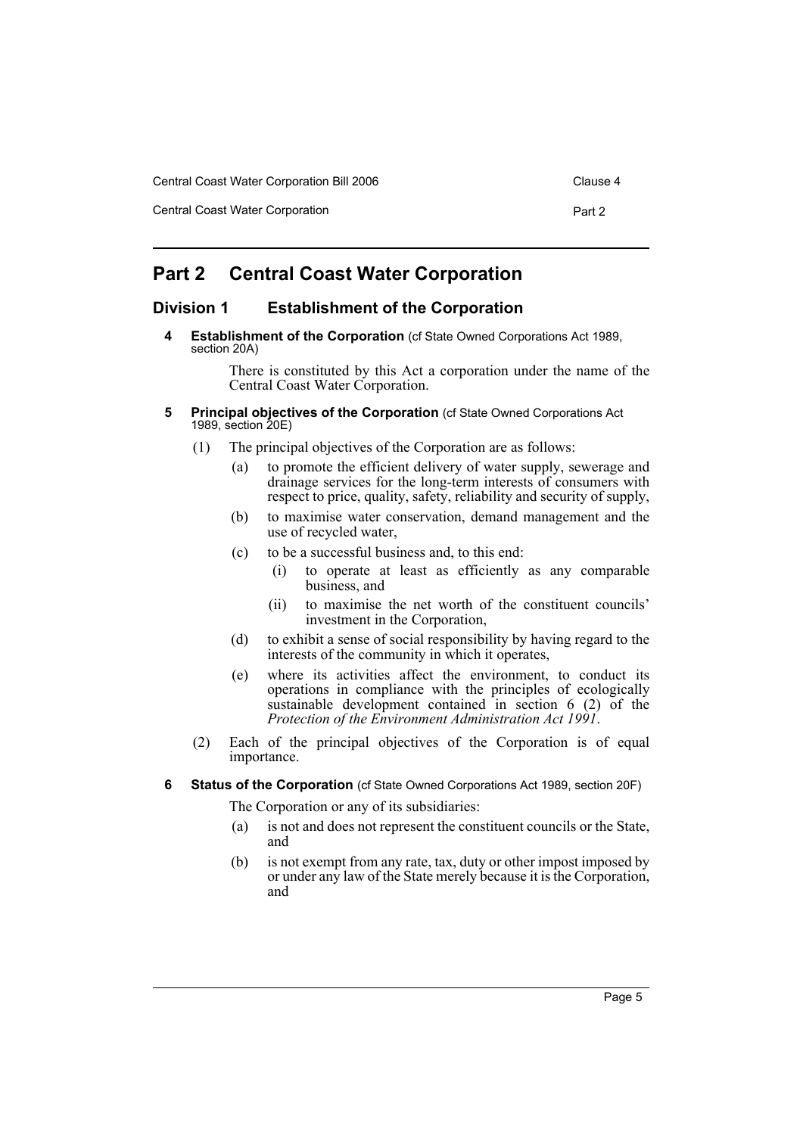Central Coast Water Corporation **Part 2** 

## <span id="page-7-0"></span>**Part 2 Central Coast Water Corporation**

### <span id="page-7-2"></span><span id="page-7-1"></span>**Division 1 Establishment of the Corporation**

**4 Establishment of the Corporation** (cf State Owned Corporations Act 1989, section 20A)

> There is constituted by this Act a corporation under the name of the Central Coast Water Corporation.

- <span id="page-7-3"></span>**5 Principal objectives of the Corporation** (cf State Owned Corporations Act 1989, section 20E)
	- (1) The principal objectives of the Corporation are as follows:
		- (a) to promote the efficient delivery of water supply, sewerage and drainage services for the long-term interests of consumers with respect to price, quality, safety, reliability and security of supply,
		- (b) to maximise water conservation, demand management and the use of recycled water,
		- (c) to be a successful business and, to this end:
			- (i) to operate at least as efficiently as any comparable business, and
			- (ii) to maximise the net worth of the constituent councils' investment in the Corporation,
		- (d) to exhibit a sense of social responsibility by having regard to the interests of the community in which it operates,
		- (e) where its activities affect the environment, to conduct its operations in compliance with the principles of ecologically sustainable development contained in section 6 (2) of the *Protection of the Environment Administration Act 1991*.
	- (2) Each of the principal objectives of the Corporation is of equal importance.
- <span id="page-7-4"></span>**6 Status of the Corporation** (cf State Owned Corporations Act 1989, section 20F)

The Corporation or any of its subsidiaries:

- (a) is not and does not represent the constituent councils or the State, and
- (b) is not exempt from any rate, tax, duty or other impost imposed by or under any law of the State merely because it is the Corporation, and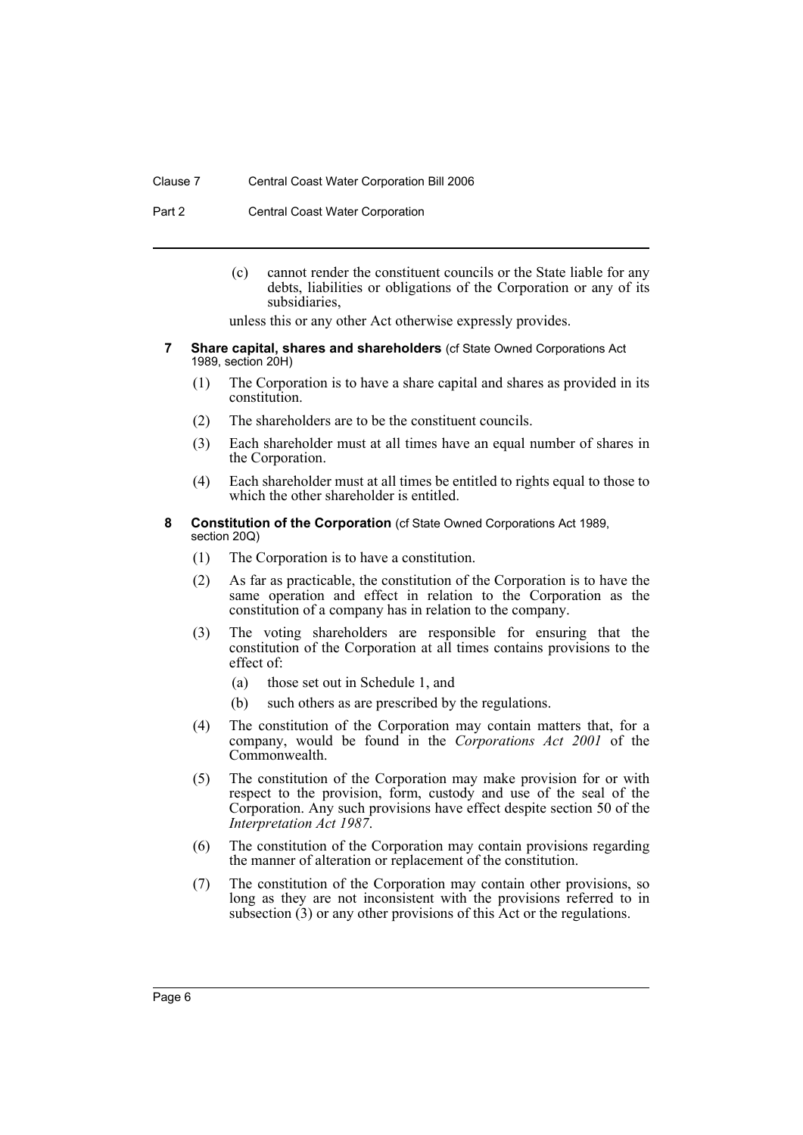#### Clause 7 Central Coast Water Corporation Bill 2006

Part 2 **Central Coast Water Corporation** 

(c) cannot render the constituent councils or the State liable for any debts, liabilities or obligations of the Corporation or any of its subsidiaries,

unless this or any other Act otherwise expressly provides.

- <span id="page-8-0"></span>**7 Share capital, shares and shareholders** (cf State Owned Corporations Act 1989, section 20H)
	- (1) The Corporation is to have a share capital and shares as provided in its constitution.
	- (2) The shareholders are to be the constituent councils.
	- (3) Each shareholder must at all times have an equal number of shares in the Corporation.
	- (4) Each shareholder must at all times be entitled to rights equal to those to which the other shareholder is entitled.

#### <span id="page-8-1"></span>**8 Constitution of the Corporation** (cf State Owned Corporations Act 1989, section 20Q)

- (1) The Corporation is to have a constitution.
- (2) As far as practicable, the constitution of the Corporation is to have the same operation and effect in relation to the Corporation as the constitution of a company has in relation to the company.
- (3) The voting shareholders are responsible for ensuring that the constitution of the Corporation at all times contains provisions to the effect of:
	- (a) those set out in Schedule 1, and
	- (b) such others as are prescribed by the regulations.
- (4) The constitution of the Corporation may contain matters that, for a company, would be found in the *Corporations Act 2001* of the Commonwealth.
- (5) The constitution of the Corporation may make provision for or with respect to the provision, form, custody and use of the seal of the Corporation. Any such provisions have effect despite section 50 of the *Interpretation Act 1987*.
- (6) The constitution of the Corporation may contain provisions regarding the manner of alteration or replacement of the constitution.
- (7) The constitution of the Corporation may contain other provisions, so long as they are not inconsistent with the provisions referred to in subsection  $(3)$  or any other provisions of this Act or the regulations.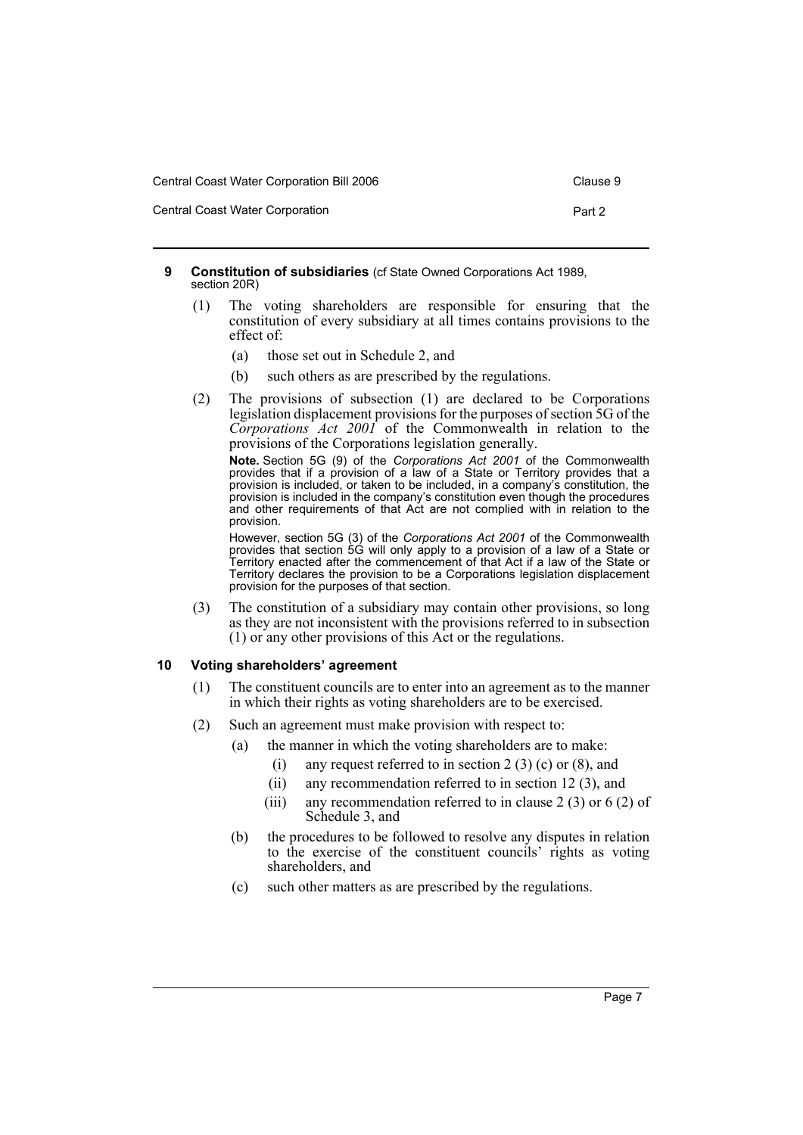| Central Coast Water Corporation Bill 2006 | Clause 9 |
|-------------------------------------------|----------|
| Central Coast Water Corporation           | Part 2   |

#### <span id="page-9-0"></span>**9 Constitution of subsidiaries** (cf State Owned Corporations Act 1989, section 20R)

- (1) The voting shareholders are responsible for ensuring that the constitution of every subsidiary at all times contains provisions to the effect of:
	- (a) those set out in Schedule 2, and
	- (b) such others as are prescribed by the regulations.
- (2) The provisions of subsection (1) are declared to be Corporations legislation displacement provisions for the purposes of section 5G of the *Corporations Act 2001* of the Commonwealth in relation to the provisions of the Corporations legislation generally.

**Note.** Section 5G (9) of the *Corporations Act 2001* of the Commonwealth provides that if a provision of a law of a State or Territory provides that a provision is included, or taken to be included, in a company's constitution, the provision is included in the company's constitution even though the procedures and other requirements of that Act are not complied with in relation to the provision.

However, section 5G (3) of the *Corporations Act 2001* of the Commonwealth provides that section 5G will only apply to a provision of a law of a State or Territory enacted after the commencement of that Act if a law of the State or Territory declares the provision to be a Corporations legislation displacement provision for the purposes of that section.

(3) The constitution of a subsidiary may contain other provisions, so long as they are not inconsistent with the provisions referred to in subsection (1) or any other provisions of this Act or the regulations.

## <span id="page-9-1"></span>**10 Voting shareholders' agreement**

- (1) The constituent councils are to enter into an agreement as to the manner in which their rights as voting shareholders are to be exercised.
- (2) Such an agreement must make provision with respect to:
	- (a) the manner in which the voting shareholders are to make:
		- (i) any request referred to in section 2 (3) (c) or  $(8)$ , and
		- (ii) any recommendation referred to in section 12 (3), and
		- (iii) any recommendation referred to in clause  $2(3)$  or  $6(2)$  of Schedule 3, and
	- (b) the procedures to be followed to resolve any disputes in relation to the exercise of the constituent councils' rights as voting shareholders, and
	- (c) such other matters as are prescribed by the regulations.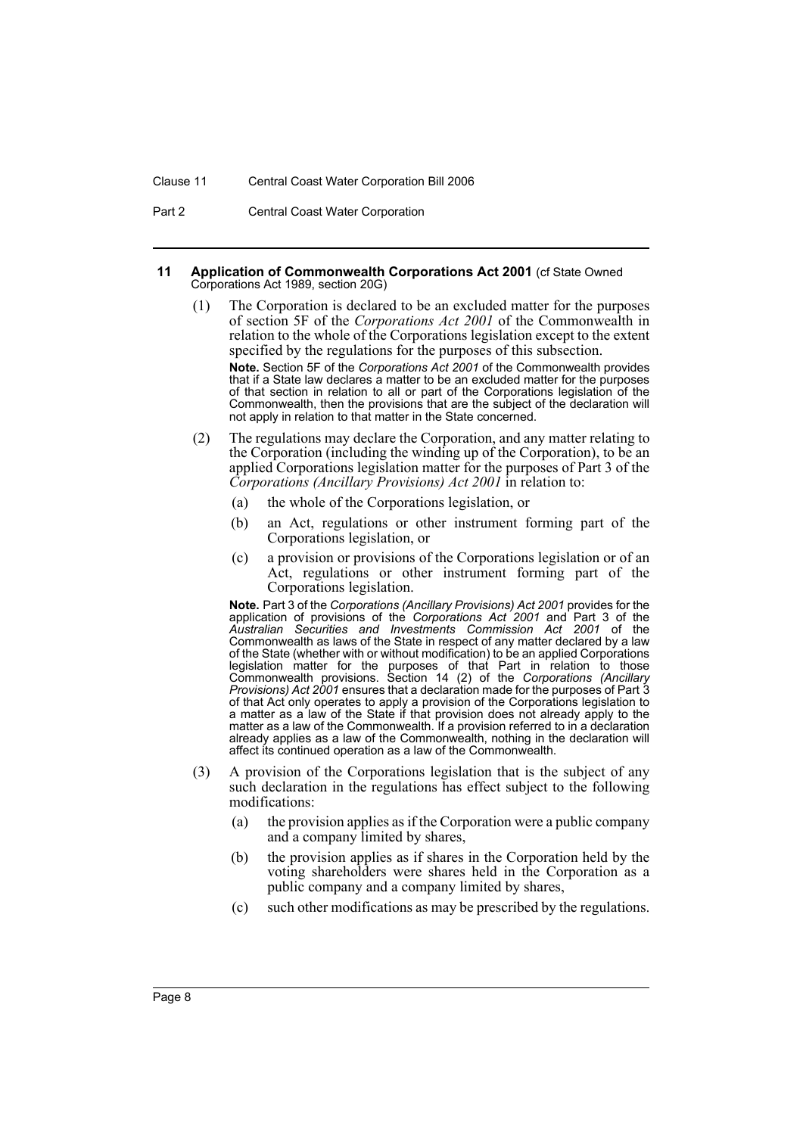#### Clause 11 Central Coast Water Corporation Bill 2006

Part 2 **Central Coast Water Corporation** 

#### <span id="page-10-0"></span>**11 Application of Commonwealth Corporations Act 2001** (cf State Owned Corporations Act 1989, section 20G)

(1) The Corporation is declared to be an excluded matter for the purposes of section 5F of the *Corporations Act 2001* of the Commonwealth in relation to the whole of the Corporations legislation except to the extent specified by the regulations for the purposes of this subsection. **Note.** Section 5F of the *Corporations Act 2001* of the Commonwealth provides

that if a State law declares a matter to be an excluded matter for the purposes of that section in relation to all or part of the Corporations legislation of the Commonwealth, then the provisions that are the subject of the declaration will not apply in relation to that matter in the State concerned.

- (2) The regulations may declare the Corporation, and any matter relating to the Corporation (including the winding up of the Corporation), to be an applied Corporations legislation matter for the purposes of Part 3 of the *Corporations (Ancillary Provisions) Act 2001* in relation to:
	- (a) the whole of the Corporations legislation, or
	- (b) an Act, regulations or other instrument forming part of the Corporations legislation, or
	- (c) a provision or provisions of the Corporations legislation or of an Act, regulations or other instrument forming part of the Corporations legislation.

**Note.** Part 3 of the *Corporations (Ancillary Provisions) Act 2001* provides for the application of provisions of the *Corporations Act 2001* and Part 3 of the *Australian Securities and Investments Commission Act 2001* of the Commonwealth as laws of the State in respect of any matter declared by a law of the State (whether with or without modification) to be an applied Corporations legislation matter for the purposes of that Part in relation to those Commonwealth provisions. Section 14 (2) of the *Corporations (Ancillary Provisions) Act 2001* ensures that a declaration made for the purposes of Part 3 of that Act only operates to apply a provision of the Corporations legislation to a matter as a law of the State if that provision does not already apply to the matter as a law of the Commonwealth. If a provision referred to in a declaration already applies as a law of the Commonwealth, nothing in the declaration will affect its continued operation as a law of the Commonwealth.

- (3) A provision of the Corporations legislation that is the subject of any such declaration in the regulations has effect subject to the following modifications:
	- (a) the provision applies as if the Corporation were a public company and a company limited by shares,
	- (b) the provision applies as if shares in the Corporation held by the voting shareholders were shares held in the Corporation as a public company and a company limited by shares,
	- (c) such other modifications as may be prescribed by the regulations.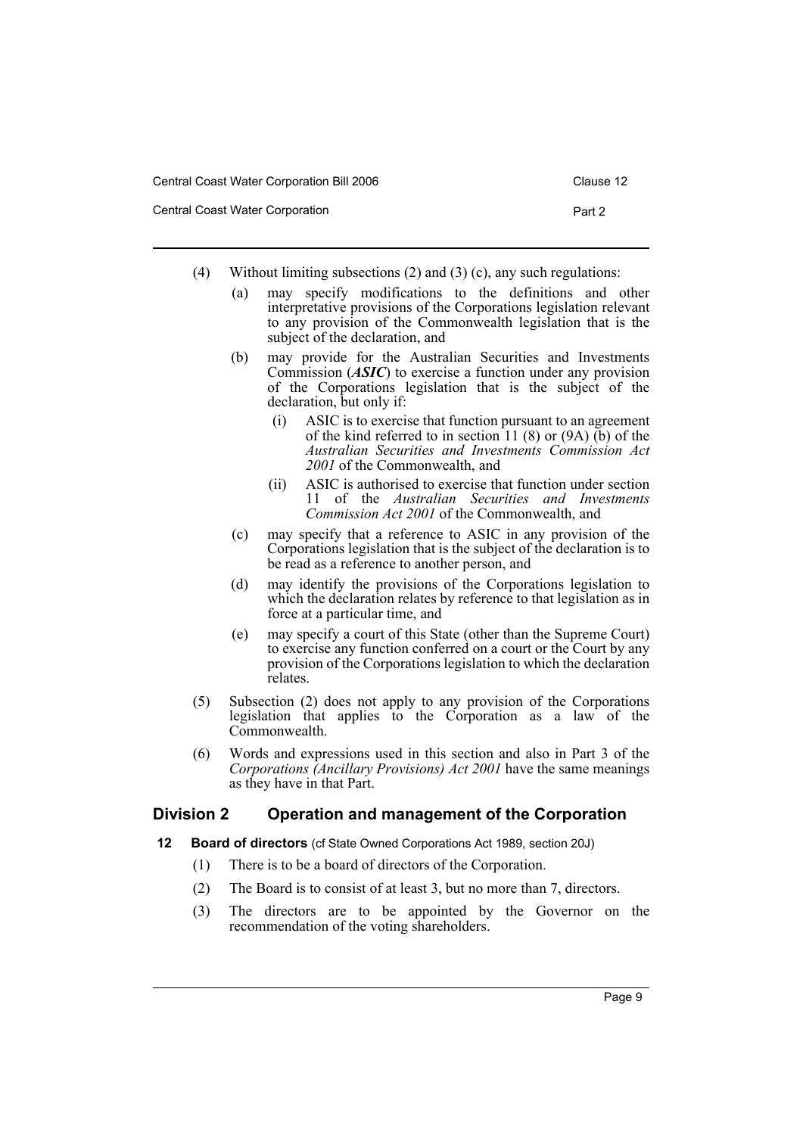- Central Coast Water Corporation **Part 2 Part 2** 
	- (4) Without limiting subsections (2) and (3) (c), any such regulations:
		- (a) may specify modifications to the definitions and other interpretative provisions of the Corporations legislation relevant to any provision of the Commonwealth legislation that is the subject of the declaration, and
		- (b) may provide for the Australian Securities and Investments Commission (*ASIC*) to exercise a function under any provision of the Corporations legislation that is the subject of the declaration, but only if:
			- (i) ASIC is to exercise that function pursuant to an agreement of the kind referred to in section 11 (8) or  $(9A)$  (b) of the *Australian Securities and Investments Commission Act 2001* of the Commonwealth, and
			- (ii) ASIC is authorised to exercise that function under section 11 of the *Australian Securities and Investments Commission Act 2001* of the Commonwealth, and
		- (c) may specify that a reference to ASIC in any provision of the Corporations legislation that is the subject of the declaration is to be read as a reference to another person, and
		- (d) may identify the provisions of the Corporations legislation to which the declaration relates by reference to that legislation as in force at a particular time, and
		- (e) may specify a court of this State (other than the Supreme Court) to exercise any function conferred on a court or the Court by any provision of the Corporations legislation to which the declaration relates.
	- (5) Subsection (2) does not apply to any provision of the Corporations legislation that applies to the Corporation as a law of the Commonwealth.
	- (6) Words and expressions used in this section and also in Part 3 of the *Corporations (Ancillary Provisions) Act 2001* have the same meanings as they have in that Part.

## <span id="page-11-0"></span>**Division 2 Operation and management of the Corporation**

- <span id="page-11-1"></span>**12 Board of directors** (cf State Owned Corporations Act 1989, section 20J)
	- (1) There is to be a board of directors of the Corporation.
	- (2) The Board is to consist of at least 3, but no more than 7, directors.
	- (3) The directors are to be appointed by the Governor on the recommendation of the voting shareholders.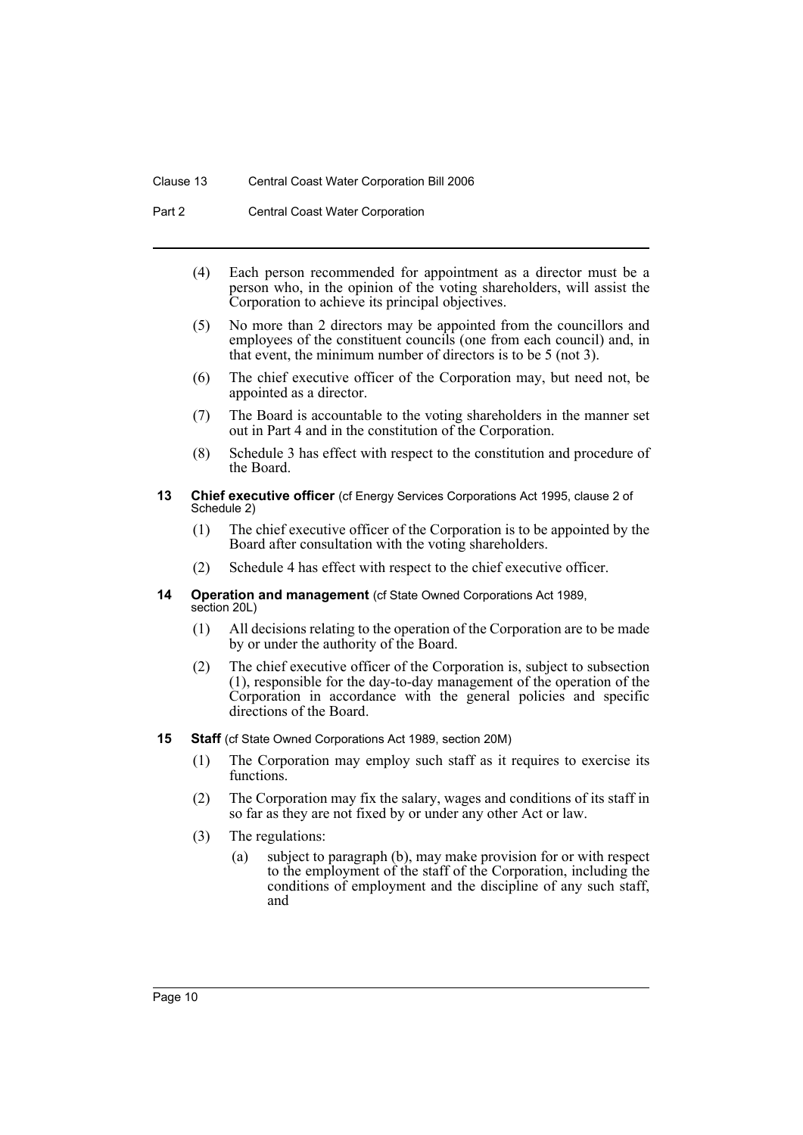#### Clause 13 Central Coast Water Corporation Bill 2006

Part 2 **Central Coast Water Corporation** 

- (4) Each person recommended for appointment as a director must be a person who, in the opinion of the voting shareholders, will assist the Corporation to achieve its principal objectives.
- (5) No more than 2 directors may be appointed from the councillors and employees of the constituent councils (one from each council) and, in that event, the minimum number of directors is to be 5 (not 3).
- (6) The chief executive officer of the Corporation may, but need not, be appointed as a director.
- (7) The Board is accountable to the voting shareholders in the manner set out in Part 4 and in the constitution of the Corporation.
- (8) Schedule 3 has effect with respect to the constitution and procedure of the Board.
- <span id="page-12-0"></span>**13 Chief executive officer** (cf Energy Services Corporations Act 1995, clause 2 of Schedule 2)
	- (1) The chief executive officer of the Corporation is to be appointed by the Board after consultation with the voting shareholders.
	- (2) Schedule 4 has effect with respect to the chief executive officer.
- <span id="page-12-1"></span>**14 Operation and management** (cf State Owned Corporations Act 1989, section 20L)
	- (1) All decisions relating to the operation of the Corporation are to be made by or under the authority of the Board.
	- (2) The chief executive officer of the Corporation is, subject to subsection (1), responsible for the day-to-day management of the operation of the Corporation in accordance with the general policies and specific directions of the Board.
- <span id="page-12-2"></span>**15 Staff** (cf State Owned Corporations Act 1989, section 20M)
	- (1) The Corporation may employ such staff as it requires to exercise its functions.
	- (2) The Corporation may fix the salary, wages and conditions of its staff in so far as they are not fixed by or under any other Act or law.
	- (3) The regulations:
		- (a) subject to paragraph (b), may make provision for or with respect to the employment of the staff of the Corporation, including the conditions of employment and the discipline of any such staff, and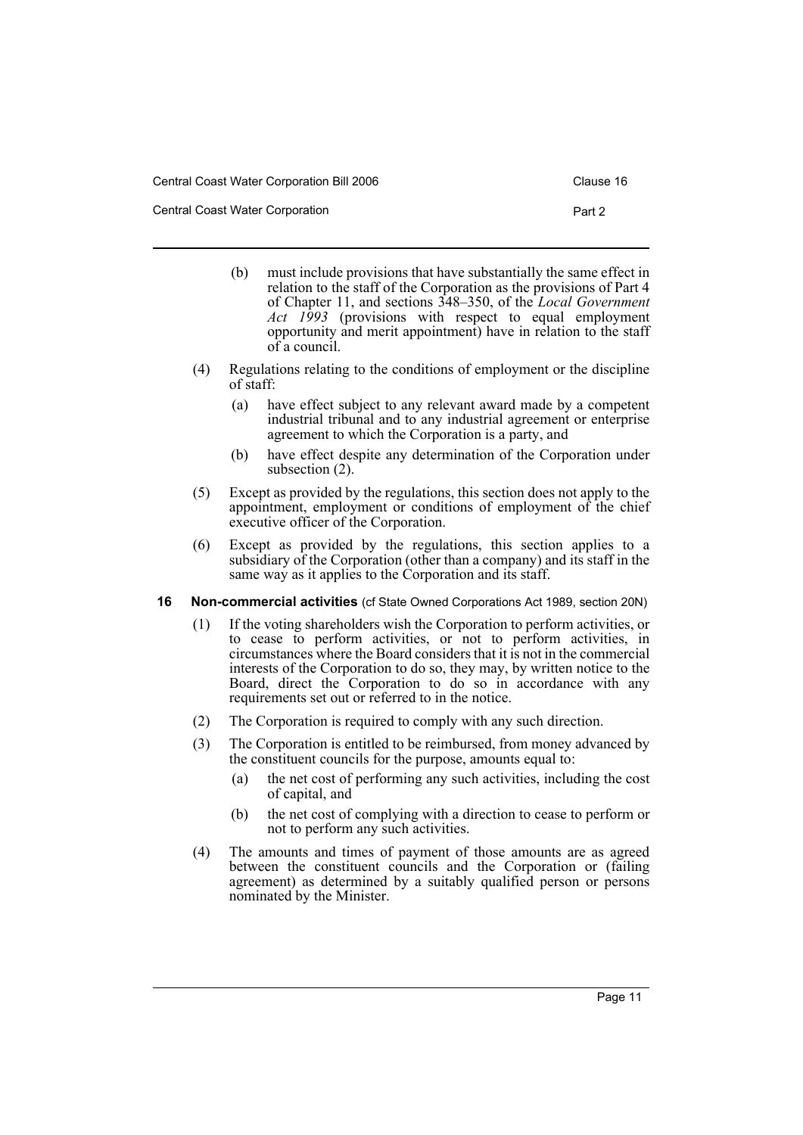Central Coast Water Corporation **Part 2 Part 2** 

- (b) must include provisions that have substantially the same effect in relation to the staff of the Corporation as the provisions of Part 4 of Chapter 11, and sections 348–350, of the *Local Government Act 1993* (provisions with respect to equal employment opportunity and merit appointment) have in relation to the staff of a council.
- (4) Regulations relating to the conditions of employment or the discipline of staff:
	- (a) have effect subject to any relevant award made by a competent industrial tribunal and to any industrial agreement or enterprise agreement to which the Corporation is a party, and
	- (b) have effect despite any determination of the Corporation under subsection (2).
- (5) Except as provided by the regulations, this section does not apply to the appointment, employment or conditions of employment of the chief executive officer of the Corporation.
- (6) Except as provided by the regulations, this section applies to a subsidiary of the Corporation (other than a company) and its staff in the same way as it applies to the Corporation and its staff.
- <span id="page-13-0"></span>**16 Non-commercial activities** (cf State Owned Corporations Act 1989, section 20N)
	- (1) If the voting shareholders wish the Corporation to perform activities, or to cease to perform activities, or not to perform activities, in circumstances where the Board considers that it is not in the commercial interests of the Corporation to do so, they may, by written notice to the Board, direct the Corporation to do so in accordance with any requirements set out or referred to in the notice.
	- (2) The Corporation is required to comply with any such direction.
	- (3) The Corporation is entitled to be reimbursed, from money advanced by the constituent councils for the purpose, amounts equal to:
		- (a) the net cost of performing any such activities, including the cost of capital, and
		- (b) the net cost of complying with a direction to cease to perform or not to perform any such activities.
	- (4) The amounts and times of payment of those amounts are as agreed between the constituent councils and the Corporation or (failing agreement) as determined by a suitably qualified person or persons nominated by the Minister.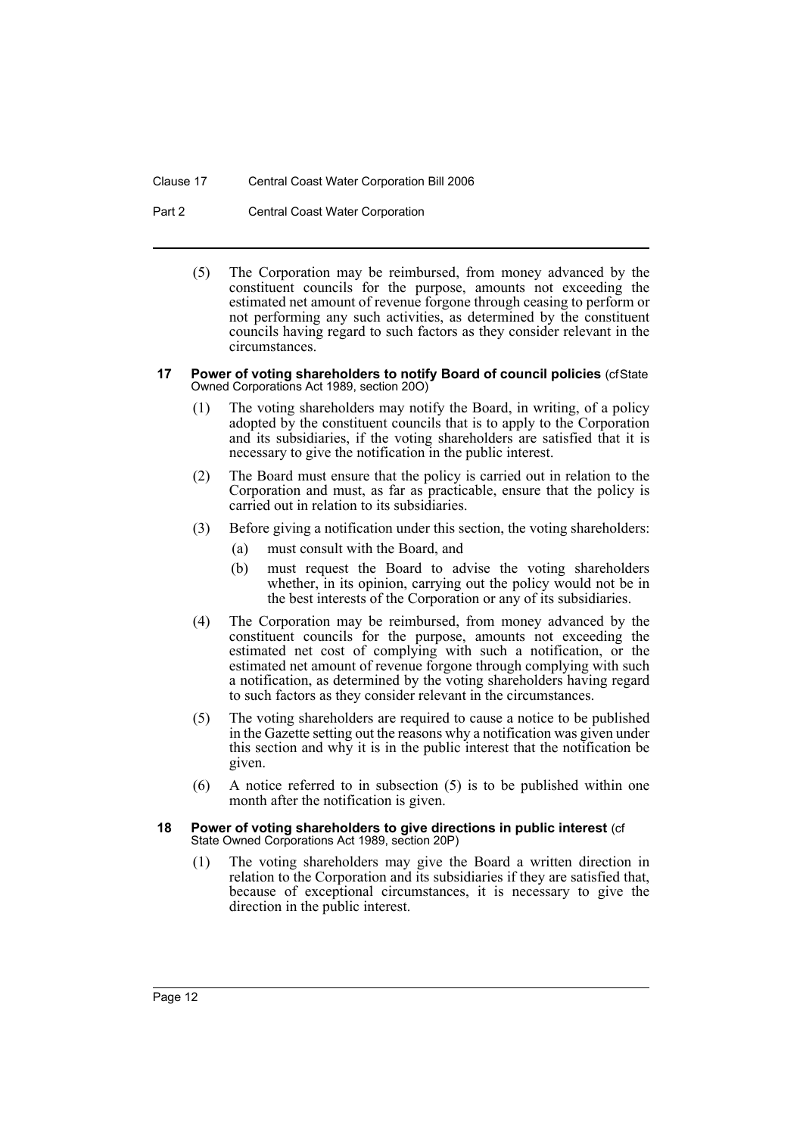#### Clause 17 Central Coast Water Corporation Bill 2006

Part 2 **Central Coast Water Corporation** 

(5) The Corporation may be reimbursed, from money advanced by the constituent councils for the purpose, amounts not exceeding the estimated net amount of revenue forgone through ceasing to perform or not performing any such activities, as determined by the constituent councils having regard to such factors as they consider relevant in the circumstances.

#### <span id="page-14-0"></span>**17 Power of voting shareholders to notify Board of council policies (cf State)** Owned Corporations Act 1989, section 20O)

- (1) The voting shareholders may notify the Board, in writing, of a policy adopted by the constituent councils that is to apply to the Corporation and its subsidiaries, if the voting shareholders are satisfied that it is necessary to give the notification in the public interest.
- (2) The Board must ensure that the policy is carried out in relation to the Corporation and must, as far as practicable, ensure that the policy is carried out in relation to its subsidiaries.
- (3) Before giving a notification under this section, the voting shareholders:
	- (a) must consult with the Board, and
	- (b) must request the Board to advise the voting shareholders whether, in its opinion, carrying out the policy would not be in the best interests of the Corporation or any of its subsidiaries.
- (4) The Corporation may be reimbursed, from money advanced by the constituent councils for the purpose, amounts not exceeding the estimated net cost of complying with such a notification, or the estimated net amount of revenue forgone through complying with such a notification, as determined by the voting shareholders having regard to such factors as they consider relevant in the circumstances.
- (5) The voting shareholders are required to cause a notice to be published in the Gazette setting out the reasons why a notification was given under this section and why it is in the public interest that the notification be given.
- (6) A notice referred to in subsection (5) is to be published within one month after the notification is given.
- <span id="page-14-1"></span>**18 Power of voting shareholders to give directions in public interest** (cf State Owned Corporations Act 1989, section 20P)
	- (1) The voting shareholders may give the Board a written direction in relation to the Corporation and its subsidiaries if they are satisfied that, because of exceptional circumstances, it is necessary to give the direction in the public interest.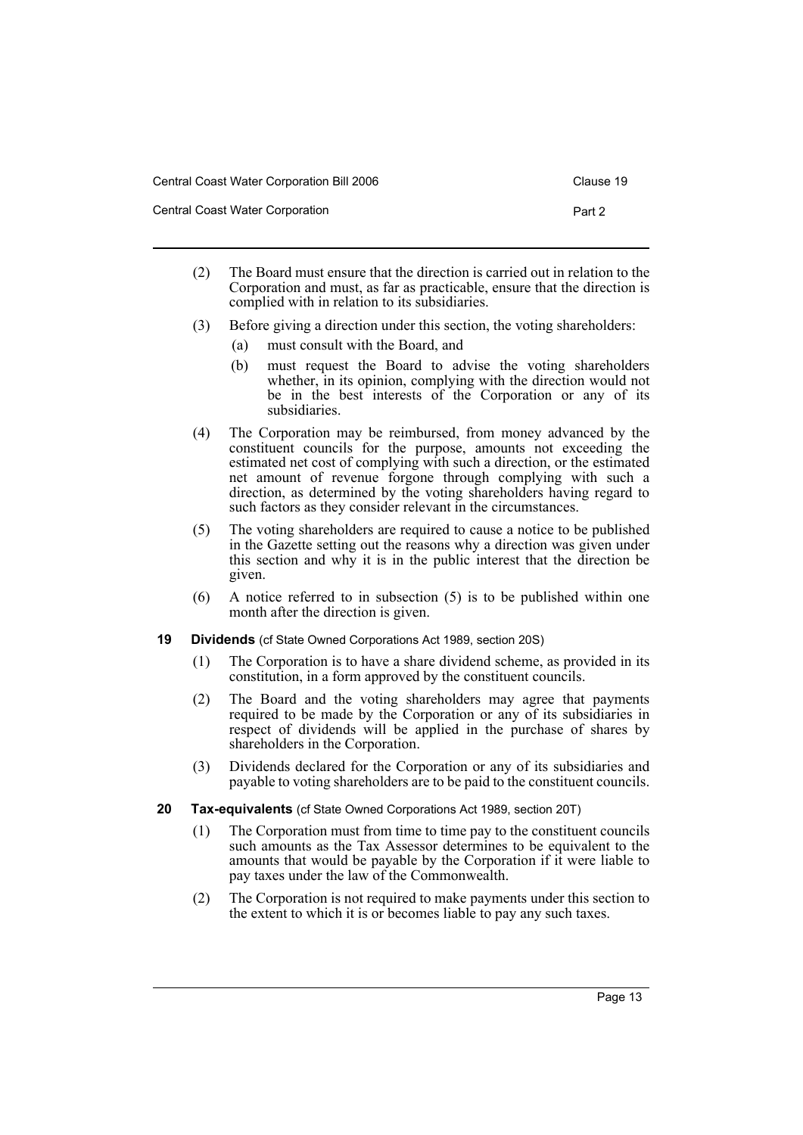| Central Coast Water Corporation Bill 2006 | Clause 19 |
|-------------------------------------------|-----------|
| Central Coast Water Corporation           | Part 2    |

- (2) The Board must ensure that the direction is carried out in relation to the Corporation and must, as far as practicable, ensure that the direction is complied with in relation to its subsidiaries.
- (3) Before giving a direction under this section, the voting shareholders:
	- (a) must consult with the Board, and
	- (b) must request the Board to advise the voting shareholders whether, in its opinion, complying with the direction would not be in the best interests of the Corporation or any of its subsidiaries.
- (4) The Corporation may be reimbursed, from money advanced by the constituent councils for the purpose, amounts not exceeding the estimated net cost of complying with such a direction, or the estimated net amount of revenue forgone through complying with such a direction, as determined by the voting shareholders having regard to such factors as they consider relevant in the circumstances.
- (5) The voting shareholders are required to cause a notice to be published in the Gazette setting out the reasons why a direction was given under this section and why it is in the public interest that the direction be given.
- (6) A notice referred to in subsection (5) is to be published within one month after the direction is given.
- <span id="page-15-0"></span>**19 Dividends** (cf State Owned Corporations Act 1989, section 20S)
	- (1) The Corporation is to have a share dividend scheme, as provided in its constitution, in a form approved by the constituent councils.
	- (2) The Board and the voting shareholders may agree that payments required to be made by the Corporation or any of its subsidiaries in respect of dividends will be applied in the purchase of shares by shareholders in the Corporation.
	- (3) Dividends declared for the Corporation or any of its subsidiaries and payable to voting shareholders are to be paid to the constituent councils.
- <span id="page-15-1"></span>**20 Tax-equivalents** (cf State Owned Corporations Act 1989, section 20T)
	- (1) The Corporation must from time to time pay to the constituent councils such amounts as the Tax Assessor determines to be equivalent to the amounts that would be payable by the Corporation if it were liable to pay taxes under the law of the Commonwealth.
	- (2) The Corporation is not required to make payments under this section to the extent to which it is or becomes liable to pay any such taxes.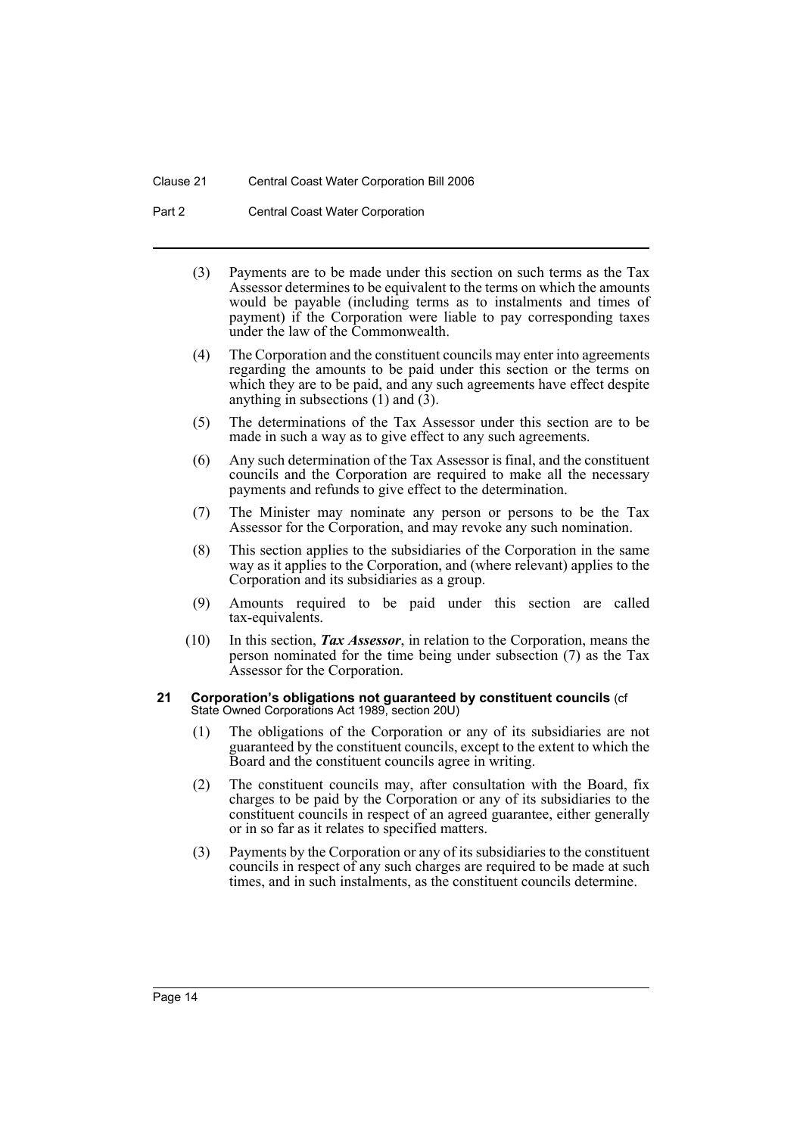#### Clause 21 Central Coast Water Corporation Bill 2006

Part 2 **Central Coast Water Corporation** 

- (3) Payments are to be made under this section on such terms as the Tax Assessor determines to be equivalent to the terms on which the amounts would be payable (including terms as to instalments and times of payment) if the Corporation were liable to pay corresponding taxes under the law of the Commonwealth.
- (4) The Corporation and the constituent councils may enter into agreements regarding the amounts to be paid under this section or the terms on which they are to be paid, and any such agreements have effect despite anything in subsections (1) and (3).
- (5) The determinations of the Tax Assessor under this section are to be made in such a way as to give effect to any such agreements.
- (6) Any such determination of the Tax Assessor is final, and the constituent councils and the Corporation are required to make all the necessary payments and refunds to give effect to the determination.
- (7) The Minister may nominate any person or persons to be the Tax Assessor for the Corporation, and may revoke any such nomination.
- (8) This section applies to the subsidiaries of the Corporation in the same way as it applies to the Corporation, and (where relevant) applies to the Corporation and its subsidiaries as a group.
- (9) Amounts required to be paid under this section are called tax-equivalents.
- (10) In this section, *Tax Assessor*, in relation to the Corporation, means the person nominated for the time being under subsection (7) as the Tax Assessor for the Corporation.

#### <span id="page-16-0"></span>**21 Corporation's obligations not guaranteed by constituent councils** (cf State Owned Corporations Act 1989, section 20U)

- (1) The obligations of the Corporation or any of its subsidiaries are not guaranteed by the constituent councils, except to the extent to which the Board and the constituent councils agree in writing.
- (2) The constituent councils may, after consultation with the Board, fix charges to be paid by the Corporation or any of its subsidiaries to the constituent councils in respect of an agreed guarantee, either generally or in so far as it relates to specified matters.
- (3) Payments by the Corporation or any of its subsidiaries to the constituent councils in respect of any such charges are required to be made at such times, and in such instalments, as the constituent councils determine.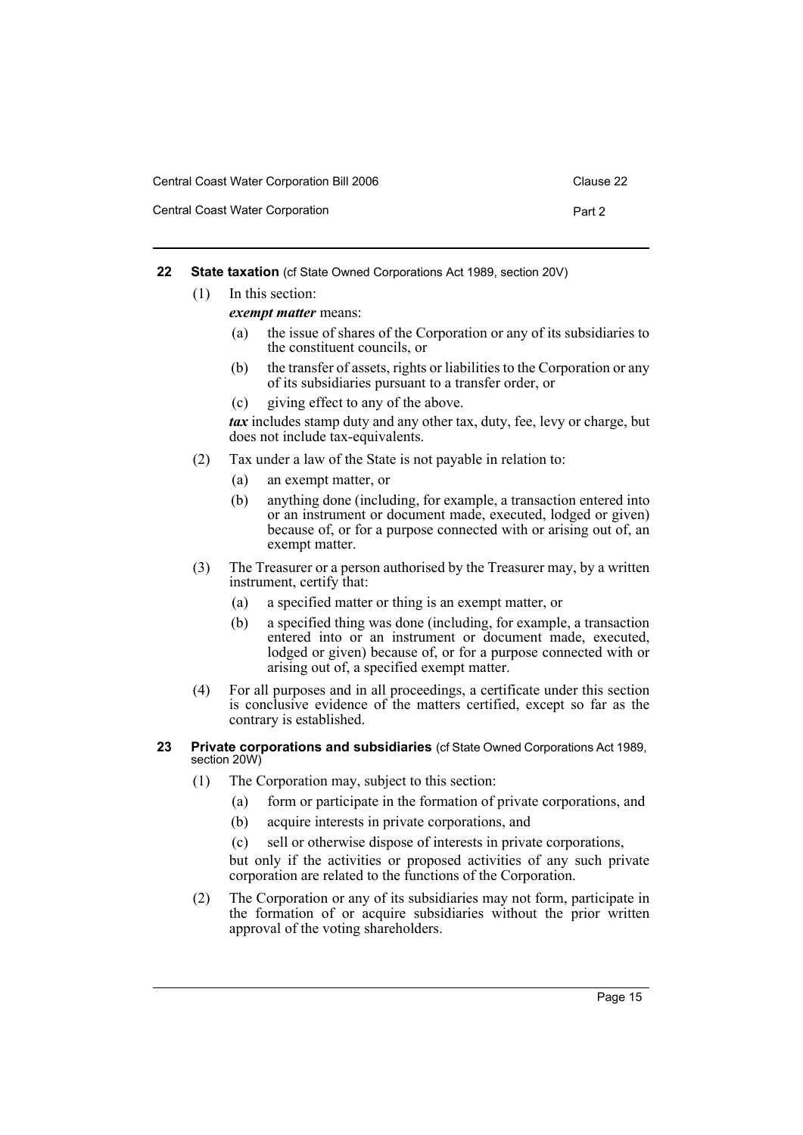Central Coast Water Corporation **Part 2** 

#### <span id="page-17-0"></span>**22 State taxation** (cf State Owned Corporations Act 1989, section 20V)

(1) In this section:

*exempt matter* means:

- (a) the issue of shares of the Corporation or any of its subsidiaries to the constituent councils, or
- (b) the transfer of assets, rights or liabilities to the Corporation or any of its subsidiaries pursuant to a transfer order, or
- (c) giving effect to any of the above.

*tax* includes stamp duty and any other tax, duty, fee, levy or charge, but does not include tax-equivalents.

- (2) Tax under a law of the State is not payable in relation to:
	- (a) an exempt matter, or
	- (b) anything done (including, for example, a transaction entered into or an instrument or document made, executed, lodged or given) because of, or for a purpose connected with or arising out of, an exempt matter.
- (3) The Treasurer or a person authorised by the Treasurer may, by a written instrument, certify that:
	- (a) a specified matter or thing is an exempt matter, or
	- (b) a specified thing was done (including, for example, a transaction entered into or an instrument or document made, executed, lodged or given) because of, or for a purpose connected with or arising out of, a specified exempt matter.
- (4) For all purposes and in all proceedings, a certificate under this section is conclusive evidence of the matters certified, except so far as the contrary is established.
- <span id="page-17-1"></span>**23 Private corporations and subsidiaries** (cf State Owned Corporations Act 1989, section 20W)
	- (1) The Corporation may, subject to this section:
		- (a) form or participate in the formation of private corporations, and
		- (b) acquire interests in private corporations, and
		- (c) sell or otherwise dispose of interests in private corporations,

but only if the activities or proposed activities of any such private corporation are related to the functions of the Corporation.

(2) The Corporation or any of its subsidiaries may not form, participate in the formation of or acquire subsidiaries without the prior written approval of the voting shareholders.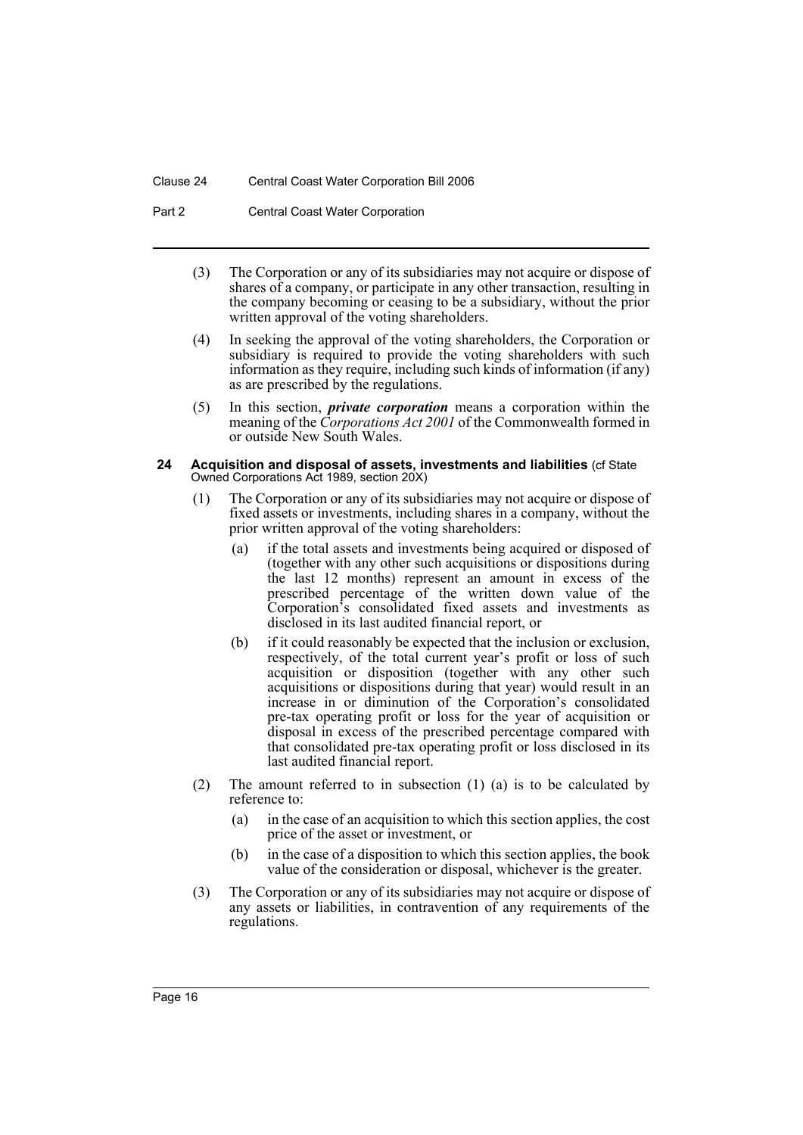#### Clause 24 Central Coast Water Corporation Bill 2006

Part 2 **Central Coast Water Corporation** 

- (3) The Corporation or any of its subsidiaries may not acquire or dispose of shares of a company, or participate in any other transaction, resulting in the company becoming or ceasing to be a subsidiary, without the prior written approval of the voting shareholders.
- (4) In seeking the approval of the voting shareholders, the Corporation or subsidiary is required to provide the voting shareholders with such information as they require, including such kinds of information (if any) as are prescribed by the regulations.
- (5) In this section, *private corporation* means a corporation within the meaning of the *Corporations Act 2001* of the Commonwealth formed in or outside New South Wales.

#### <span id="page-18-0"></span>**24 Acquisition and disposal of assets, investments and liabilities** (cf State Owned Corporations Act 1989, section 20X)

- (1) The Corporation or any of its subsidiaries may not acquire or dispose of fixed assets or investments, including shares in a company, without the prior written approval of the voting shareholders:
	- (a) if the total assets and investments being acquired or disposed of (together with any other such acquisitions or dispositions during the last 12 months) represent an amount in excess of the prescribed percentage of the written down value of the Corporation's consolidated fixed assets and investments as disclosed in its last audited financial report, or
	- (b) if it could reasonably be expected that the inclusion or exclusion, respectively, of the total current year's profit or loss of such acquisition or disposition (together with any other such acquisitions or dispositions during that year) would result in an increase in or diminution of the Corporation's consolidated pre-tax operating profit or loss for the year of acquisition or disposal in excess of the prescribed percentage compared with that consolidated pre-tax operating profit or loss disclosed in its last audited financial report.
- (2) The amount referred to in subsection (1) (a) is to be calculated by reference to:
	- (a) in the case of an acquisition to which this section applies, the cost price of the asset or investment, or
	- (b) in the case of a disposition to which this section applies, the book value of the consideration or disposal, whichever is the greater.
- (3) The Corporation or any of its subsidiaries may not acquire or dispose of any assets or liabilities, in contravention of any requirements of the regulations.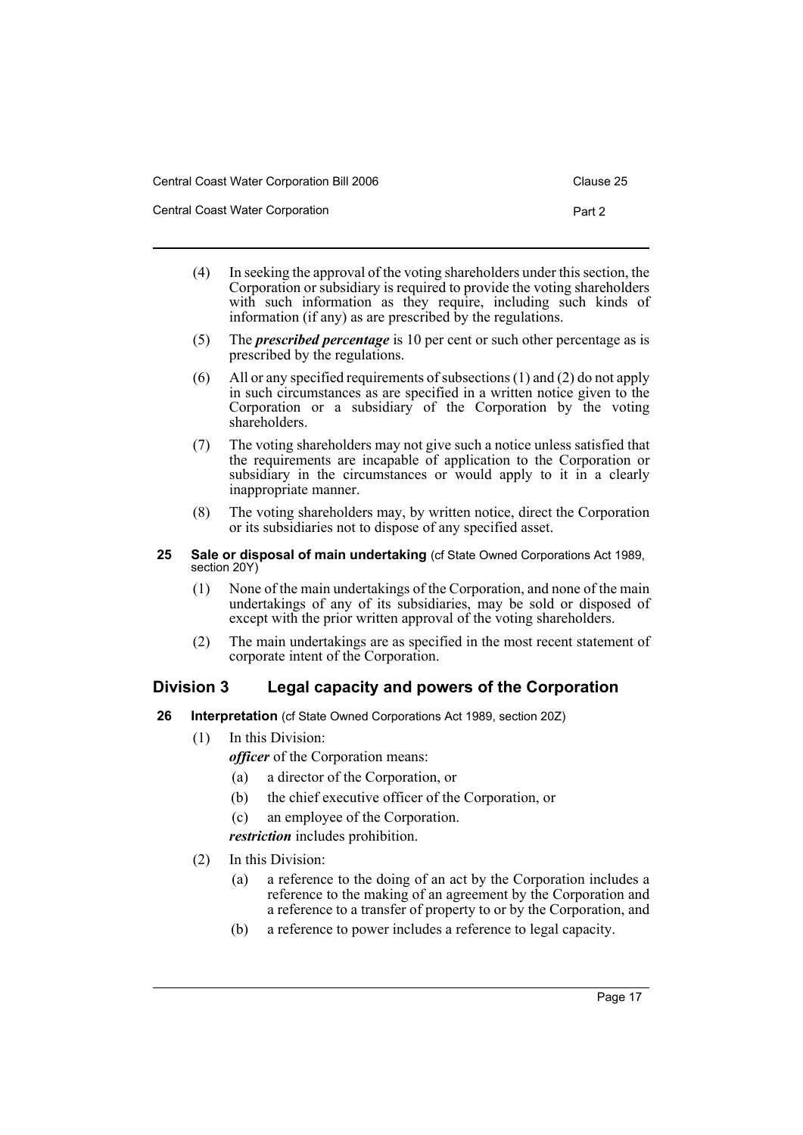| Central Coast Water Corporation Bill 2006 | Clause 25 |
|-------------------------------------------|-----------|
| Central Coast Water Corporation           | Part 2    |

- (4) In seeking the approval of the voting shareholders under this section, the Corporation or subsidiary is required to provide the voting shareholders with such information as they require, including such kinds of information (if any) as are prescribed by the regulations.
- (5) The *prescribed percentage* is 10 per cent or such other percentage as is prescribed by the regulations.
- (6) All or any specified requirements of subsections  $(1)$  and  $(2)$  do not apply in such circumstances as are specified in a written notice given to the Corporation or a subsidiary of the Corporation by the voting shareholders.
- (7) The voting shareholders may not give such a notice unless satisfied that the requirements are incapable of application to the Corporation or subsidiary in the circumstances or would apply to it in a clearly inappropriate manner.
- (8) The voting shareholders may, by written notice, direct the Corporation or its subsidiaries not to dispose of any specified asset.
- <span id="page-19-0"></span>**25 Sale or disposal of main undertaking** (cf State Owned Corporations Act 1989, section 20Y)
	- (1) None of the main undertakings of the Corporation, and none of the main undertakings of any of its subsidiaries, may be sold or disposed of except with the prior written approval of the voting shareholders.
	- (2) The main undertakings are as specified in the most recent statement of corporate intent of the Corporation.

## <span id="page-19-1"></span>**Division 3 Legal capacity and powers of the Corporation**

- <span id="page-19-2"></span>**26 Interpretation** (cf State Owned Corporations Act 1989, section 20Z)
	- (1) In this Division:

*officer* of the Corporation means:

- (a) a director of the Corporation, or
- (b) the chief executive officer of the Corporation, or
- (c) an employee of the Corporation.

*restriction* includes prohibition.

- (2) In this Division:
	- (a) a reference to the doing of an act by the Corporation includes a reference to the making of an agreement by the Corporation and a reference to a transfer of property to or by the Corporation, and
	- (b) a reference to power includes a reference to legal capacity.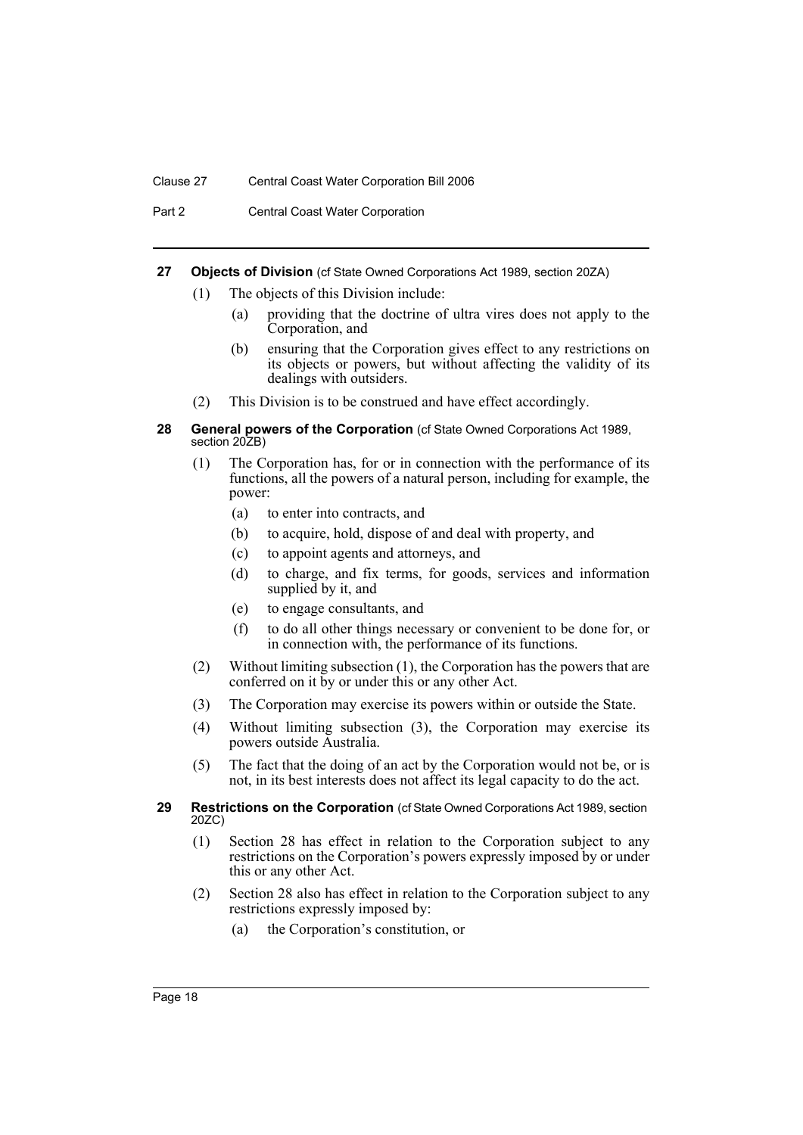#### Clause 27 Central Coast Water Corporation Bill 2006

Part 2 **Central Coast Water Corporation** 

### <span id="page-20-0"></span>**27 Objects of Division** (cf State Owned Corporations Act 1989, section 20ZA)

- (1) The objects of this Division include:
	- (a) providing that the doctrine of ultra vires does not apply to the Corporation, and
	- (b) ensuring that the Corporation gives effect to any restrictions on its objects or powers, but without affecting the validity of its dealings with outsiders.
- (2) This Division is to be construed and have effect accordingly.
- <span id="page-20-1"></span>**28 General powers of the Corporation** (cf State Owned Corporations Act 1989, section 20ZB)
	- (1) The Corporation has, for or in connection with the performance of its functions, all the powers of a natural person, including for example, the power:
		- (a) to enter into contracts, and
		- (b) to acquire, hold, dispose of and deal with property, and
		- (c) to appoint agents and attorneys, and
		- (d) to charge, and fix terms, for goods, services and information supplied by it, and
		- (e) to engage consultants, and
		- (f) to do all other things necessary or convenient to be done for, or in connection with, the performance of its functions.
	- (2) Without limiting subsection (1), the Corporation has the powers that are conferred on it by or under this or any other Act.
	- (3) The Corporation may exercise its powers within or outside the State.
	- (4) Without limiting subsection (3), the Corporation may exercise its powers outside Australia.
	- (5) The fact that the doing of an act by the Corporation would not be, or is not, in its best interests does not affect its legal capacity to do the act.
- <span id="page-20-2"></span>**29 Restrictions on the Corporation** (cf State Owned Corporations Act 1989, section 20ZC)
	- (1) Section 28 has effect in relation to the Corporation subject to any restrictions on the Corporation's powers expressly imposed by or under this or any other Act.
	- (2) Section 28 also has effect in relation to the Corporation subject to any restrictions expressly imposed by:
		- (a) the Corporation's constitution, or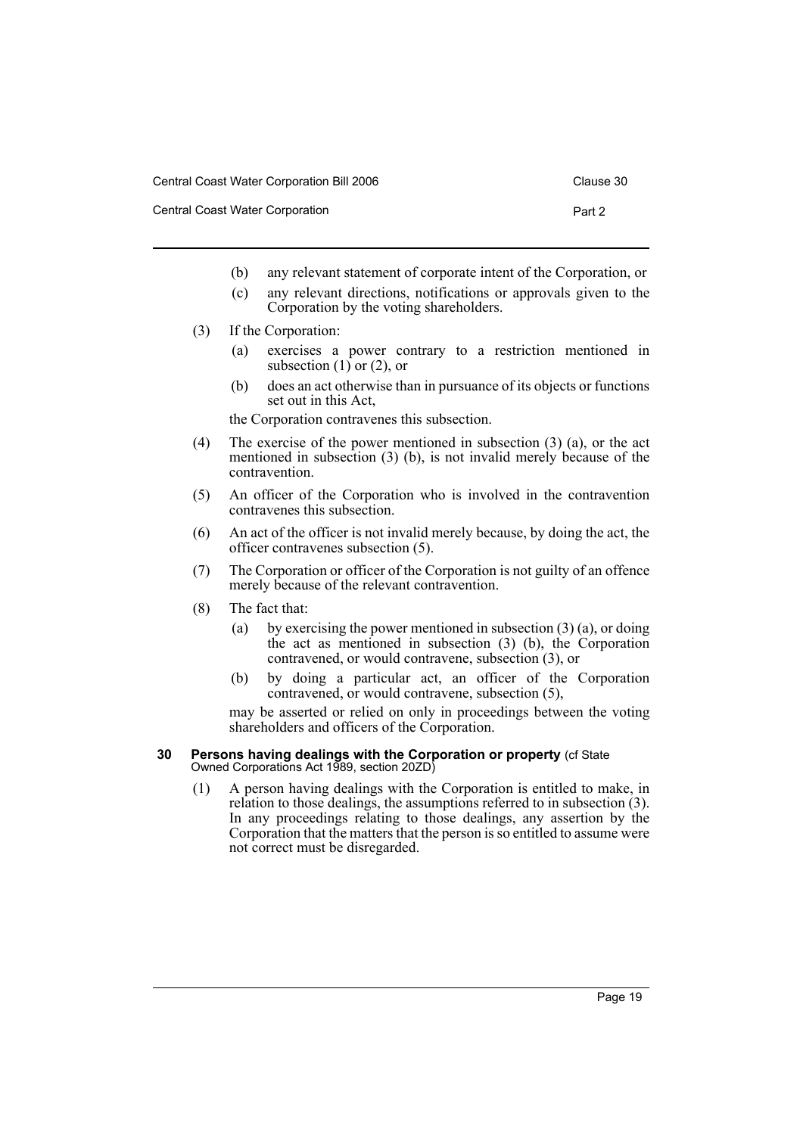Central Coast Water Corporation **Part 2 Part 2** 

- (b) any relevant statement of corporate intent of the Corporation, or
- (c) any relevant directions, notifications or approvals given to the Corporation by the voting shareholders.
- (3) If the Corporation:
	- (a) exercises a power contrary to a restriction mentioned in subsection  $(1)$  or  $(2)$ , or
	- (b) does an act otherwise than in pursuance of its objects or functions set out in this Act,

the Corporation contravenes this subsection.

- (4) The exercise of the power mentioned in subsection (3) (a), or the act mentioned in subsection (3) (b), is not invalid merely because of the contravention.
- (5) An officer of the Corporation who is involved in the contravention contravenes this subsection.
- (6) An act of the officer is not invalid merely because, by doing the act, the officer contravenes subsection (5).
- (7) The Corporation or officer of the Corporation is not guilty of an offence merely because of the relevant contravention.
- (8) The fact that:
	- (a) by exercising the power mentioned in subsection  $(3)$  (a), or doing the act as mentioned in subsection (3) (b), the Corporation contravened, or would contravene, subsection (3), or
	- (b) by doing a particular act, an officer of the Corporation contravened, or would contravene, subsection (5),

may be asserted or relied on only in proceedings between the voting shareholders and officers of the Corporation.

### <span id="page-21-0"></span>**30 Persons having dealings with the Corporation or property** (cf State Owned Corporations Act 1989, section 20ZD)

(1) A person having dealings with the Corporation is entitled to make, in relation to those dealings, the assumptions referred to in subsection (3). In any proceedings relating to those dealings, any assertion by the Corporation that the matters that the person is so entitled to assume were not correct must be disregarded.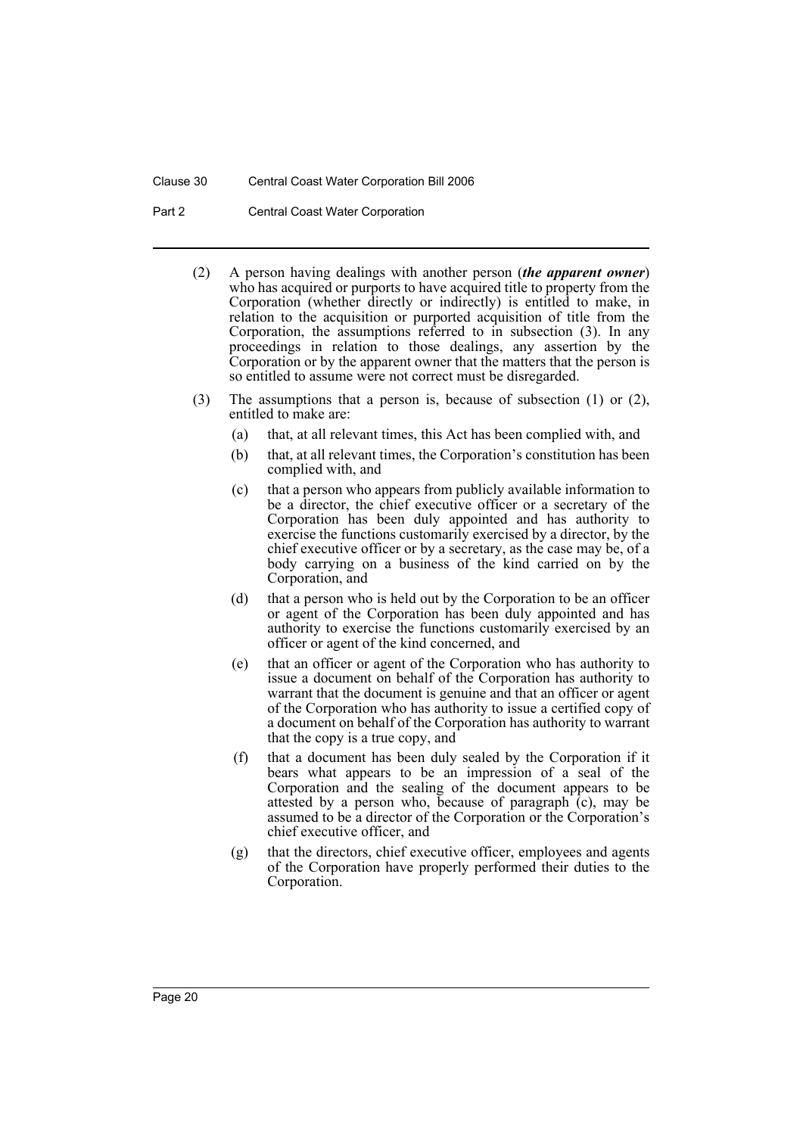#### Clause 30 Central Coast Water Corporation Bill 2006

Part 2 **Central Coast Water Corporation** 

- (2) A person having dealings with another person (*the apparent owner*) who has acquired or purports to have acquired title to property from the Corporation (whether directly or indirectly) is entitled to make, in relation to the acquisition or purported acquisition of title from the Corporation, the assumptions referred to in subsection (3). In any proceedings in relation to those dealings, any assertion by the Corporation or by the apparent owner that the matters that the person is so entitled to assume were not correct must be disregarded.
- (3) The assumptions that a person is, because of subsection (1) or (2), entitled to make are:
	- (a) that, at all relevant times, this Act has been complied with, and
	- (b) that, at all relevant times, the Corporation's constitution has been complied with, and
	- (c) that a person who appears from publicly available information to be a director, the chief executive officer or a secretary of the Corporation has been duly appointed and has authority to exercise the functions customarily exercised by a director, by the chief executive officer or by a secretary, as the case may be, of a body carrying on a business of the kind carried on by the Corporation, and
	- (d) that a person who is held out by the Corporation to be an officer or agent of the Corporation has been duly appointed and has authority to exercise the functions customarily exercised by an officer or agent of the kind concerned, and
	- (e) that an officer or agent of the Corporation who has authority to issue a document on behalf of the Corporation has authority to warrant that the document is genuine and that an officer or agent of the Corporation who has authority to issue a certified copy of a document on behalf of the Corporation has authority to warrant that the copy is a true copy, and
	- (f) that a document has been duly sealed by the Corporation if it bears what appears to be an impression of a seal of the Corporation and the sealing of the document appears to be attested by a person who, because of paragraph  $(c)$ , may be assumed to be a director of the Corporation or the Corporation's chief executive officer, and
	- (g) that the directors, chief executive officer, employees and agents of the Corporation have properly performed their duties to the Corporation.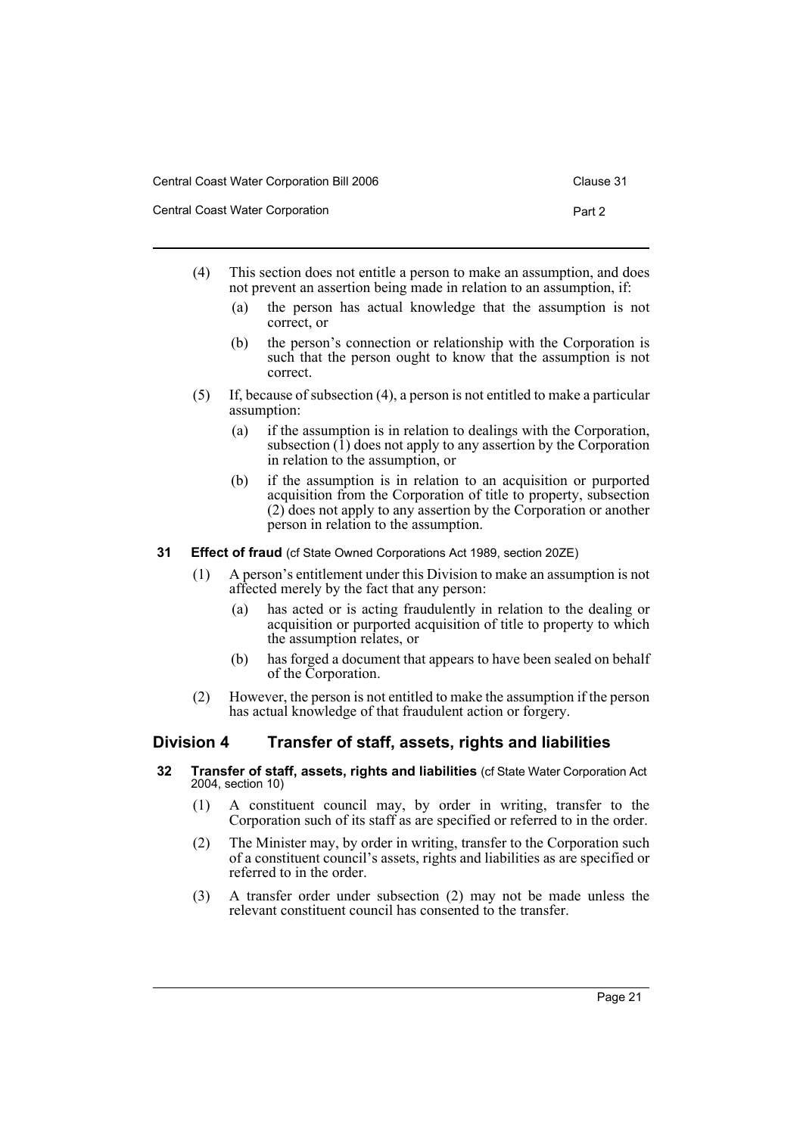Central Coast Water Corporation **Part 2** 

- (4) This section does not entitle a person to make an assumption, and does not prevent an assertion being made in relation to an assumption, if:
	- (a) the person has actual knowledge that the assumption is not correct, or
	- (b) the person's connection or relationship with the Corporation is such that the person ought to know that the assumption is not correct.
- (5) If, because of subsection (4), a person is not entitled to make a particular assumption:
	- (a) if the assumption is in relation to dealings with the Corporation, subsection  $(1)$  does not apply to any assertion by the Corporation in relation to the assumption, or
	- (b) if the assumption is in relation to an acquisition or purported acquisition from the Corporation of title to property, subsection (2) does not apply to any assertion by the Corporation or another person in relation to the assumption.
- <span id="page-23-0"></span>**31 Effect of fraud** (cf State Owned Corporations Act 1989, section 20ZE)
	- (1) A person's entitlement under this Division to make an assumption is not affected merely by the fact that any person:
		- (a) has acted or is acting fraudulently in relation to the dealing or acquisition or purported acquisition of title to property to which the assumption relates, or
		- (b) has forged a document that appears to have been sealed on behalf of the Corporation.
	- (2) However, the person is not entitled to make the assumption if the person has actual knowledge of that fraudulent action or forgery.

## <span id="page-23-1"></span>**Division 4 Transfer of staff, assets, rights and liabilities**

- <span id="page-23-2"></span>**32 Transfer of staff, assets, rights and liabilities** (cf State Water Corporation Act 2004, section 10)
	- (1) A constituent council may, by order in writing, transfer to the Corporation such of its staff as are specified or referred to in the order.
	- (2) The Minister may, by order in writing, transfer to the Corporation such of a constituent council's assets, rights and liabilities as are specified or referred to in the order.
	- (3) A transfer order under subsection (2) may not be made unless the relevant constituent council has consented to the transfer.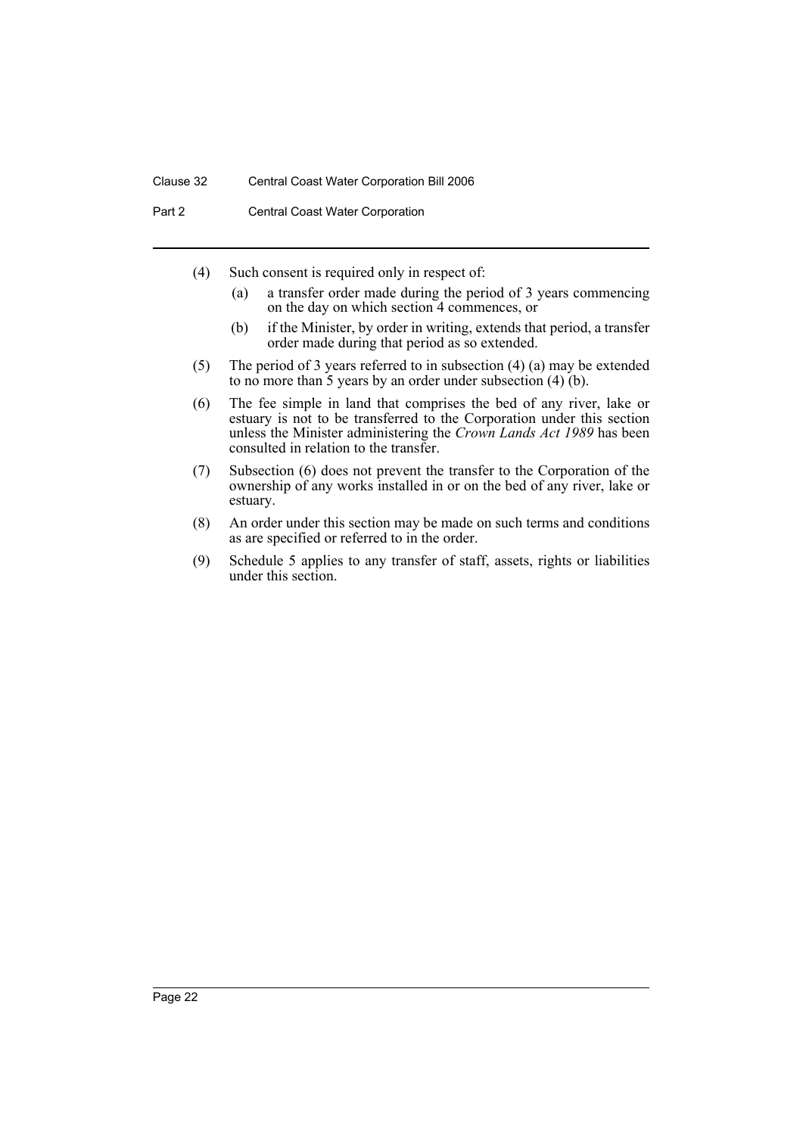#### Clause 32 Central Coast Water Corporation Bill 2006

Part 2 **Central Coast Water Corporation** 

- (4) Such consent is required only in respect of:
	- (a) a transfer order made during the period of 3 years commencing on the day on which section 4 commences, or
	- (b) if the Minister, by order in writing, extends that period, a transfer order made during that period as so extended.
- (5) The period of 3 years referred to in subsection (4) (a) may be extended to no more than 5 years by an order under subsection  $(4)$  (b).
- (6) The fee simple in land that comprises the bed of any river, lake or estuary is not to be transferred to the Corporation under this section unless the Minister administering the *Crown Lands Act 1989* has been consulted in relation to the transfer.
- (7) Subsection (6) does not prevent the transfer to the Corporation of the ownership of any works installed in or on the bed of any river, lake or estuary.
- (8) An order under this section may be made on such terms and conditions as are specified or referred to in the order.
- (9) Schedule 5 applies to any transfer of staff, assets, rights or liabilities under this section.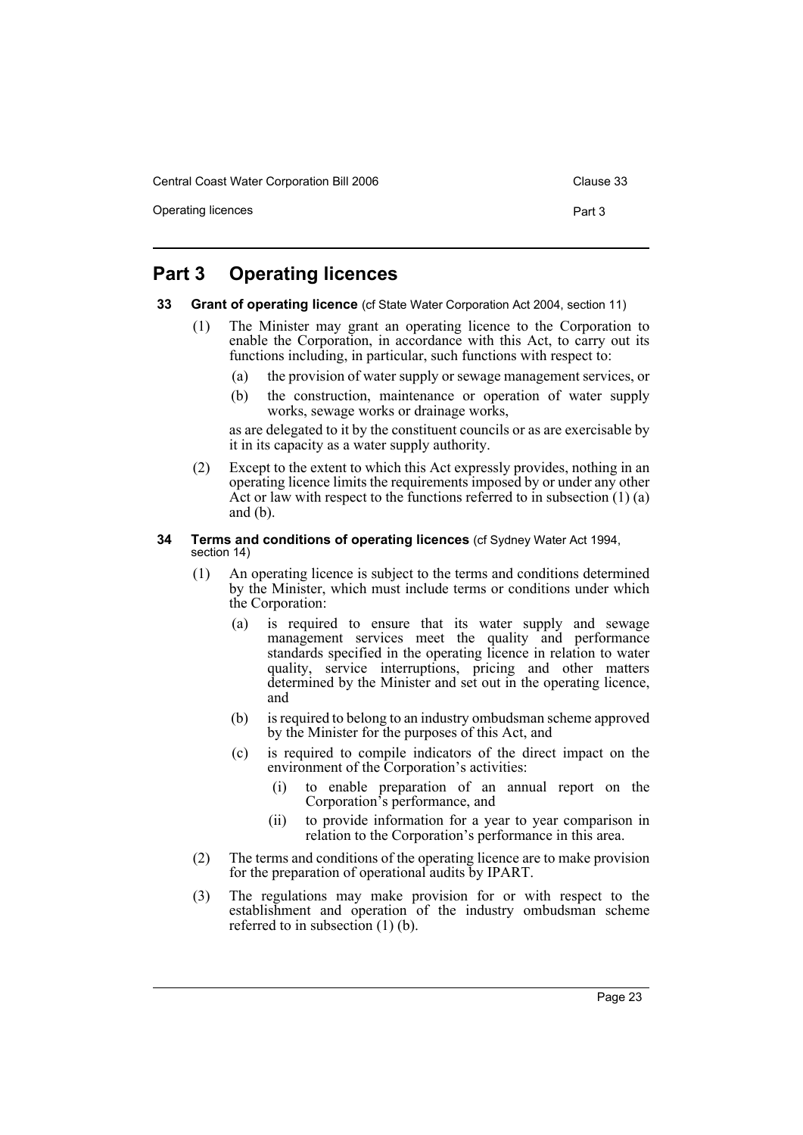Central Coast Water Corporation Bill 2006 Contract Clause 33

Operating licences **Part 3** 

## <span id="page-25-0"></span>**Part 3 Operating licences**

- <span id="page-25-1"></span>**33 Grant of operating licence** (cf State Water Corporation Act 2004, section 11)
	- (1) The Minister may grant an operating licence to the Corporation to enable the Corporation, in accordance with this Act, to carry out its functions including, in particular, such functions with respect to:
		- (a) the provision of water supply or sewage management services, or
		- (b) the construction, maintenance or operation of water supply works, sewage works or drainage works,

as are delegated to it by the constituent councils or as are exercisable by it in its capacity as a water supply authority.

(2) Except to the extent to which this Act expressly provides, nothing in an operating licence limits the requirements imposed by or under any other Act or law with respect to the functions referred to in subsection  $(1)$  (a) and (b).

#### <span id="page-25-2"></span>**34 Terms and conditions of operating licences** (cf Sydney Water Act 1994, section 14)

- (1) An operating licence is subject to the terms and conditions determined by the Minister, which must include terms or conditions under which the Corporation:
	- (a) is required to ensure that its water supply and sewage management services meet the quality and performance standards specified in the operating licence in relation to water quality, service interruptions, pricing and other matters determined by the Minister and set out in the operating licence, and
	- (b) is required to belong to an industry ombudsman scheme approved by the Minister for the purposes of this Act, and
	- (c) is required to compile indicators of the direct impact on the environment of the Corporation's activities:
		- (i) to enable preparation of an annual report on the Corporation's performance, and
		- (ii) to provide information for a year to year comparison in relation to the Corporation's performance in this area.
- (2) The terms and conditions of the operating licence are to make provision for the preparation of operational audits by IPART.
- (3) The regulations may make provision for or with respect to the establishment and operation of the industry ombudsman scheme referred to in subsection (1) (b).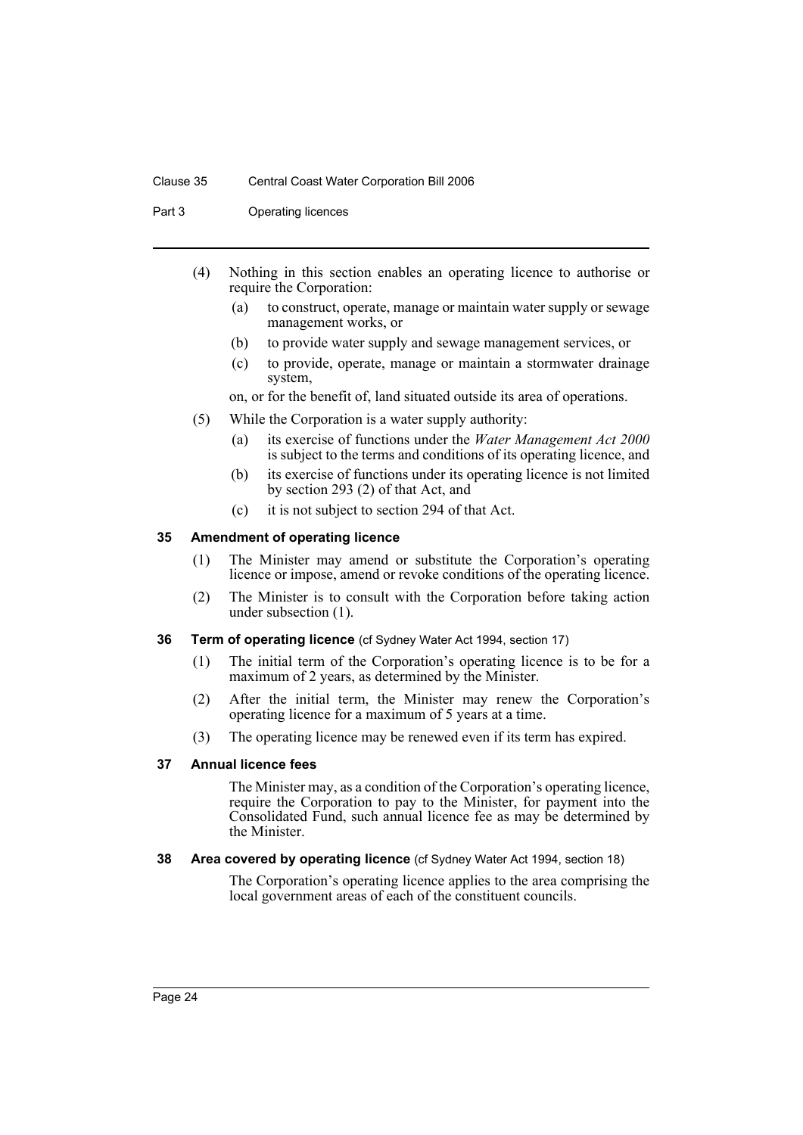#### Clause 35 Central Coast Water Corporation Bill 2006

Part 3 Operating licences

- (4) Nothing in this section enables an operating licence to authorise or require the Corporation:
	- (a) to construct, operate, manage or maintain water supply or sewage management works, or
	- (b) to provide water supply and sewage management services, or
	- (c) to provide, operate, manage or maintain a stormwater drainage system,

on, or for the benefit of, land situated outside its area of operations.

- (5) While the Corporation is a water supply authority:
	- (a) its exercise of functions under the *Water Management Act 2000* is subject to the terms and conditions of its operating licence, and
	- (b) its exercise of functions under its operating licence is not limited by section 293 (2) of that Act, and
	- (c) it is not subject to section 294 of that Act.

#### <span id="page-26-0"></span>**35 Amendment of operating licence**

- (1) The Minister may amend or substitute the Corporation's operating licence or impose, amend or revoke conditions of the operating licence.
- (2) The Minister is to consult with the Corporation before taking action under subsection (1).
- <span id="page-26-1"></span>**36 Term of operating licence** (cf Sydney Water Act 1994, section 17)
	- (1) The initial term of the Corporation's operating licence is to be for a maximum of 2 years, as determined by the Minister.
	- (2) After the initial term, the Minister may renew the Corporation's operating licence for a maximum of 5 years at a time.
	- (3) The operating licence may be renewed even if its term has expired.

#### <span id="page-26-2"></span>**37 Annual licence fees**

The Minister may, as a condition of the Corporation's operating licence, require the Corporation to pay to the Minister, for payment into the Consolidated Fund, such annual licence fee as may be determined by the Minister.

<span id="page-26-3"></span>**38 Area covered by operating licence** (cf Sydney Water Act 1994, section 18)

The Corporation's operating licence applies to the area comprising the local government areas of each of the constituent councils.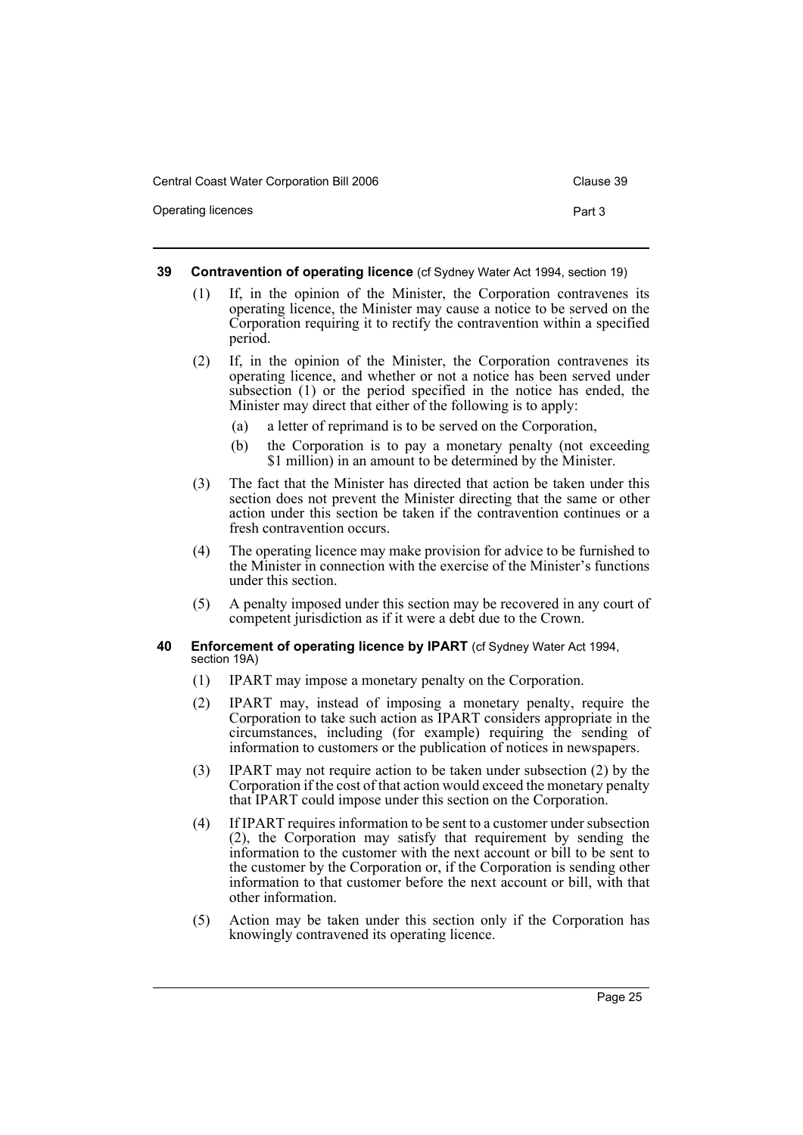| Central Coast Water Corporation Bill 2006 | Clause 39 |
|-------------------------------------------|-----------|
| Operating licences                        | Part 3    |

### <span id="page-27-0"></span>**39 Contravention of operating licence** (cf Sydney Water Act 1994, section 19)

- (1) If, in the opinion of the Minister, the Corporation contravenes its operating licence, the Minister may cause a notice to be served on the Corporation requiring it to rectify the contravention within a specified period.
- (2) If, in the opinion of the Minister, the Corporation contravenes its operating licence, and whether or not a notice has been served under subsection (1) or the period specified in the notice has ended, the Minister may direct that either of the following is to apply:
	- (a) a letter of reprimand is to be served on the Corporation,
	- (b) the Corporation is to pay a monetary penalty (not exceeding \$1 million) in an amount to be determined by the Minister.
- (3) The fact that the Minister has directed that action be taken under this section does not prevent the Minister directing that the same or other action under this section be taken if the contravention continues or a fresh contravention occurs.
- (4) The operating licence may make provision for advice to be furnished to the Minister in connection with the exercise of the Minister's functions under this section.
- (5) A penalty imposed under this section may be recovered in any court of competent jurisdiction as if it were a debt due to the Crown.

#### <span id="page-27-1"></span>**40 Enforcement of operating licence by IPART** (cf Sydney Water Act 1994, section 19A)

- (1) IPART may impose a monetary penalty on the Corporation.
- (2) IPART may, instead of imposing a monetary penalty, require the Corporation to take such action as IPART considers appropriate in the circumstances, including (for example) requiring the sending of information to customers or the publication of notices in newspapers.
- (3) IPART may not require action to be taken under subsection (2) by the Corporation if the cost of that action would exceed the monetary penalty that IPART could impose under this section on the Corporation.
- (4) If IPART requires information to be sent to a customer under subsection (2), the Corporation may satisfy that requirement by sending the information to the customer with the next account or bill to be sent to the customer by the Corporation or, if the Corporation is sending other information to that customer before the next account or bill, with that other information.
- (5) Action may be taken under this section only if the Corporation has knowingly contravened its operating licence.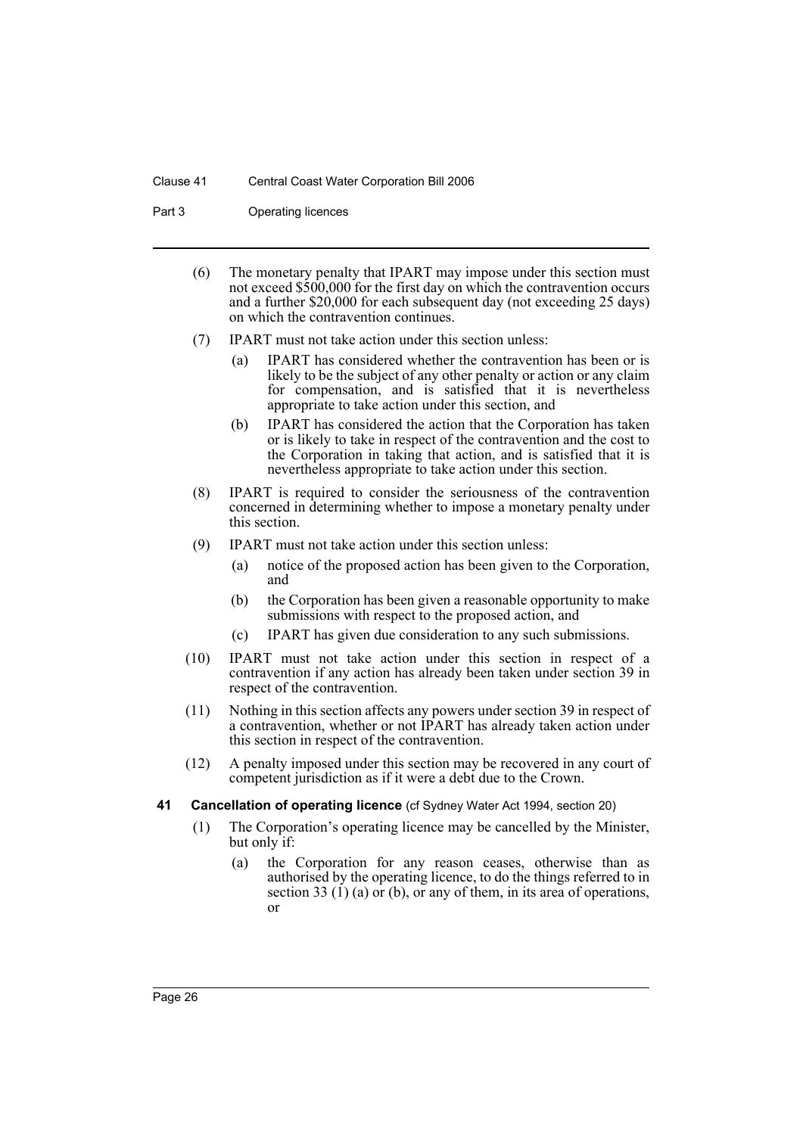#### Clause 41 Central Coast Water Corporation Bill 2006

#### Part 3 Operating licences

- (6) The monetary penalty that IPART may impose under this section must not exceed \$500,000 for the first day on which the contravention occurs and a further \$20,000 for each subsequent day (not exceeding 25 days) on which the contravention continues.
- (7) IPART must not take action under this section unless:
	- (a) IPART has considered whether the contravention has been or is likely to be the subject of any other penalty or action or any claim for compensation, and is satisfied that it is nevertheless appropriate to take action under this section, and
	- (b) IPART has considered the action that the Corporation has taken or is likely to take in respect of the contravention and the cost to the Corporation in taking that action, and is satisfied that it is nevertheless appropriate to take action under this section.
- (8) IPART is required to consider the seriousness of the contravention concerned in determining whether to impose a monetary penalty under this section.
- (9) IPART must not take action under this section unless:
	- (a) notice of the proposed action has been given to the Corporation, and
	- (b) the Corporation has been given a reasonable opportunity to make submissions with respect to the proposed action, and
	- (c) IPART has given due consideration to any such submissions.
- (10) IPART must not take action under this section in respect of a contravention if any action has already been taken under section 39 in respect of the contravention.
- (11) Nothing in this section affects any powers under section 39 in respect of a contravention, whether or not IPART has already taken action under this section in respect of the contravention.
- (12) A penalty imposed under this section may be recovered in any court of competent jurisdiction as if it were a debt due to the Crown.
- <span id="page-28-0"></span>**41 Cancellation of operating licence** (cf Sydney Water Act 1994, section 20)
	- (1) The Corporation's operating licence may be cancelled by the Minister, but only if:
		- (a) the Corporation for any reason ceases, otherwise than as authorised by the operating licence, to do the things referred to in section 33 (1) (a) or (b), or any of them, in its area of operations, or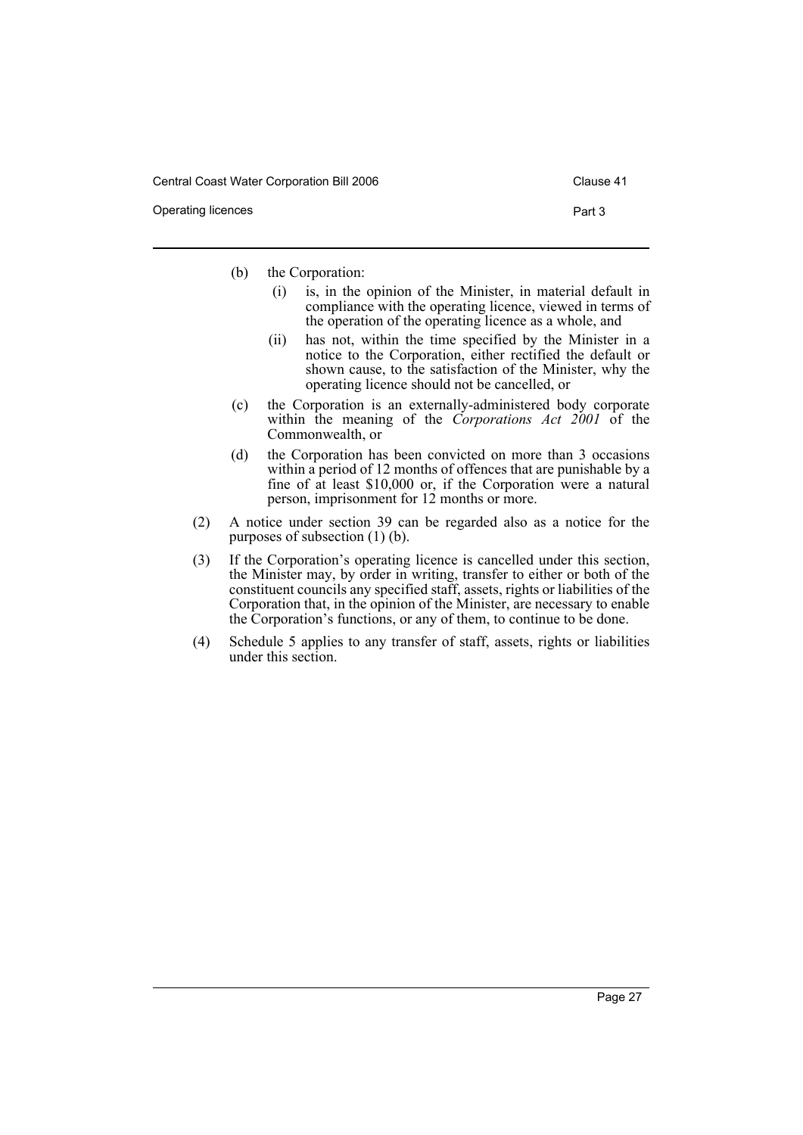- (b) the Corporation:
	- (i) is, in the opinion of the Minister, in material default in compliance with the operating licence, viewed in terms of the operation of the operating licence as a whole, and
	- (ii) has not, within the time specified by the Minister in a notice to the Corporation, either rectified the default or shown cause, to the satisfaction of the Minister, why the operating licence should not be cancelled, or
- (c) the Corporation is an externally-administered body corporate within the meaning of the *Corporations Act 2001* of the Commonwealth, or
- (d) the Corporation has been convicted on more than 3 occasions within a period of 12 months of offences that are punishable by a fine of at least \$10,000 or, if the Corporation were a natural person, imprisonment for 12 months or more.
- (2) A notice under section 39 can be regarded also as a notice for the purposes of subsection (1) (b).
- (3) If the Corporation's operating licence is cancelled under this section, the Minister may, by order in writing, transfer to either or both of the constituent councils any specified staff, assets, rights or liabilities of the Corporation that, in the opinion of the Minister, are necessary to enable the Corporation's functions, or any of them, to continue to be done.
- (4) Schedule 5 applies to any transfer of staff, assets, rights or liabilities under this section.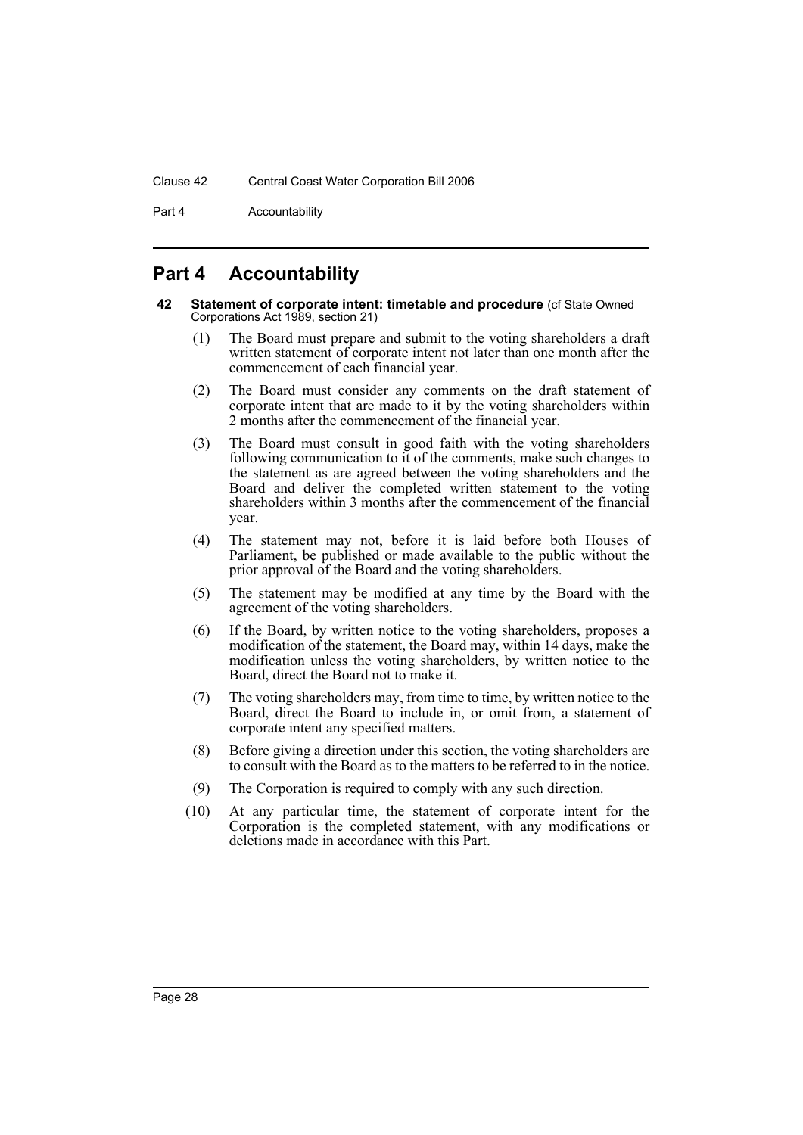Part 4 **Accountability** 

## <span id="page-30-0"></span>**Part 4 Accountability**

- <span id="page-30-1"></span>**42 Statement of corporate intent: timetable and procedure** (cf State Owned Corporations Act 1989, section 21)
	- (1) The Board must prepare and submit to the voting shareholders a draft written statement of corporate intent not later than one month after the commencement of each financial year.
	- (2) The Board must consider any comments on the draft statement of corporate intent that are made to it by the voting shareholders within 2 months after the commencement of the financial year.
	- (3) The Board must consult in good faith with the voting shareholders following communication to it of the comments, make such changes to the statement as are agreed between the voting shareholders and the Board and deliver the completed written statement to the voting shareholders within 3 months after the commencement of the financial year.
	- (4) The statement may not, before it is laid before both Houses of Parliament, be published or made available to the public without the prior approval of the Board and the voting shareholders.
	- (5) The statement may be modified at any time by the Board with the agreement of the voting shareholders.
	- (6) If the Board, by written notice to the voting shareholders, proposes a modification of the statement, the Board may, within 14 days, make the modification unless the voting shareholders, by written notice to the Board, direct the Board not to make it.
	- (7) The voting shareholders may, from time to time, by written notice to the Board, direct the Board to include in, or omit from, a statement of corporate intent any specified matters.
	- (8) Before giving a direction under this section, the voting shareholders are to consult with the Board as to the matters to be referred to in the notice.
	- (9) The Corporation is required to comply with any such direction.
	- (10) At any particular time, the statement of corporate intent for the Corporation is the completed statement, with any modifications or deletions made in accordance with this Part.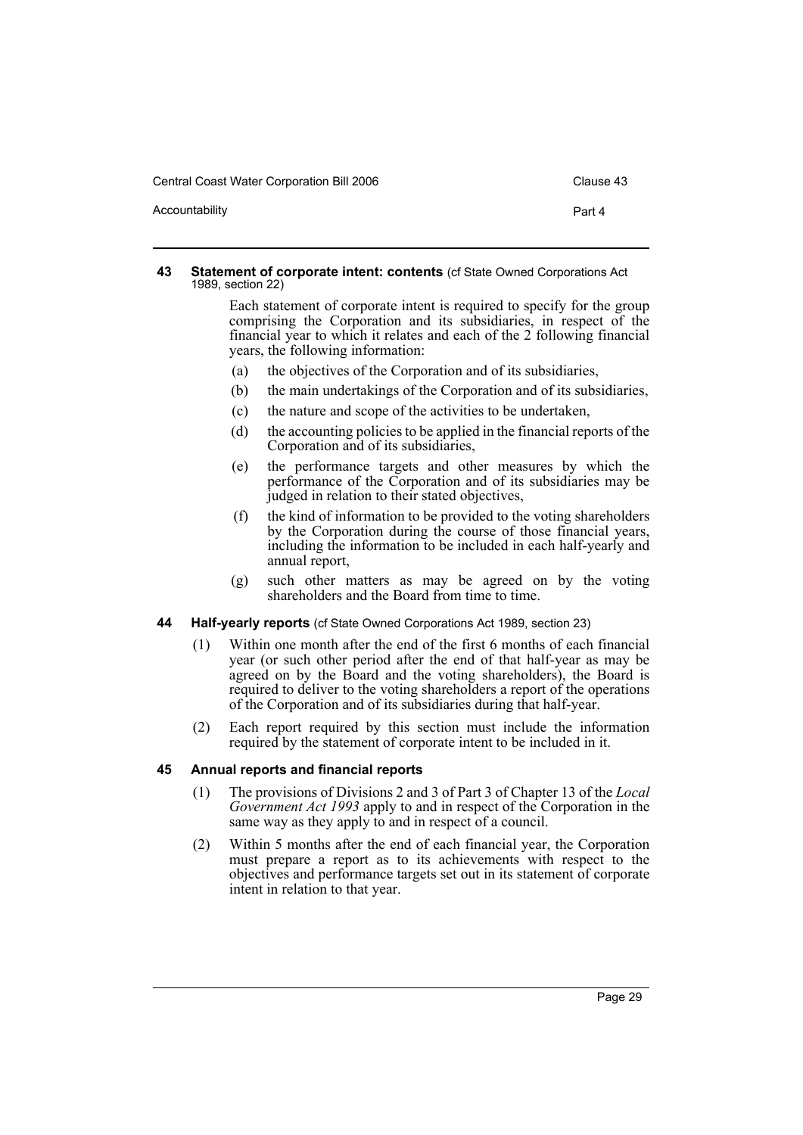Central Coast Water Corporation Bill 2006 Central Coast 43

| Accountability | Part 4 |
|----------------|--------|
|                |        |
|                |        |

#### <span id="page-31-0"></span>**43 Statement of corporate intent: contents** (cf State Owned Corporations Act 1989, section 22)

Each statement of corporate intent is required to specify for the group comprising the Corporation and its subsidiaries, in respect of the financial year to which it relates and each of the 2 following financial years, the following information:

- (a) the objectives of the Corporation and of its subsidiaries,
- (b) the main undertakings of the Corporation and of its subsidiaries,
- (c) the nature and scope of the activities to be undertaken,
- (d) the accounting policies to be applied in the financial reports of the Corporation and of its subsidiaries,
- (e) the performance targets and other measures by which the performance of the Corporation and of its subsidiaries may be judged in relation to their stated objectives,
- (f) the kind of information to be provided to the voting shareholders by the Corporation during the course of those financial years, including the information to be included in each half-yearly and annual report,
- (g) such other matters as may be agreed on by the voting shareholders and the Board from time to time.
- <span id="page-31-1"></span>**44 Half-yearly reports** (cf State Owned Corporations Act 1989, section 23)
	- (1) Within one month after the end of the first 6 months of each financial year (or such other period after the end of that half-year as may be agreed on by the Board and the voting shareholders), the Board is required to deliver to the voting shareholders a report of the operations of the Corporation and of its subsidiaries during that half-year.
	- (2) Each report required by this section must include the information required by the statement of corporate intent to be included in it.

## <span id="page-31-2"></span>**45 Annual reports and financial reports**

- (1) The provisions of Divisions 2 and 3 of Part 3 of Chapter 13 of the *Local Government Act 1993* apply to and in respect of the Corporation in the same way as they apply to and in respect of a council.
- (2) Within 5 months after the end of each financial year, the Corporation must prepare a report as to its achievements with respect to the objectives and performance targets set out in its statement of corporate intent in relation to that year.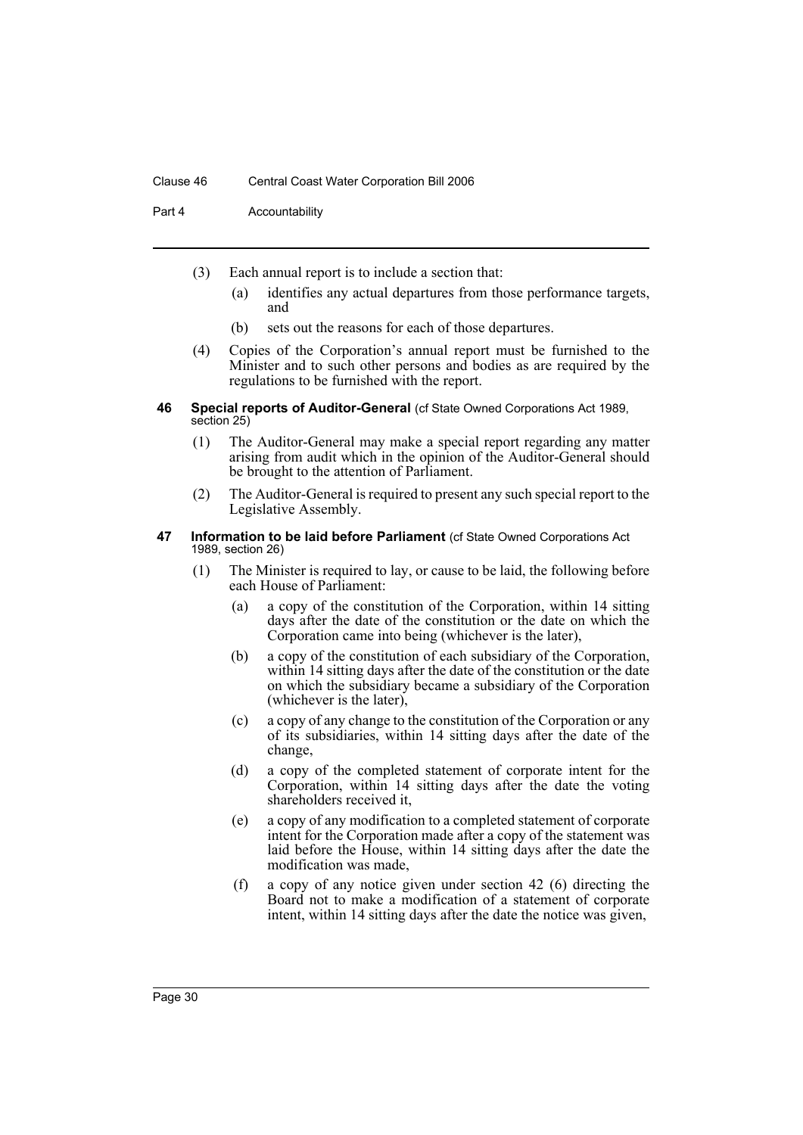#### Clause 46 Central Coast Water Corporation Bill 2006

Part 4 **Accountability** 

- (3) Each annual report is to include a section that:
	- (a) identifies any actual departures from those performance targets, and
	- (b) sets out the reasons for each of those departures.
- (4) Copies of the Corporation's annual report must be furnished to the Minister and to such other persons and bodies as are required by the regulations to be furnished with the report.
- <span id="page-32-0"></span>**46 Special reports of Auditor-General** (cf State Owned Corporations Act 1989, section 25)
	- (1) The Auditor-General may make a special report regarding any matter arising from audit which in the opinion of the Auditor-General should be brought to the attention of Parliament.
	- (2) The Auditor-General is required to present any such special report to the Legislative Assembly.
- <span id="page-32-1"></span>**47 Information to be laid before Parliament** (cf State Owned Corporations Act 1989, section 26)
	- (1) The Minister is required to lay, or cause to be laid, the following before each House of Parliament:
		- (a) a copy of the constitution of the Corporation, within 14 sitting days after the date of the constitution or the date on which the Corporation came into being (whichever is the later),
		- (b) a copy of the constitution of each subsidiary of the Corporation, within 14 sitting days after the date of the constitution or the date on which the subsidiary became a subsidiary of the Corporation (whichever is the later),
		- (c) a copy of any change to the constitution of the Corporation or any of its subsidiaries, within 14 sitting days after the date of the change,
		- (d) a copy of the completed statement of corporate intent for the Corporation, within 14 sitting days after the date the voting shareholders received it,
		- (e) a copy of any modification to a completed statement of corporate intent for the Corporation made after a copy of the statement was laid before the House, within 14 sitting days after the date the modification was made,
		- (f) a copy of any notice given under section 42 (6) directing the Board not to make a modification of a statement of corporate intent, within 14 sitting days after the date the notice was given,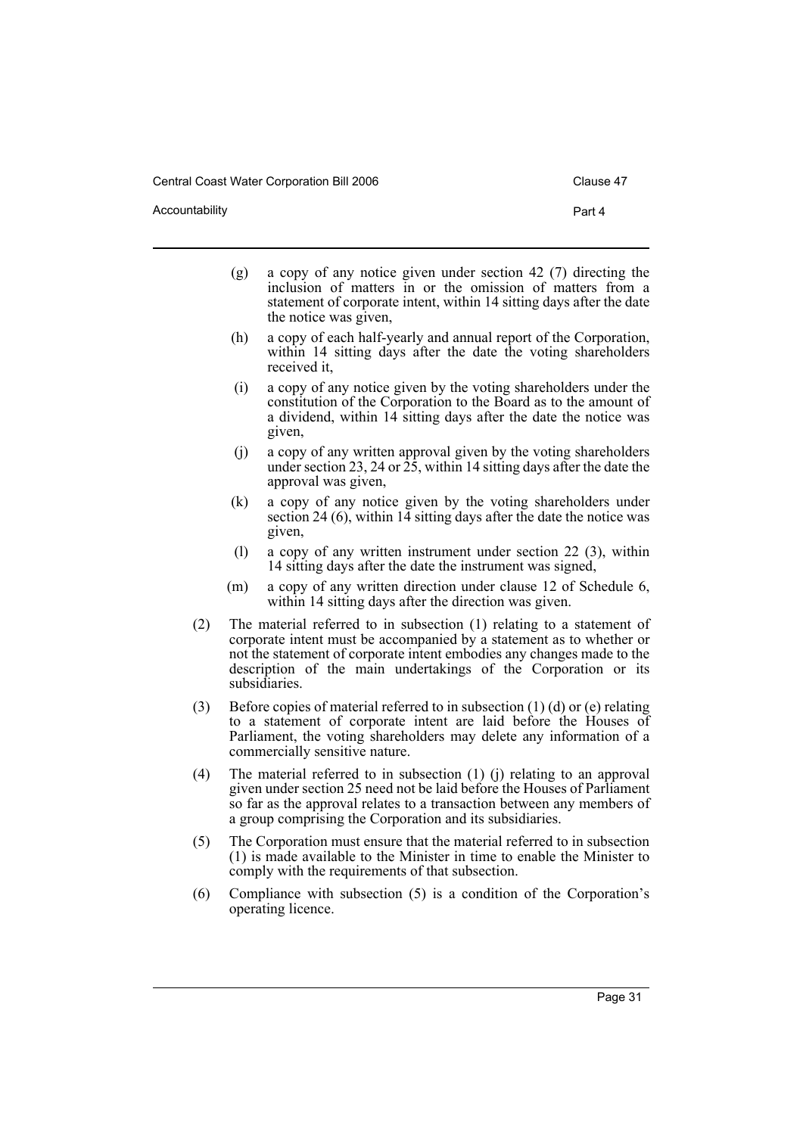Central Coast Water Corporation Bill 2006 Contract Clause 47

Accountability **Part 4** 

- 
- (g) a copy of any notice given under section 42 (7) directing the inclusion of matters in or the omission of matters from a statement of corporate intent, within 14 sitting days after the date the notice was given,
- (h) a copy of each half-yearly and annual report of the Corporation, within 14 sitting days after the date the voting shareholders received it,
- (i) a copy of any notice given by the voting shareholders under the constitution of the Corporation to the Board as to the amount of a dividend, within 14 sitting days after the date the notice was given,
- (j) a copy of any written approval given by the voting shareholders under section 23, 24 or  $\dot{25}$ , within 14 sitting days after the date the approval was given,
- (k) a copy of any notice given by the voting shareholders under section 24  $(6)$ , within 14 sitting days after the date the notice was given,
- (l) a copy of any written instrument under section 22 (3), within 14 sitting days after the date the instrument was signed,
- (m) a copy of any written direction under clause 12 of Schedule 6, within 14 sitting days after the direction was given.
- (2) The material referred to in subsection (1) relating to a statement of corporate intent must be accompanied by a statement as to whether or not the statement of corporate intent embodies any changes made to the description of the main undertakings of the Corporation or its subsidiaries.
- (3) Before copies of material referred to in subsection  $(1)$  (d) or (e) relating to a statement of corporate intent are laid before the Houses of Parliament, the voting shareholders may delete any information of a commercially sensitive nature.
- (4) The material referred to in subsection (1) (j) relating to an approval given under section 25 need not be laid before the Houses of Parliament so far as the approval relates to a transaction between any members of a group comprising the Corporation and its subsidiaries.
- (5) The Corporation must ensure that the material referred to in subsection (1) is made available to the Minister in time to enable the Minister to comply with the requirements of that subsection.
- (6) Compliance with subsection (5) is a condition of the Corporation's operating licence.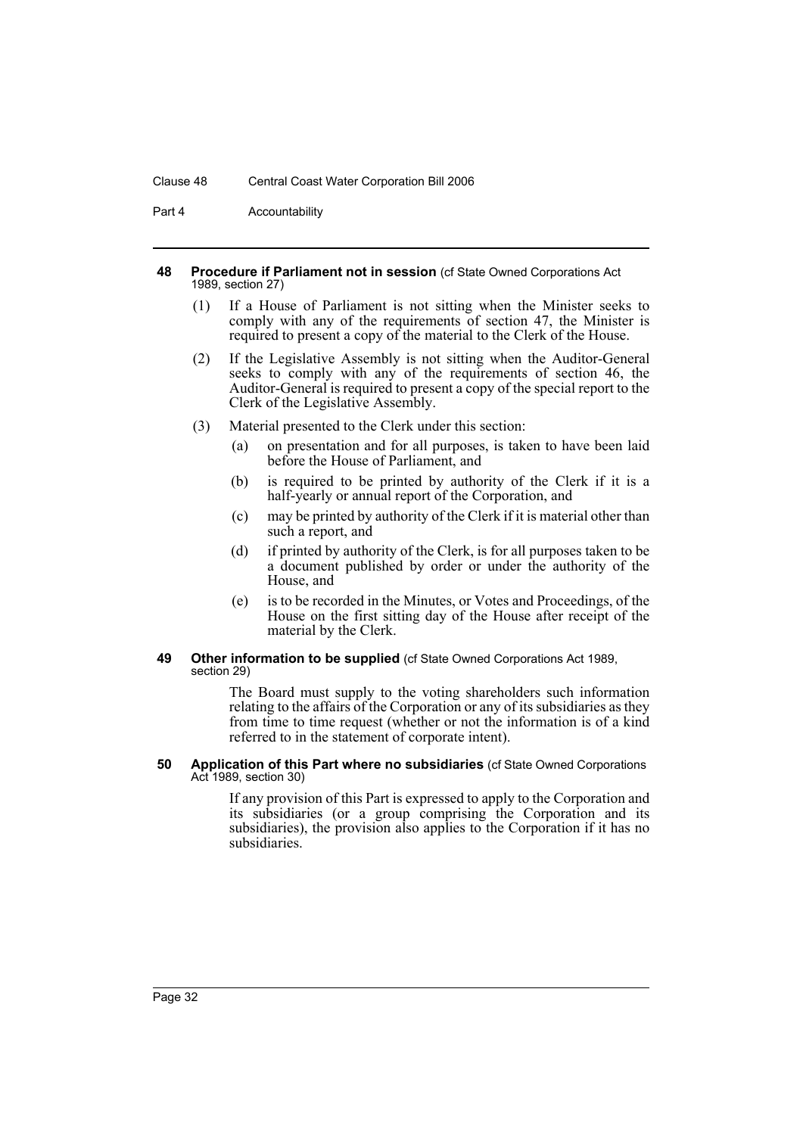#### Clause 48 Central Coast Water Corporation Bill 2006

Part 4 **Accountability** 

#### <span id="page-34-0"></span>**48 Procedure if Parliament not in session** (cf State Owned Corporations Act 1989, section 27)

- (1) If a House of Parliament is not sitting when the Minister seeks to comply with any of the requirements of section 47, the Minister is required to present a copy of the material to the Clerk of the House.
- (2) If the Legislative Assembly is not sitting when the Auditor-General seeks to comply with any of the requirements of section 46, the Auditor-General is required to present a copy of the special report to the Clerk of the Legislative Assembly.
- (3) Material presented to the Clerk under this section:
	- (a) on presentation and for all purposes, is taken to have been laid before the House of Parliament, and
	- (b) is required to be printed by authority of the Clerk if it is a half-yearly or annual report of the Corporation, and
	- (c) may be printed by authority of the Clerk if it is material other than such a report, and
	- (d) if printed by authority of the Clerk, is for all purposes taken to be a document published by order or under the authority of the House, and
	- (e) is to be recorded in the Minutes, or Votes and Proceedings, of the House on the first sitting day of the House after receipt of the material by the Clerk.

#### <span id="page-34-1"></span>**49 Other information to be supplied** (cf State Owned Corporations Act 1989, section 29)

The Board must supply to the voting shareholders such information relating to the affairs of the Corporation or any of its subsidiaries as they from time to time request (whether or not the information is of a kind referred to in the statement of corporate intent).

#### <span id="page-34-2"></span>**50 Application of this Part where no subsidiaries** (cf State Owned Corporations Act 1989, section 30)

If any provision of this Part is expressed to apply to the Corporation and its subsidiaries (or a group comprising the Corporation and its subsidiaries), the provision also applies to the Corporation if it has no subsidiaries.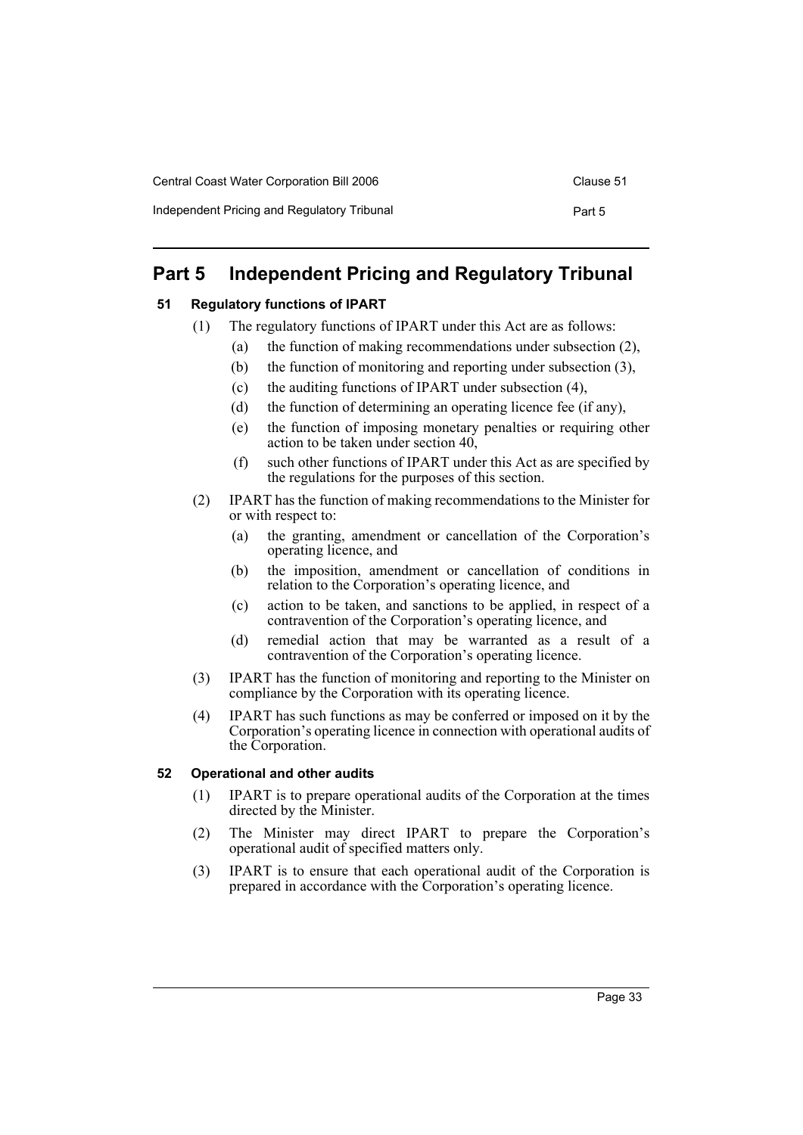| Central Coast Water Corporation Bill 2006   | Clause 51 |
|---------------------------------------------|-----------|
| Independent Pricing and Regulatory Tribunal | Part 5    |

## <span id="page-35-0"></span>**Part 5 Independent Pricing and Regulatory Tribunal**

## <span id="page-35-1"></span>**51 Regulatory functions of IPART**

- (1) The regulatory functions of IPART under this Act are as follows:
	- (a) the function of making recommendations under subsection (2),
	- (b) the function of monitoring and reporting under subsection (3),
	- (c) the auditing functions of IPART under subsection (4),
	- (d) the function of determining an operating licence fee (if any),
	- (e) the function of imposing monetary penalties or requiring other action to be taken under section 40,
	- (f) such other functions of IPART under this Act as are specified by the regulations for the purposes of this section.
- (2) IPART has the function of making recommendations to the Minister for or with respect to:
	- (a) the granting, amendment or cancellation of the Corporation's operating licence, and
	- (b) the imposition, amendment or cancellation of conditions in relation to the Corporation's operating licence, and
	- (c) action to be taken, and sanctions to be applied, in respect of a contravention of the Corporation's operating licence, and
	- (d) remedial action that may be warranted as a result of a contravention of the Corporation's operating licence.
- (3) IPART has the function of monitoring and reporting to the Minister on compliance by the Corporation with its operating licence.
- (4) IPART has such functions as may be conferred or imposed on it by the Corporation's operating licence in connection with operational audits of the Corporation.

## <span id="page-35-2"></span>**52 Operational and other audits**

- (1) IPART is to prepare operational audits of the Corporation at the times directed by the Minister.
- (2) The Minister may direct IPART to prepare the Corporation's operational audit of specified matters only.
- (3) IPART is to ensure that each operational audit of the Corporation is prepared in accordance with the Corporation's operating licence.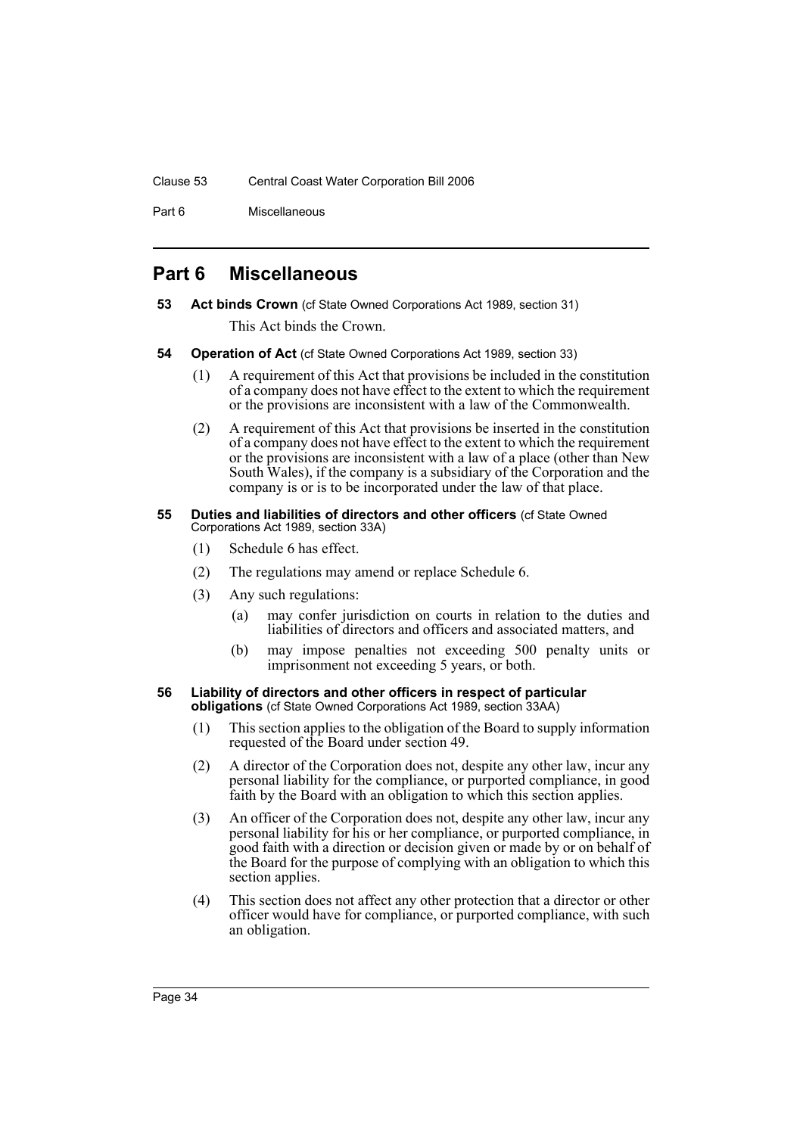### Clause 53 Central Coast Water Corporation Bill 2006

Part 6 Miscellaneous

## <span id="page-36-0"></span>**Part 6 Miscellaneous**

- <span id="page-36-1"></span>**53 Act binds Crown** (cf State Owned Corporations Act 1989, section 31) This Act binds the Crown.
- <span id="page-36-2"></span>**54 Operation of Act** (cf State Owned Corporations Act 1989, section 33)
	- (1) A requirement of this Act that provisions be included in the constitution of a company does not have effect to the extent to which the requirement or the provisions are inconsistent with a law of the Commonwealth.
	- (2) A requirement of this Act that provisions be inserted in the constitution of a company does not have effect to the extent to which the requirement or the provisions are inconsistent with a law of a place (other than New South Wales), if the company is a subsidiary of the Corporation and the company is or is to be incorporated under the law of that place.

#### <span id="page-36-3"></span>**55 Duties and liabilities of directors and other officers** (cf State Owned Corporations Act 1989, section 33A)

- (1) Schedule 6 has effect.
- (2) The regulations may amend or replace Schedule 6.
- (3) Any such regulations:
	- (a) may confer jurisdiction on courts in relation to the duties and liabilities of directors and officers and associated matters, and
	- (b) may impose penalties not exceeding 500 penalty units or imprisonment not exceeding 5 years, or both.

#### <span id="page-36-4"></span>**56 Liability of directors and other officers in respect of particular obligations** (cf State Owned Corporations Act 1989, section 33AA)

- (1) This section applies to the obligation of the Board to supply information requested of the Board under section 49.
- (2) A director of the Corporation does not, despite any other law, incur any personal liability for the compliance, or purported compliance, in good faith by the Board with an obligation to which this section applies.
- (3) An officer of the Corporation does not, despite any other law, incur any personal liability for his or her compliance, or purported compliance, in good faith with a direction or decision given or made by or on behalf of the Board for the purpose of complying with an obligation to which this section applies.
- (4) This section does not affect any other protection that a director or other officer would have for compliance, or purported compliance, with such an obligation.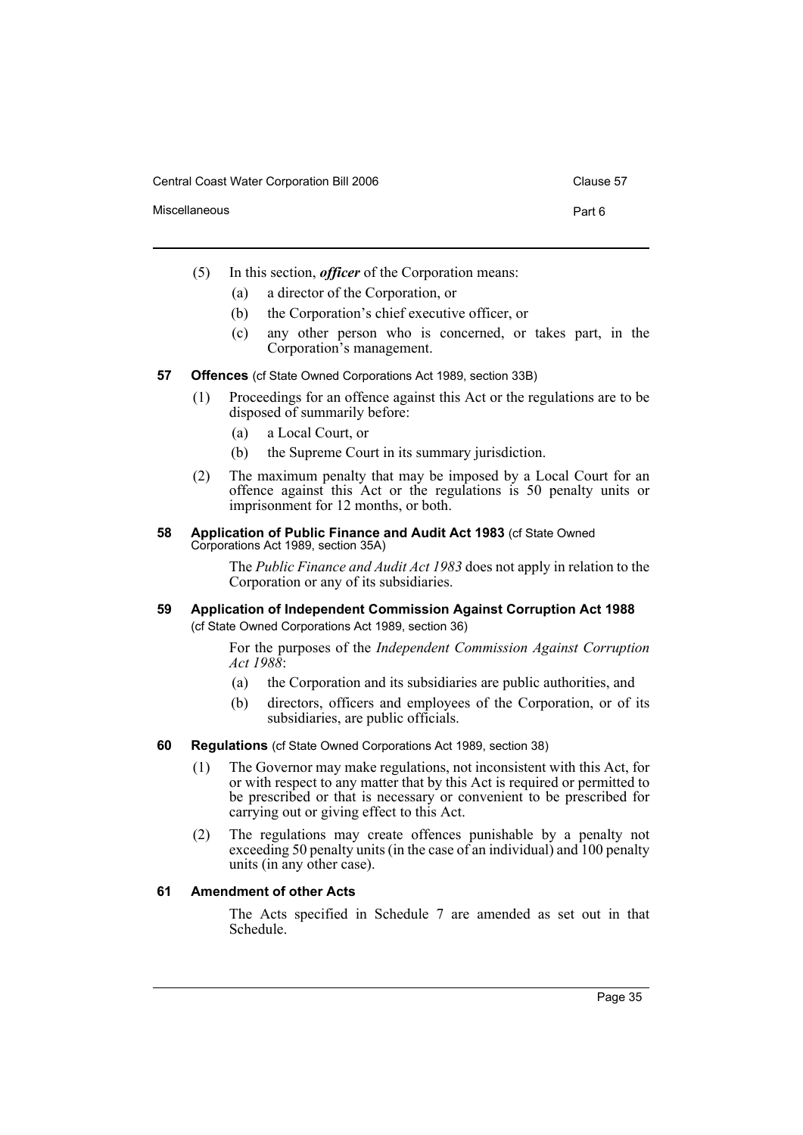Central Coast Water Corporation Bill 2006 Clause 57

- (5) In this section, *officer* of the Corporation means:
	- (a) a director of the Corporation, or
	- (b) the Corporation's chief executive officer, or
	- (c) any other person who is concerned, or takes part, in the Corporation's management.

#### <span id="page-37-0"></span>**57 Offences** (cf State Owned Corporations Act 1989, section 33B)

- (1) Proceedings for an offence against this Act or the regulations are to be disposed of summarily before:
	- (a) a Local Court, or
	- (b) the Supreme Court in its summary jurisdiction.
- (2) The maximum penalty that may be imposed by a Local Court for an offence against this Act or the regulations is 50 penalty units or imprisonment for 12 months, or both.
- <span id="page-37-1"></span>**58 Application of Public Finance and Audit Act 1983** (cf State Owned Corporations Act 1989, section 35A)

The *Public Finance and Audit Act 1983* does not apply in relation to the Corporation or any of its subsidiaries.

## <span id="page-37-2"></span>**59 Application of Independent Commission Against Corruption Act 1988**

(cf State Owned Corporations Act 1989, section 36)

For the purposes of the *Independent Commission Against Corruption Act 1988*:

- (a) the Corporation and its subsidiaries are public authorities, and
- (b) directors, officers and employees of the Corporation, or of its subsidiaries, are public officials.
- <span id="page-37-3"></span>**60 Regulations** (cf State Owned Corporations Act 1989, section 38)
	- (1) The Governor may make regulations, not inconsistent with this Act, for or with respect to any matter that by this Act is required or permitted to be prescribed or that is necessary or convenient to be prescribed for carrying out or giving effect to this Act.
	- (2) The regulations may create offences punishable by a penalty not exceeding 50 penalty units (in the case of an individual) and  $100$  penalty units (in any other case).

## <span id="page-37-4"></span>**61 Amendment of other Acts**

The Acts specified in Schedule 7 are amended as set out in that Schedule.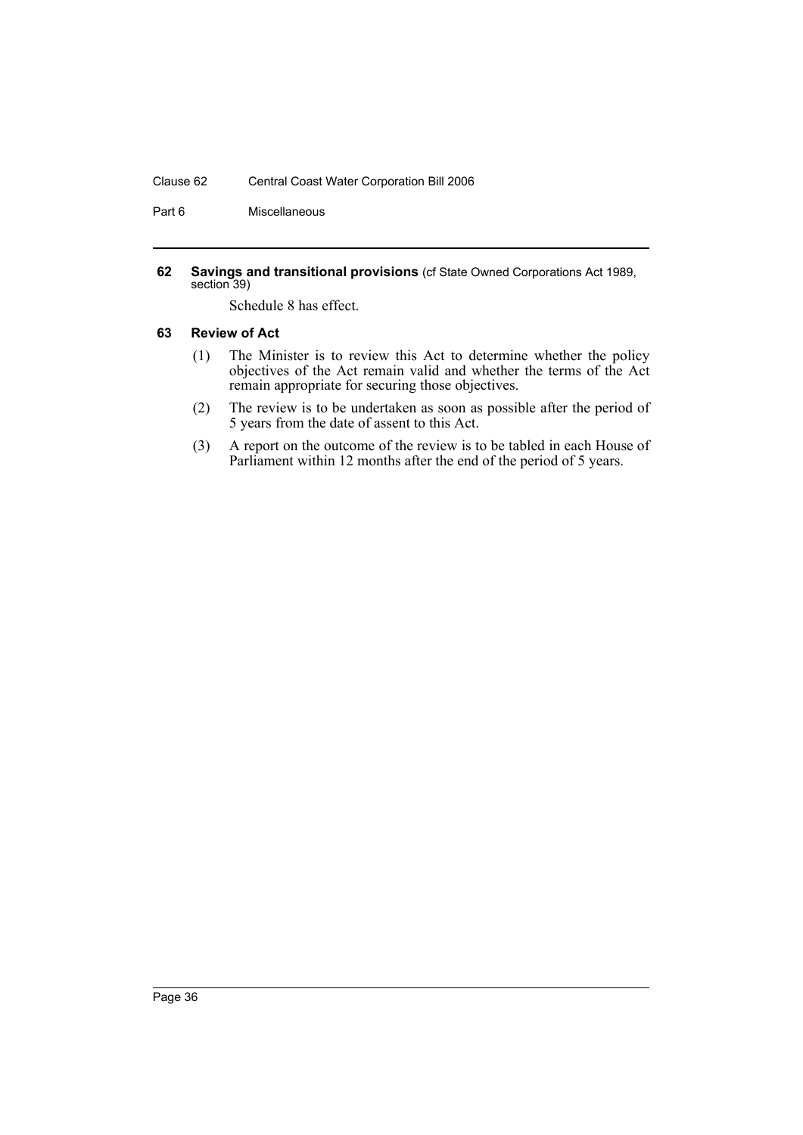#### Clause 62 Central Coast Water Corporation Bill 2006

Part 6 Miscellaneous

#### <span id="page-38-0"></span>**62 Savings and transitional provisions** (cf State Owned Corporations Act 1989, section 39)

Schedule 8 has effect.

#### <span id="page-38-1"></span>**63 Review of Act**

- (1) The Minister is to review this Act to determine whether the policy objectives of the Act remain valid and whether the terms of the Act remain appropriate for securing those objectives.
- (2) The review is to be undertaken as soon as possible after the period of 5 years from the date of assent to this Act.
- (3) A report on the outcome of the review is to be tabled in each House of Parliament within 12 months after the end of the period of 5 years.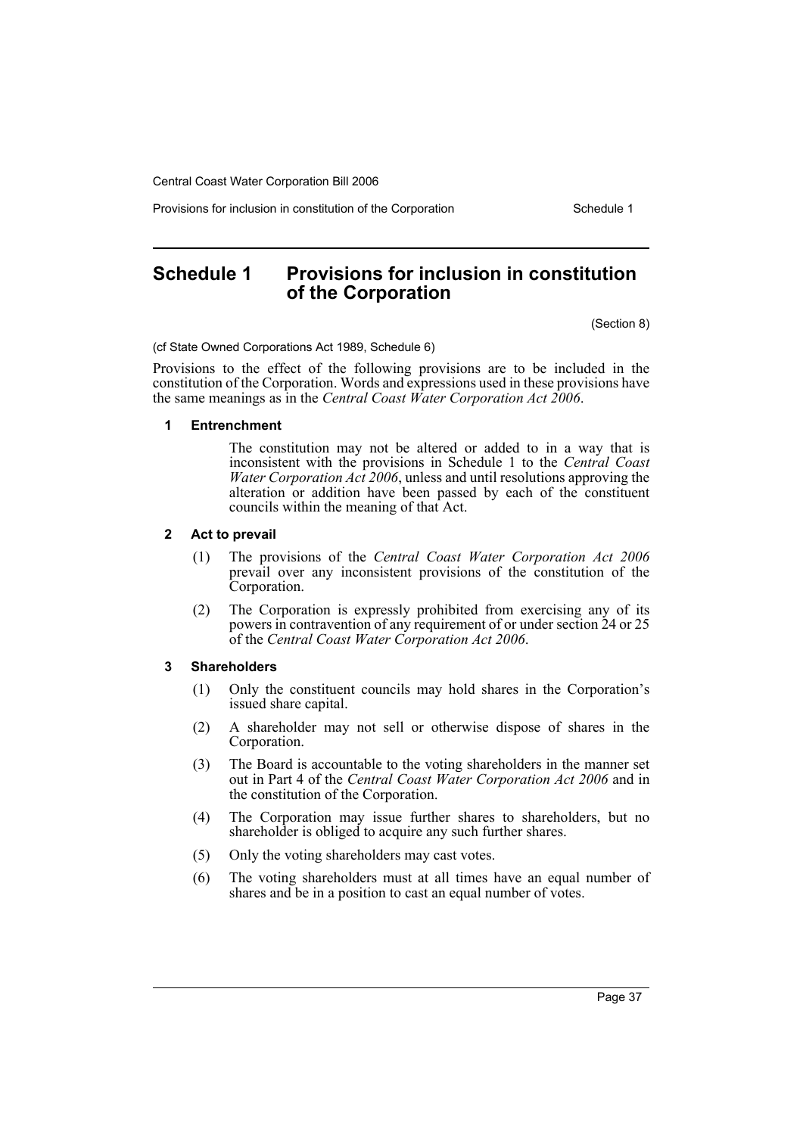Provisions for inclusion in constitution of the Corporation Schedule 1

## <span id="page-39-0"></span>**Schedule 1 Provisions for inclusion in constitution of the Corporation**

(Section 8)

(cf State Owned Corporations Act 1989, Schedule 6)

Provisions to the effect of the following provisions are to be included in the constitution of the Corporation. Words and expressions used in these provisions have the same meanings as in the *Central Coast Water Corporation Act 2006*.

#### **1 Entrenchment**

The constitution may not be altered or added to in a way that is inconsistent with the provisions in Schedule 1 to the *Central Coast Water Corporation Act 2006*, unless and until resolutions approving the alteration or addition have been passed by each of the constituent councils within the meaning of that Act.

#### **2 Act to prevail**

- (1) The provisions of the *Central Coast Water Corporation Act 2006* prevail over any inconsistent provisions of the constitution of the Corporation.
- (2) The Corporation is expressly prohibited from exercising any of its powers in contravention of any requirement of or under section 24 or 25 of the *Central Coast Water Corporation Act 2006*.

#### **3 Shareholders**

- (1) Only the constituent councils may hold shares in the Corporation's issued share capital.
- (2) A shareholder may not sell or otherwise dispose of shares in the Corporation.
- (3) The Board is accountable to the voting shareholders in the manner set out in Part 4 of the *Central Coast Water Corporation Act 2006* and in the constitution of the Corporation.
- (4) The Corporation may issue further shares to shareholders, but no shareholder is obliged to acquire any such further shares.
- (5) Only the voting shareholders may cast votes.
- (6) The voting shareholders must at all times have an equal number of shares and be in a position to cast an equal number of votes.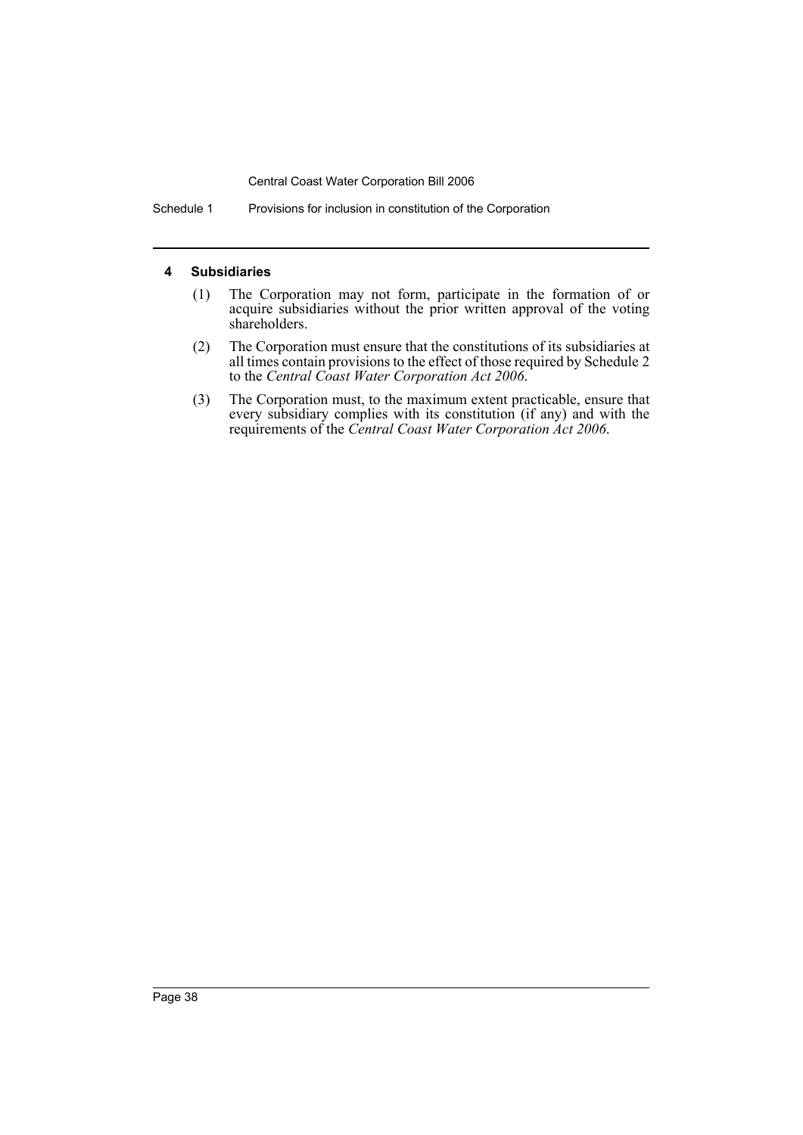Schedule 1 Provisions for inclusion in constitution of the Corporation

#### **4 Subsidiaries**

- (1) The Corporation may not form, participate in the formation of or acquire subsidiaries without the prior written approval of the voting shareholders.
- (2) The Corporation must ensure that the constitutions of its subsidiaries at all times contain provisions to the effect of those required by Schedule 2 to the *Central Coast Water Corporation Act 2006*.
- (3) The Corporation must, to the maximum extent practicable, ensure that every subsidiary complies with its constitution (if any) and with the requirements of the *Central Coast Water Corporation Act 2006*.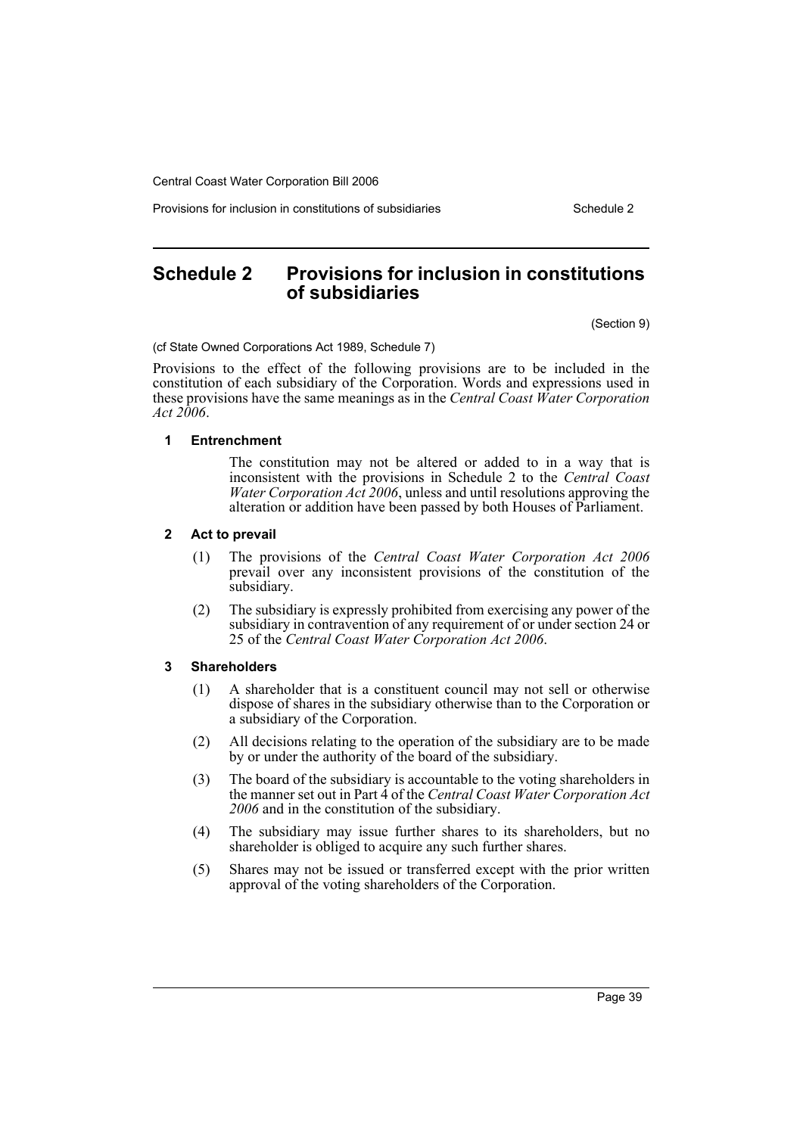Provisions for inclusion in constitutions of subsidiaries Schedule 2

## <span id="page-41-0"></span>**Schedule 2 Provisions for inclusion in constitutions of subsidiaries**

(Section 9)

(cf State Owned Corporations Act 1989, Schedule 7)

Provisions to the effect of the following provisions are to be included in the constitution of each subsidiary of the Corporation. Words and expressions used in these provisions have the same meanings as in the *Central Coast Water Corporation Act 2006*.

#### **1 Entrenchment**

The constitution may not be altered or added to in a way that is inconsistent with the provisions in Schedule 2 to the *Central Coast Water Corporation Act 2006*, unless and until resolutions approving the alteration or addition have been passed by both Houses of Parliament.

#### **2 Act to prevail**

- (1) The provisions of the *Central Coast Water Corporation Act 2006* prevail over any inconsistent provisions of the constitution of the subsidiary.
- (2) The subsidiary is expressly prohibited from exercising any power of the subsidiary in contravention of any requirement of or under section 24 or 25 of the *Central Coast Water Corporation Act 2006*.

#### **3 Shareholders**

- (1) A shareholder that is a constituent council may not sell or otherwise dispose of shares in the subsidiary otherwise than to the Corporation or a subsidiary of the Corporation.
- (2) All decisions relating to the operation of the subsidiary are to be made by or under the authority of the board of the subsidiary.
- (3) The board of the subsidiary is accountable to the voting shareholders in the manner set out in Part 4 of the *Central Coast Water Corporation Act 2006* and in the constitution of the subsidiary.
- (4) The subsidiary may issue further shares to its shareholders, but no shareholder is obliged to acquire any such further shares.
- (5) Shares may not be issued or transferred except with the prior written approval of the voting shareholders of the Corporation.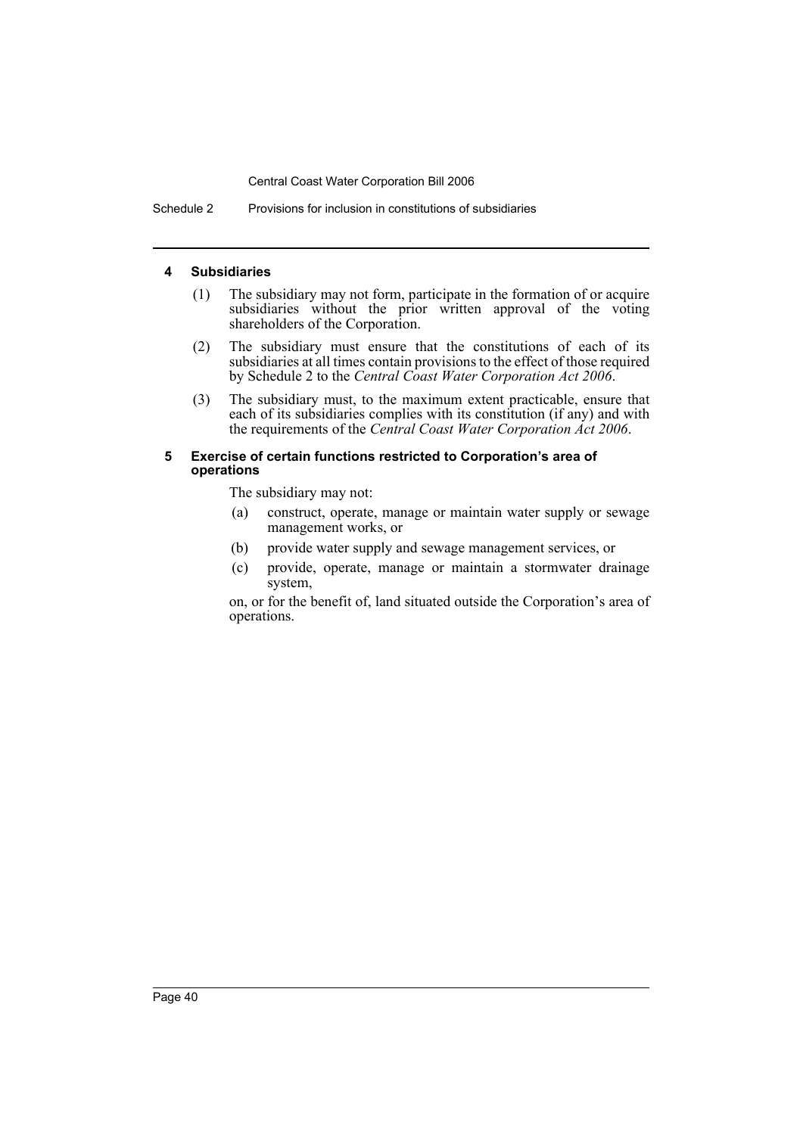Schedule 2 Provisions for inclusion in constitutions of subsidiaries

#### **4 Subsidiaries**

- (1) The subsidiary may not form, participate in the formation of or acquire subsidiaries without the prior written approval of the voting shareholders of the Corporation.
- (2) The subsidiary must ensure that the constitutions of each of its subsidiaries at all times contain provisions to the effect of those required by Schedule 2 to the *Central Coast Water Corporation Act 2006*.
- (3) The subsidiary must, to the maximum extent practicable, ensure that each of its subsidiaries complies with its constitution (if any) and with the requirements of the *Central Coast Water Corporation Act 2006*.

#### **5 Exercise of certain functions restricted to Corporation's area of operations**

The subsidiary may not:

- (a) construct, operate, manage or maintain water supply or sewage management works, or
- (b) provide water supply and sewage management services, or
- (c) provide, operate, manage or maintain a stormwater drainage system,

on, or for the benefit of, land situated outside the Corporation's area of operations.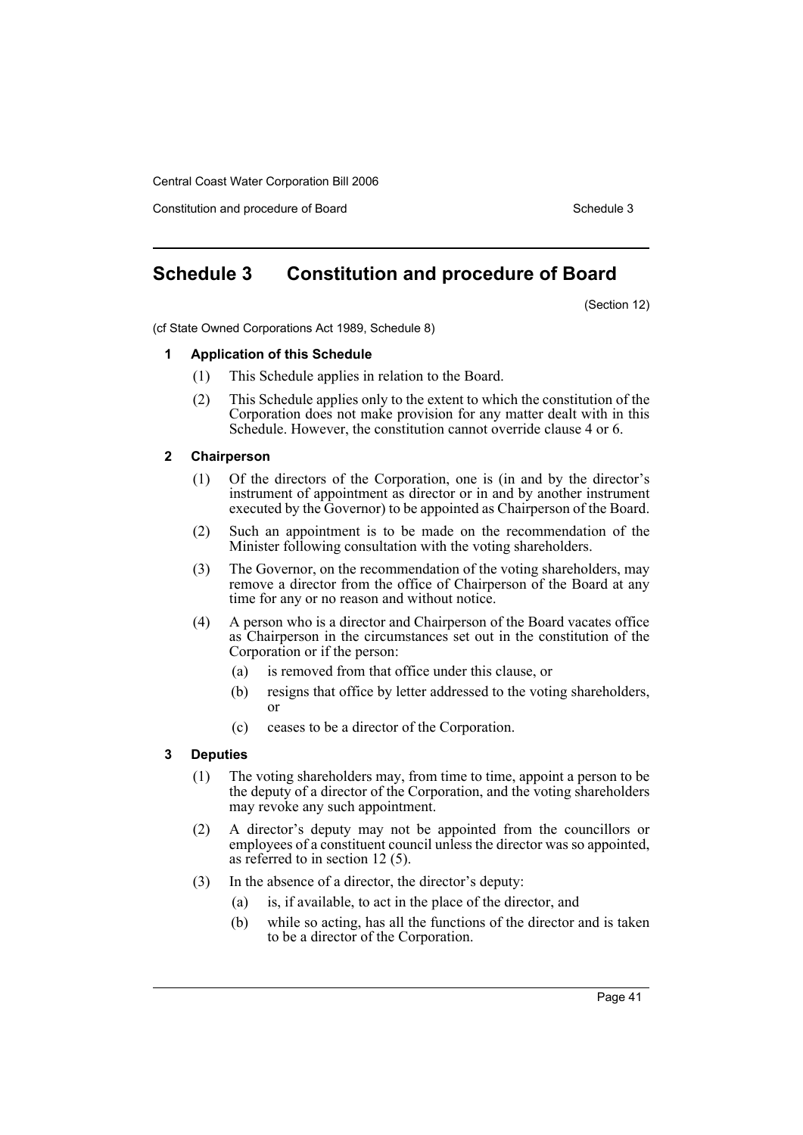Constitution and procedure of Board Schedule 3 and Schedule 3 and Schedule 3 and Schedule 3

## <span id="page-43-0"></span>**Schedule 3 Constitution and procedure of Board**

(Section 12)

(cf State Owned Corporations Act 1989, Schedule 8)

#### **1 Application of this Schedule**

- (1) This Schedule applies in relation to the Board.
- (2) This Schedule applies only to the extent to which the constitution of the Corporation does not make provision for any matter dealt with in this Schedule. However, the constitution cannot override clause 4 or 6.

#### **2 Chairperson**

- (1) Of the directors of the Corporation, one is (in and by the director's instrument of appointment as director or in and by another instrument executed by the Governor) to be appointed as Chairperson of the Board.
- (2) Such an appointment is to be made on the recommendation of the Minister following consultation with the voting shareholders.
- (3) The Governor, on the recommendation of the voting shareholders, may remove a director from the office of Chairperson of the Board at any time for any or no reason and without notice.
- (4) A person who is a director and Chairperson of the Board vacates office as Chairperson in the circumstances set out in the constitution of the Corporation or if the person:
	- (a) is removed from that office under this clause, or
	- (b) resigns that office by letter addressed to the voting shareholders, or
	- (c) ceases to be a director of the Corporation.

### **3 Deputies**

- (1) The voting shareholders may, from time to time, appoint a person to be the deputy of a director of the Corporation, and the voting shareholders may revoke any such appointment.
- (2) A director's deputy may not be appointed from the councillors or employees of a constituent council unless the director was so appointed, as referred to in section 12 (5).
- (3) In the absence of a director, the director's deputy:
	- (a) is, if available, to act in the place of the director, and
	- (b) while so acting, has all the functions of the director and is taken to be a director of the Corporation.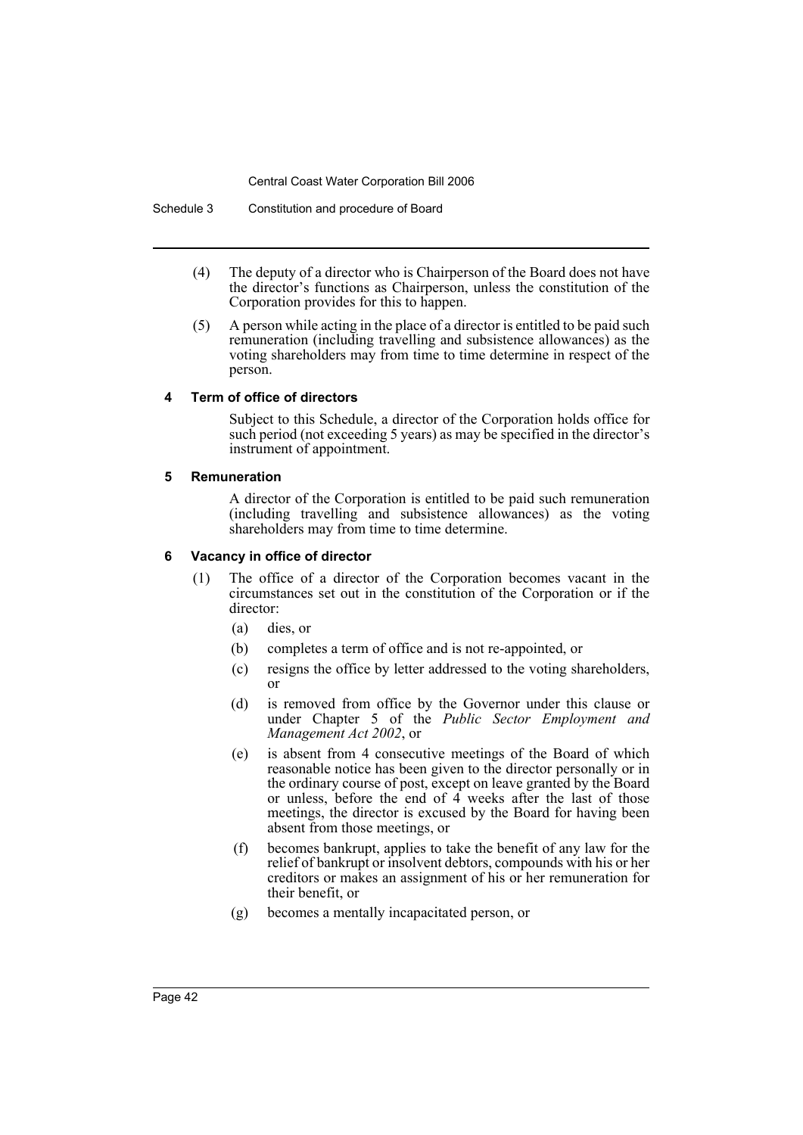Schedule 3 Constitution and procedure of Board

- (4) The deputy of a director who is Chairperson of the Board does not have the director's functions as Chairperson, unless the constitution of the Corporation provides for this to happen.
- (5) A person while acting in the place of a director is entitled to be paid such remuneration (including travelling and subsistence allowances) as the voting shareholders may from time to time determine in respect of the person.

### **4 Term of office of directors**

Subject to this Schedule, a director of the Corporation holds office for such period (not exceeding 5 years) as may be specified in the director's instrument of appointment.

### **5 Remuneration**

A director of the Corporation is entitled to be paid such remuneration (including travelling and subsistence allowances) as the voting shareholders may from time to time determine.

## **6 Vacancy in office of director**

- (1) The office of a director of the Corporation becomes vacant in the circumstances set out in the constitution of the Corporation or if the director:
	- (a) dies, or
	- (b) completes a term of office and is not re-appointed, or
	- (c) resigns the office by letter addressed to the voting shareholders, or
	- (d) is removed from office by the Governor under this clause or under Chapter 5 of the *Public Sector Employment and Management Act 2002*, or
	- (e) is absent from 4 consecutive meetings of the Board of which reasonable notice has been given to the director personally or in the ordinary course of post, except on leave granted by the Board or unless, before the end of  $\overline{4}$  weeks after the last of those meetings, the director is excused by the Board for having been absent from those meetings, or
	- (f) becomes bankrupt, applies to take the benefit of any law for the relief of bankrupt or insolvent debtors, compounds with his or her creditors or makes an assignment of his or her remuneration for their benefit, or
	- (g) becomes a mentally incapacitated person, or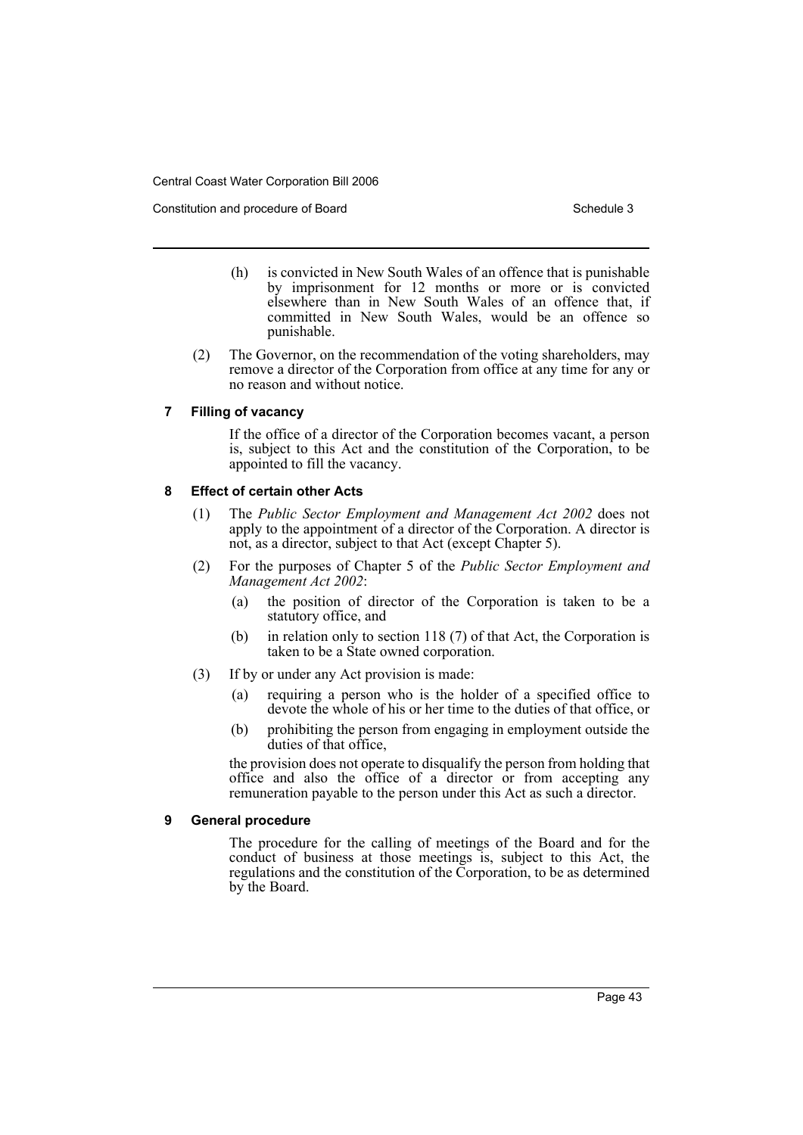- (h) is convicted in New South Wales of an offence that is punishable by imprisonment for 12 months or more or is convicted elsewhere than in New South Wales of an offence that, if committed in New South Wales, would be an offence so punishable.
- (2) The Governor, on the recommendation of the voting shareholders, may remove a director of the Corporation from office at any time for any or no reason and without notice.

#### **7 Filling of vacancy**

If the office of a director of the Corporation becomes vacant, a person is, subject to this Act and the constitution of the Corporation, to be appointed to fill the vacancy.

#### **8 Effect of certain other Acts**

- (1) The *Public Sector Employment and Management Act 2002* does not apply to the appointment of a director of the Corporation. A director is not, as a director, subject to that Act (except Chapter 5).
- (2) For the purposes of Chapter 5 of the *Public Sector Employment and Management Act 2002*:
	- (a) the position of director of the Corporation is taken to be a statutory office, and
	- (b) in relation only to section 118 (7) of that Act, the Corporation is taken to be a State owned corporation.
- (3) If by or under any Act provision is made:
	- (a) requiring a person who is the holder of a specified office to devote the whole of his or her time to the duties of that office, or
	- (b) prohibiting the person from engaging in employment outside the duties of that office,

the provision does not operate to disqualify the person from holding that office and also the office of a director or from accepting any remuneration payable to the person under this Act as such a director.

#### **9 General procedure**

The procedure for the calling of meetings of the Board and for the conduct of business at those meetings is, subject to this Act, the regulations and the constitution of the Corporation, to be as determined by the Board.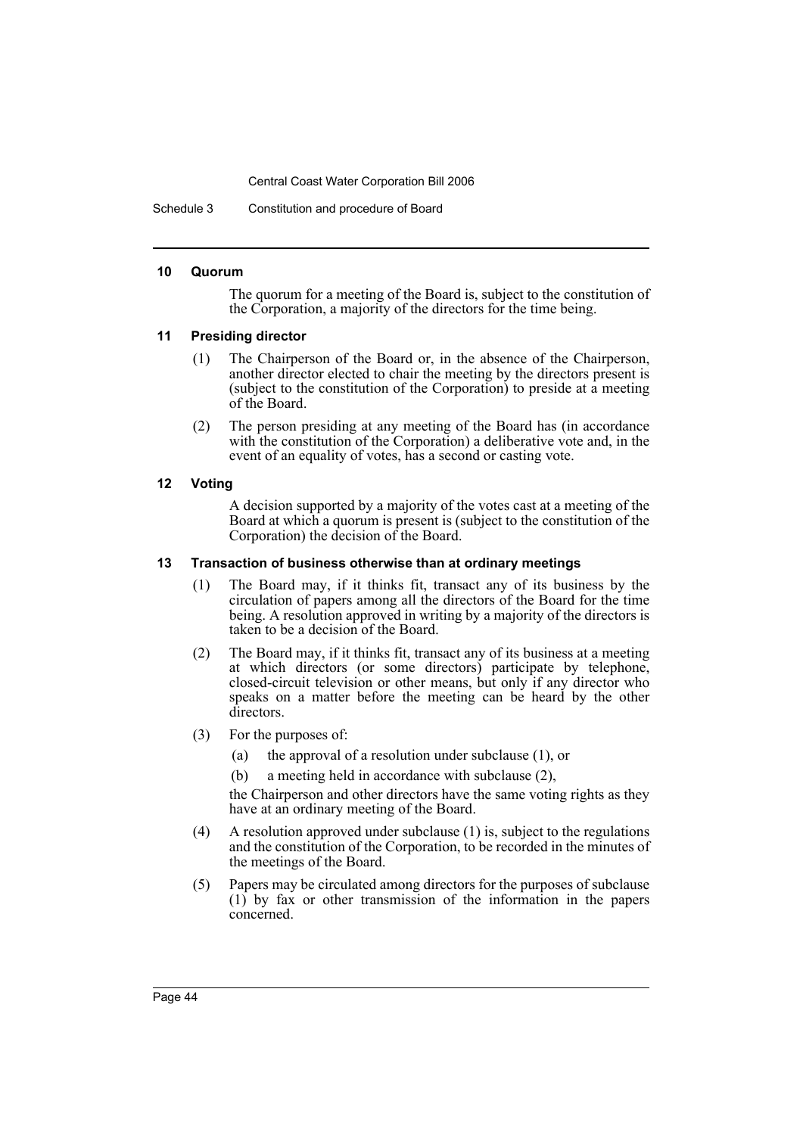Schedule 3 Constitution and procedure of Board

#### **10 Quorum**

The quorum for a meeting of the Board is, subject to the constitution of the Corporation, a majority of the directors for the time being.

#### **11 Presiding director**

- (1) The Chairperson of the Board or, in the absence of the Chairperson, another director elected to chair the meeting by the directors present is (subject to the constitution of the Corporation) to preside at a meeting of the Board.
- (2) The person presiding at any meeting of the Board has (in accordance with the constitution of the Corporation) a deliberative vote and, in the event of an equality of votes, has a second or casting vote.

#### **12 Voting**

A decision supported by a majority of the votes cast at a meeting of the Board at which a quorum is present is (subject to the constitution of the Corporation) the decision of the Board.

#### **13 Transaction of business otherwise than at ordinary meetings**

- (1) The Board may, if it thinks fit, transact any of its business by the circulation of papers among all the directors of the Board for the time being. A resolution approved in writing by a majority of the directors is taken to be a decision of the Board.
- (2) The Board may, if it thinks fit, transact any of its business at a meeting at which directors (or some directors) participate by telephone, closed-circuit television or other means, but only if any director who speaks on a matter before the meeting can be heard by the other directors.
- (3) For the purposes of:
	- (a) the approval of a resolution under subclause (1), or
	- (b) a meeting held in accordance with subclause (2),

the Chairperson and other directors have the same voting rights as they have at an ordinary meeting of the Board.

- (4) A resolution approved under subclause (1) is, subject to the regulations and the constitution of the Corporation, to be recorded in the minutes of the meetings of the Board.
- (5) Papers may be circulated among directors for the purposes of subclause (1) by fax or other transmission of the information in the papers concerned.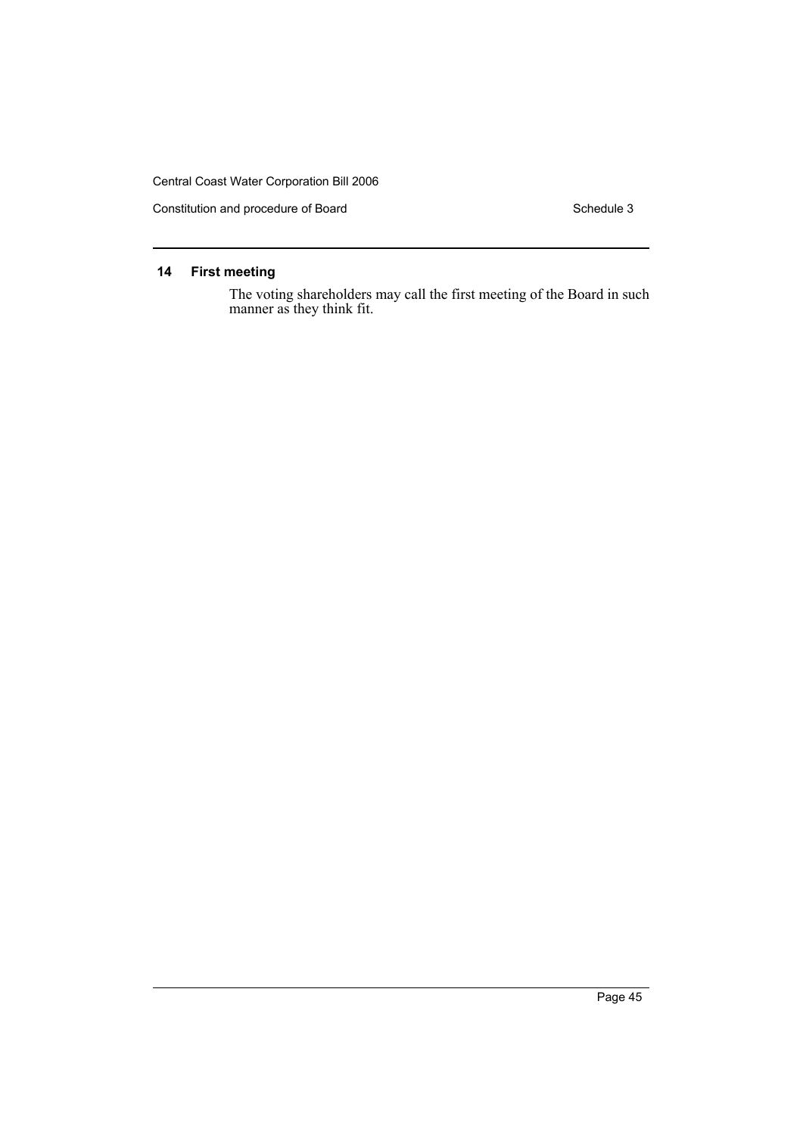Constitution and procedure of Board Schedule 3 Schedule 3

## **14 First meeting**

The voting shareholders may call the first meeting of the Board in such manner as they think fit.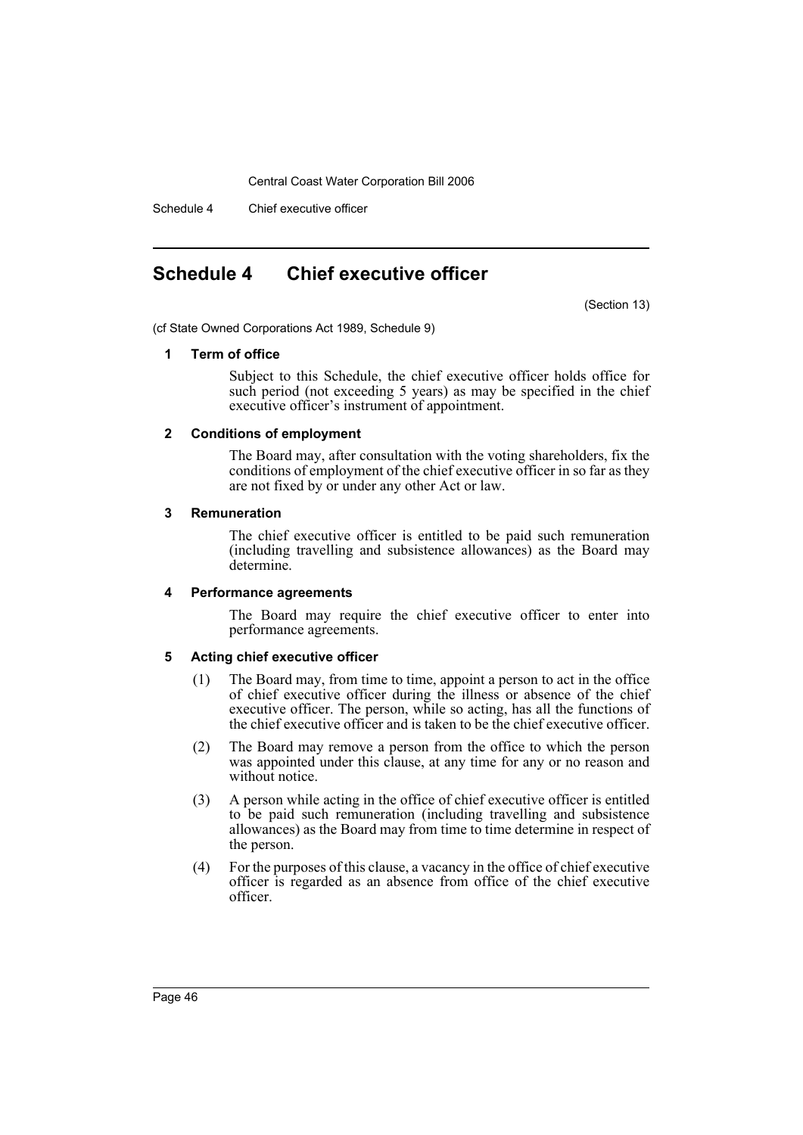Schedule 4 Chief executive officer

## <span id="page-48-0"></span>**Schedule 4 Chief executive officer**

(Section 13)

(cf State Owned Corporations Act 1989, Schedule 9)

#### **1 Term of office**

Subject to this Schedule, the chief executive officer holds office for such period (not exceeding 5 years) as may be specified in the chief executive officer's instrument of appointment.

#### **2 Conditions of employment**

The Board may, after consultation with the voting shareholders, fix the conditions of employment of the chief executive officer in so far as they are not fixed by or under any other Act or law.

#### **3 Remuneration**

The chief executive officer is entitled to be paid such remuneration (including travelling and subsistence allowances) as the Board may determine.

#### **4 Performance agreements**

The Board may require the chief executive officer to enter into performance agreements.

#### **5 Acting chief executive officer**

- (1) The Board may, from time to time, appoint a person to act in the office of chief executive officer during the illness or absence of the chief executive officer. The person, while so acting, has all the functions of the chief executive officer and is taken to be the chief executive officer.
- (2) The Board may remove a person from the office to which the person was appointed under this clause, at any time for any or no reason and without notice
- (3) A person while acting in the office of chief executive officer is entitled to be paid such remuneration (including travelling and subsistence allowances) as the Board may from time to time determine in respect of the person.
- (4) For the purposes of this clause, a vacancy in the office of chief executive officer is regarded as an absence from office of the chief executive officer.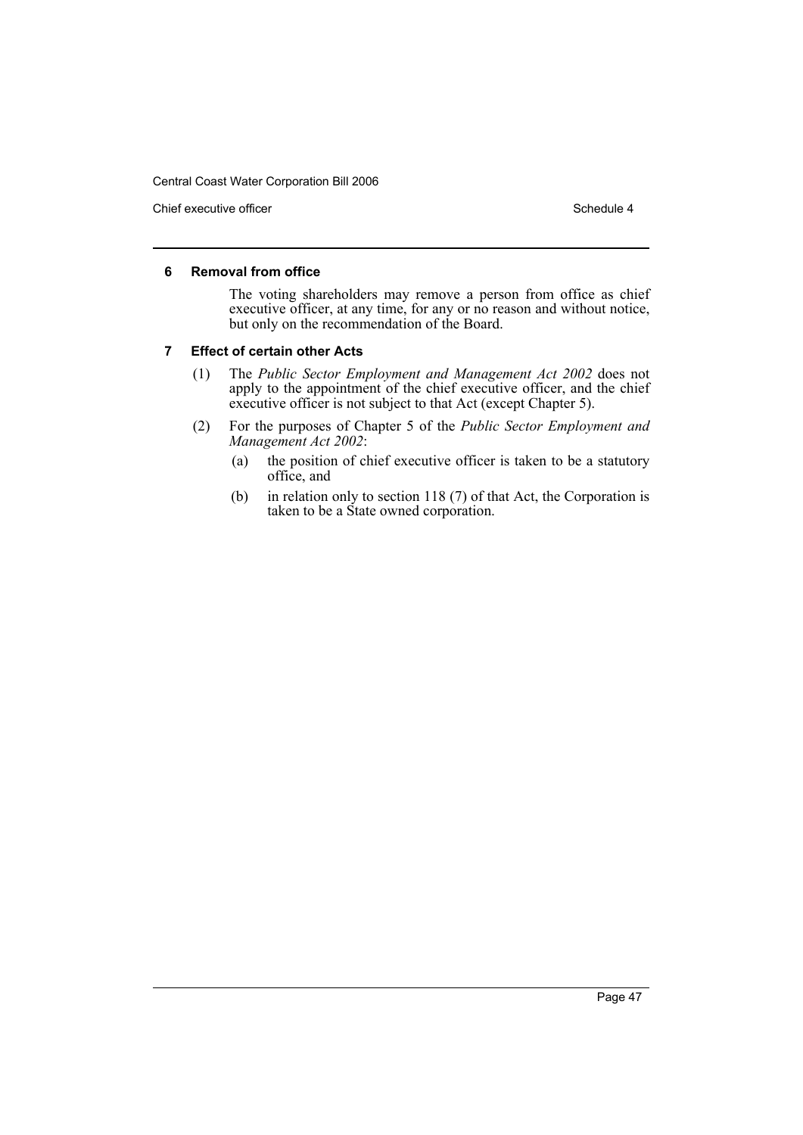Chief executive officer  $\overline{a}$  Schedule 4

#### **6 Removal from office**

The voting shareholders may remove a person from office as chief executive officer, at any time, for any or no reason and without notice, but only on the recommendation of the Board.

## **7 Effect of certain other Acts**

- (1) The *Public Sector Employment and Management Act 2002* does not apply to the appointment of the chief executive officer, and the chief executive officer is not subject to that Act (except Chapter 5).
- (2) For the purposes of Chapter 5 of the *Public Sector Employment and Management Act 2002*:
	- (a) the position of chief executive officer is taken to be a statutory office, and
	- (b) in relation only to section 118 (7) of that Act, the Corporation is taken to be a State owned corporation.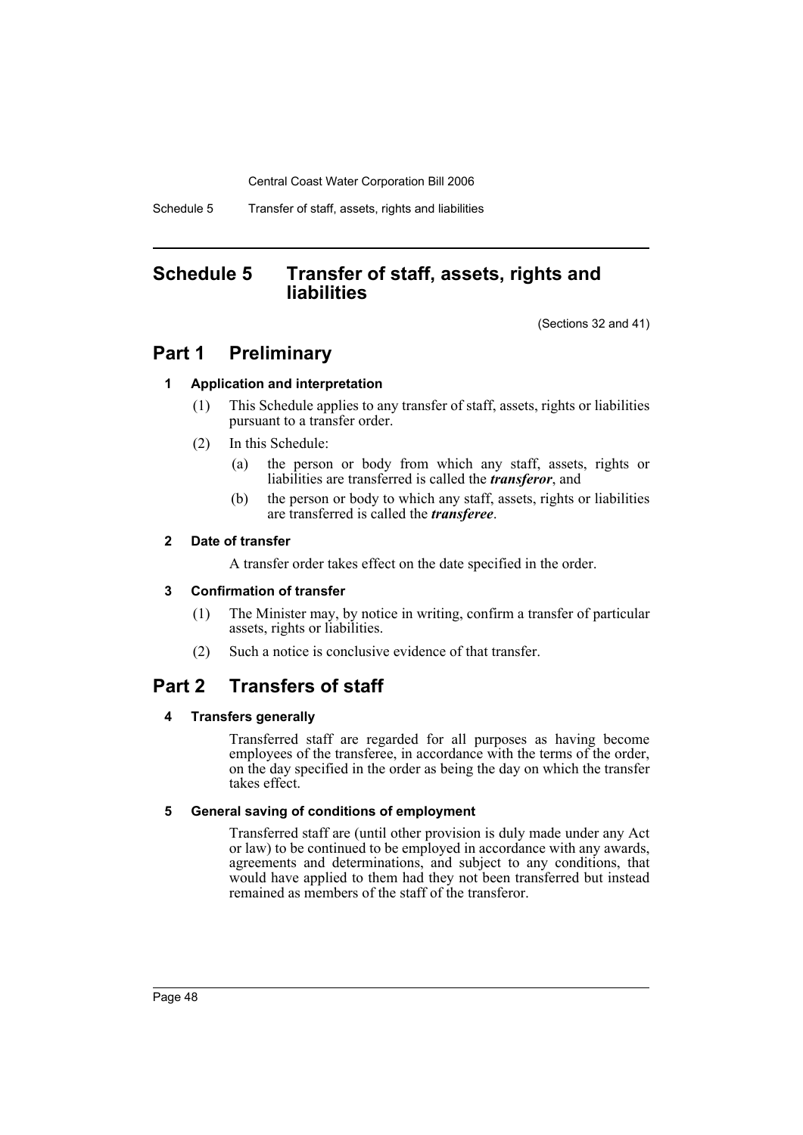Schedule 5 Transfer of staff, assets, rights and liabilities

## <span id="page-50-0"></span>**Schedule 5 Transfer of staff, assets, rights and liabilities**

(Sections 32 and 41)

## **Part 1 Preliminary**

## **1 Application and interpretation**

- (1) This Schedule applies to any transfer of staff, assets, rights or liabilities pursuant to a transfer order.
- (2) In this Schedule:
	- (a) the person or body from which any staff, assets, rights or liabilities are transferred is called the *transferor*, and
	- (b) the person or body to which any staff, assets, rights or liabilities are transferred is called the *transferee*.

## **2 Date of transfer**

A transfer order takes effect on the date specified in the order.

## **3 Confirmation of transfer**

- (1) The Minister may, by notice in writing, confirm a transfer of particular assets, rights or liabilities.
- (2) Such a notice is conclusive evidence of that transfer.

## **Part 2 Transfers of staff**

## **4 Transfers generally**

Transferred staff are regarded for all purposes as having become employees of the transferee, in accordance with the terms of the order, on the day specified in the order as being the day on which the transfer takes effect.

## **5 General saving of conditions of employment**

Transferred staff are (until other provision is duly made under any Act or law) to be continued to be employed in accordance with any awards, agreements and determinations, and subject to any conditions, that would have applied to them had they not been transferred but instead remained as members of the staff of the transferor.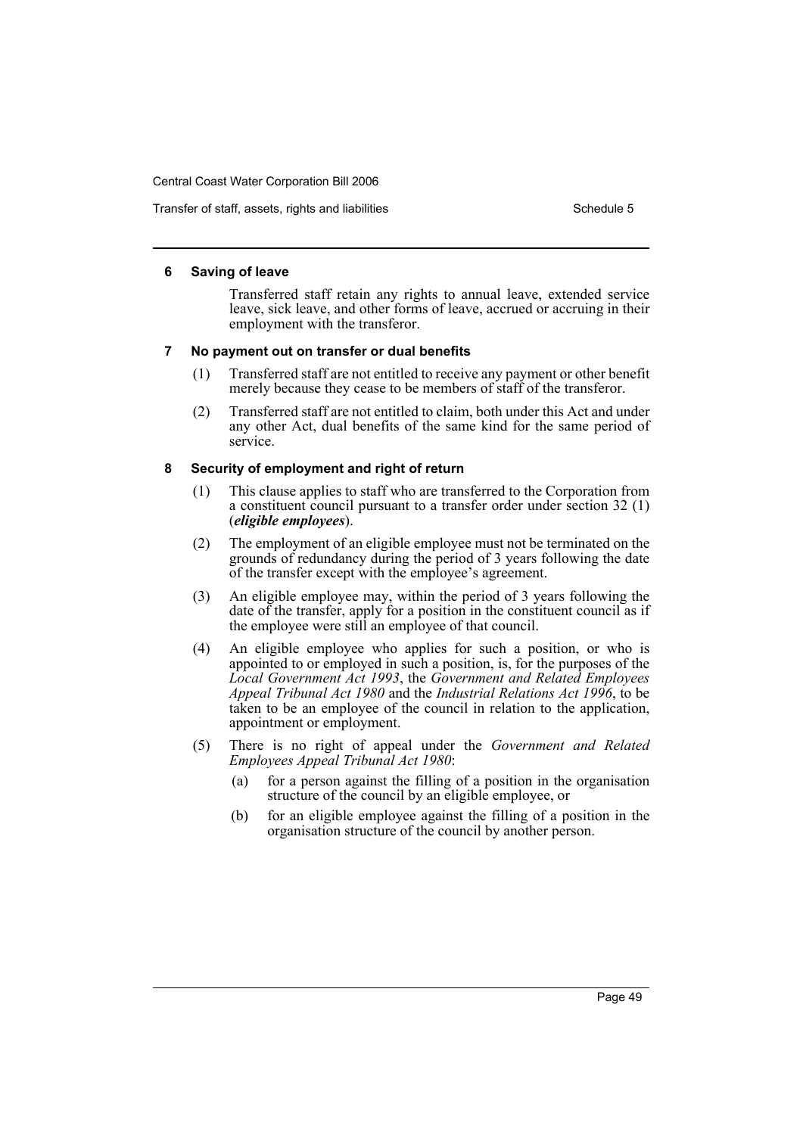Transfer of staff, assets, rights and liabilities Schedule 5 Schedule 5

#### **6 Saving of leave**

Transferred staff retain any rights to annual leave, extended service leave, sick leave, and other forms of leave, accrued or accruing in their employment with the transferor.

#### **7 No payment out on transfer or dual benefits**

- (1) Transferred staff are not entitled to receive any payment or other benefit merely because they cease to be members of staff of the transferor.
- (2) Transferred staff are not entitled to claim, both under this Act and under any other Act, dual benefits of the same kind for the same period of service.

#### **8 Security of employment and right of return**

- (1) This clause applies to staff who are transferred to the Corporation from a constituent council pursuant to a transfer order under section 32 (1) (*eligible employees*).
- (2) The employment of an eligible employee must not be terminated on the grounds of redundancy during the period of 3 years following the date of the transfer except with the employee's agreement.
- (3) An eligible employee may, within the period of 3 years following the date of the transfer, apply for a position in the constituent council as if the employee were still an employee of that council.
- (4) An eligible employee who applies for such a position, or who is appointed to or employed in such a position, is, for the purposes of the *Local Government Act 1993*, the *Government and Related Employees Appeal Tribunal Act 1980* and the *Industrial Relations Act 1996*, to be taken to be an employee of the council in relation to the application, appointment or employment.
- (5) There is no right of appeal under the *Government and Related Employees Appeal Tribunal Act 1980*:
	- (a) for a person against the filling of a position in the organisation structure of the council by an eligible employee, or
	- (b) for an eligible employee against the filling of a position in the organisation structure of the council by another person.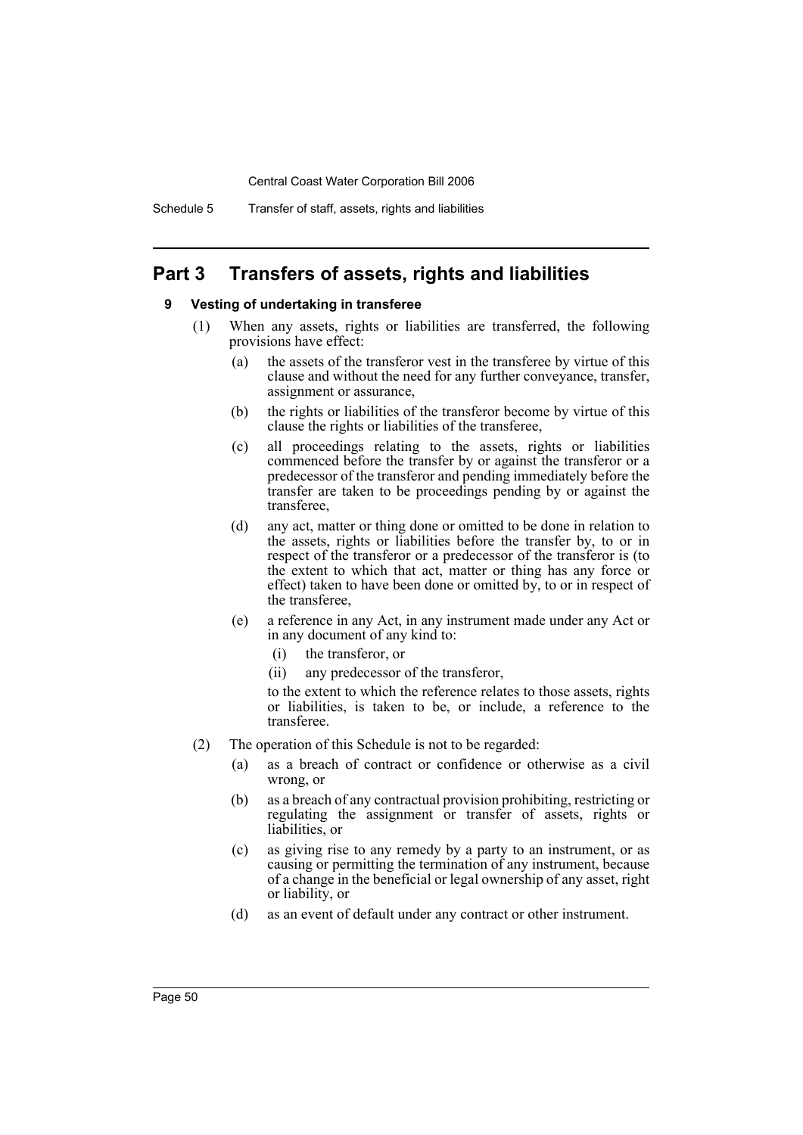## **Part 3 Transfers of assets, rights and liabilities**

#### **9 Vesting of undertaking in transferee**

- (1) When any assets, rights or liabilities are transferred, the following provisions have effect:
	- (a) the assets of the transferor vest in the transferee by virtue of this clause and without the need for any further conveyance, transfer, assignment or assurance,
	- (b) the rights or liabilities of the transferor become by virtue of this clause the rights or liabilities of the transferee,
	- (c) all proceedings relating to the assets, rights or liabilities commenced before the transfer by or against the transferor or a predecessor of the transferor and pending immediately before the transfer are taken to be proceedings pending by or against the transferee,
	- (d) any act, matter or thing done or omitted to be done in relation to the assets, rights or liabilities before the transfer by, to or in respect of the transferor or a predecessor of the transferor is (to the extent to which that act, matter or thing has any force or effect) taken to have been done or omitted by, to or in respect of the transferee,
	- (e) a reference in any Act, in any instrument made under any Act or in any document of any kind to:
		- (i) the transferor, or
		- (ii) any predecessor of the transferor,

to the extent to which the reference relates to those assets, rights or liabilities, is taken to be, or include, a reference to the transferee.

- (2) The operation of this Schedule is not to be regarded:
	- (a) as a breach of contract or confidence or otherwise as a civil wrong, or
	- (b) as a breach of any contractual provision prohibiting, restricting or regulating the assignment or transfer of assets, rights or liabilities, or
	- (c) as giving rise to any remedy by a party to an instrument, or as causing or permitting the termination of any instrument, because of a change in the beneficial or legal ownership of any asset, right or liability, or
	- (d) as an event of default under any contract or other instrument.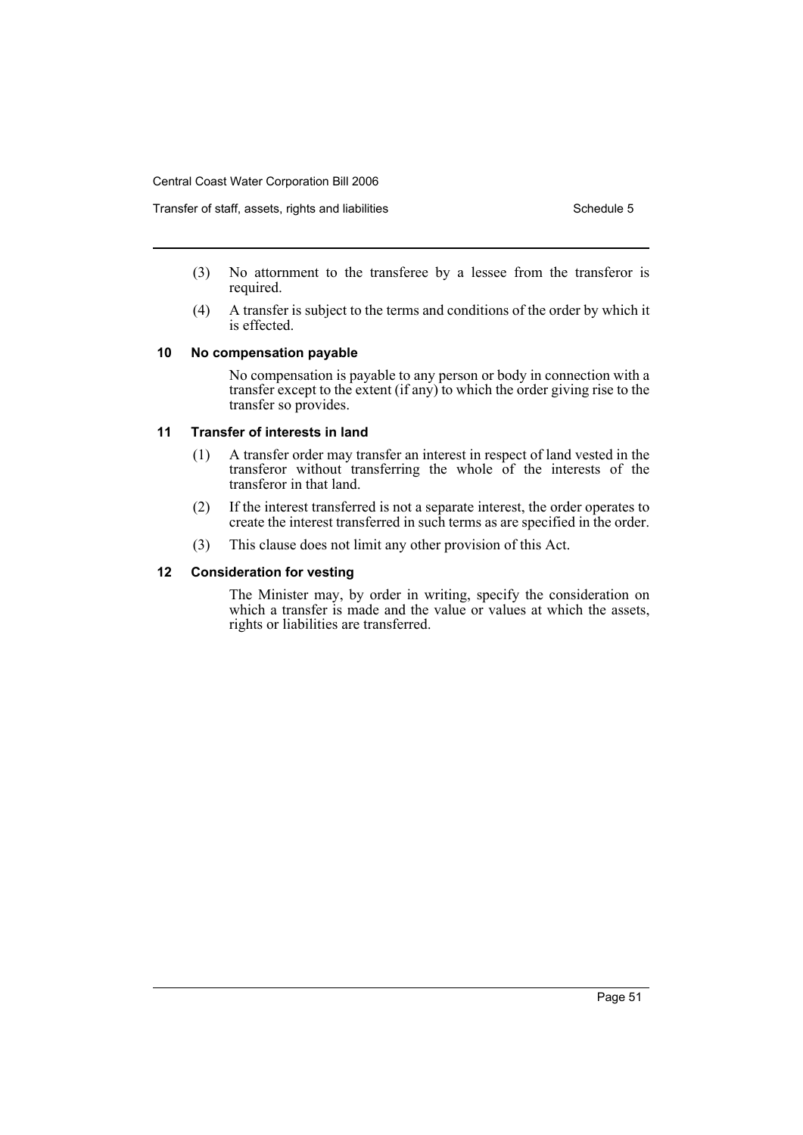- (3) No attornment to the transferee by a lessee from the transferor is required.
- (4) A transfer is subject to the terms and conditions of the order by which it is effected.

#### **10 No compensation payable**

No compensation is payable to any person or body in connection with a transfer except to the extent (if any) to which the order giving rise to the transfer so provides.

### **11 Transfer of interests in land**

- (1) A transfer order may transfer an interest in respect of land vested in the transferor without transferring the whole of the interests of the transferor in that land.
- (2) If the interest transferred is not a separate interest, the order operates to create the interest transferred in such terms as are specified in the order.
- (3) This clause does not limit any other provision of this Act.

### **12 Consideration for vesting**

The Minister may, by order in writing, specify the consideration on which a transfer is made and the value or values at which the assets, rights or liabilities are transferred.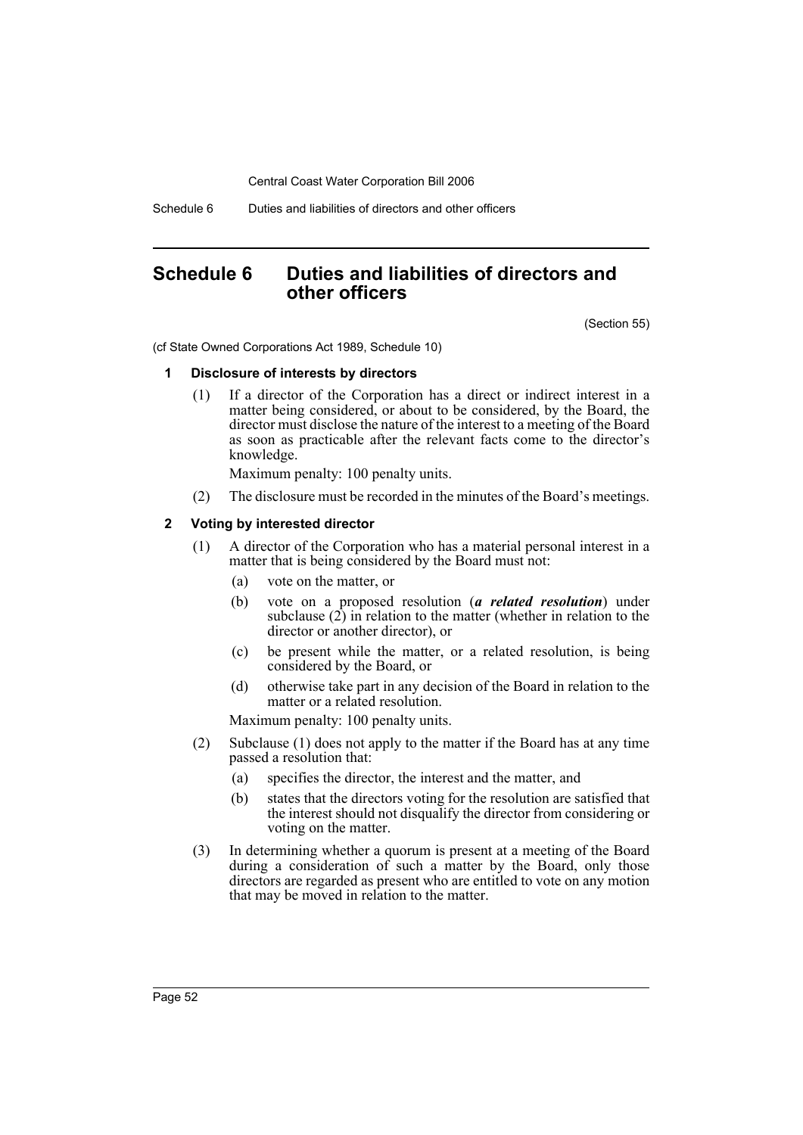Schedule 6 Duties and liabilities of directors and other officers

## <span id="page-54-0"></span>**Schedule 6 Duties and liabilities of directors and other officers**

(Section 55)

(cf State Owned Corporations Act 1989, Schedule 10)

#### **1 Disclosure of interests by directors**

(1) If a director of the Corporation has a direct or indirect interest in a matter being considered, or about to be considered, by the Board, the director must disclose the nature of the interest to a meeting of the Board as soon as practicable after the relevant facts come to the director's knowledge.

Maximum penalty: 100 penalty units.

(2) The disclosure must be recorded in the minutes of the Board's meetings.

#### **2 Voting by interested director**

- (1) A director of the Corporation who has a material personal interest in a matter that is being considered by the Board must not:
	- (a) vote on the matter, or
	- (b) vote on a proposed resolution (*a related resolution*) under subclause  $(2)$  in relation to the matter (whether in relation to the director or another director), or
	- (c) be present while the matter, or a related resolution, is being considered by the Board, or
	- (d) otherwise take part in any decision of the Board in relation to the matter or a related resolution.

Maximum penalty: 100 penalty units.

- (2) Subclause (1) does not apply to the matter if the Board has at any time passed a resolution that:
	- (a) specifies the director, the interest and the matter, and
	- (b) states that the directors voting for the resolution are satisfied that the interest should not disqualify the director from considering or voting on the matter.
- (3) In determining whether a quorum is present at a meeting of the Board during a consideration of such a matter by the Board, only those directors are regarded as present who are entitled to vote on any motion that may be moved in relation to the matter.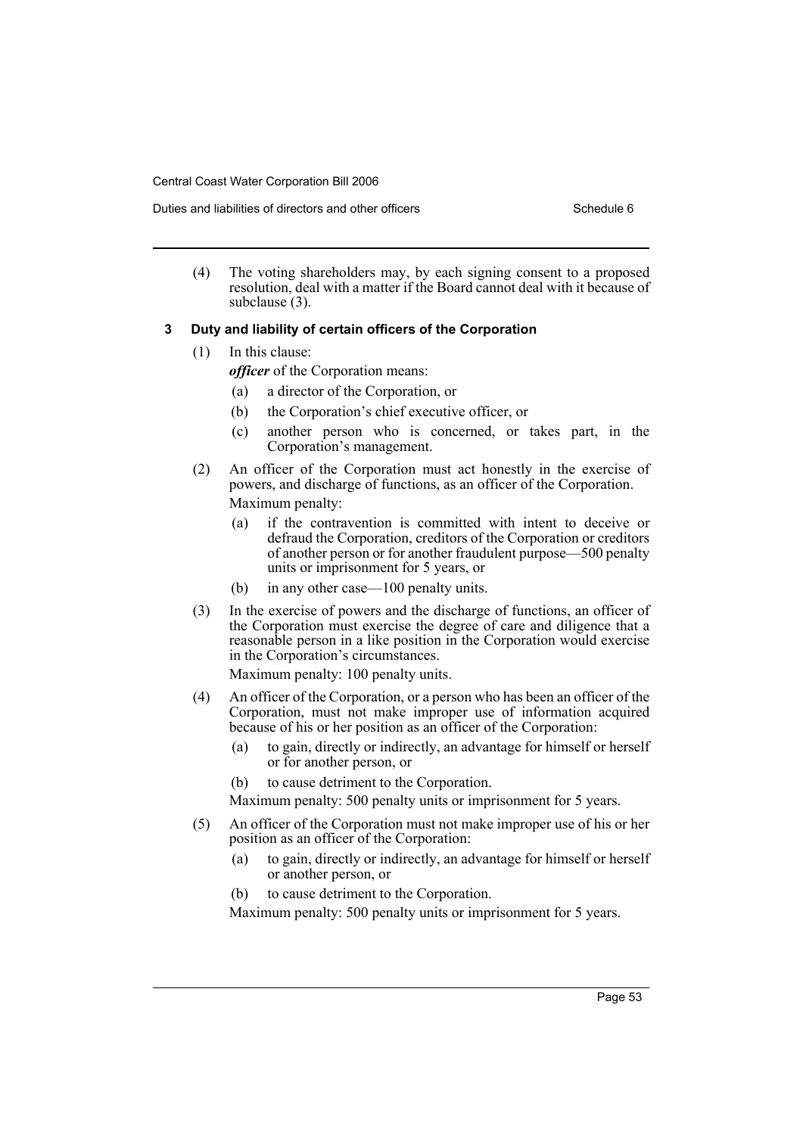Duties and liabilities of directors and other officers Schedule 6

(4) The voting shareholders may, by each signing consent to a proposed resolution, deal with a matter if the Board cannot deal with it because of subclause (3).

### **3 Duty and liability of certain officers of the Corporation**

- (1) In this clause:
	- *officer* of the Corporation means:
		- (a) a director of the Corporation, or
		- (b) the Corporation's chief executive officer, or
		- (c) another person who is concerned, or takes part, in the Corporation's management.
- (2) An officer of the Corporation must act honestly in the exercise of powers, and discharge of functions, as an officer of the Corporation. Maximum penalty:
	- (a) if the contravention is committed with intent to deceive or defraud the Corporation, creditors of the Corporation or creditors of another person or for another fraudulent purpose—500 penalty units or imprisonment for 5 years, or
	- (b) in any other case—100 penalty units.
- (3) In the exercise of powers and the discharge of functions, an officer of the Corporation must exercise the degree of care and diligence that a reasonable person in a like position in the Corporation would exercise in the Corporation's circumstances.

Maximum penalty: 100 penalty units.

- (4) An officer of the Corporation, or a person who has been an officer of the Corporation, must not make improper use of information acquired because of his or her position as an officer of the Corporation:
	- (a) to gain, directly or indirectly, an advantage for himself or herself or for another person, or
	- (b) to cause detriment to the Corporation.

Maximum penalty: 500 penalty units or imprisonment for 5 years.

- (5) An officer of the Corporation must not make improper use of his or her position as an officer of the Corporation:
	- (a) to gain, directly or indirectly, an advantage for himself or herself or another person, or
	- (b) to cause detriment to the Corporation.

Maximum penalty: 500 penalty units or imprisonment for 5 years.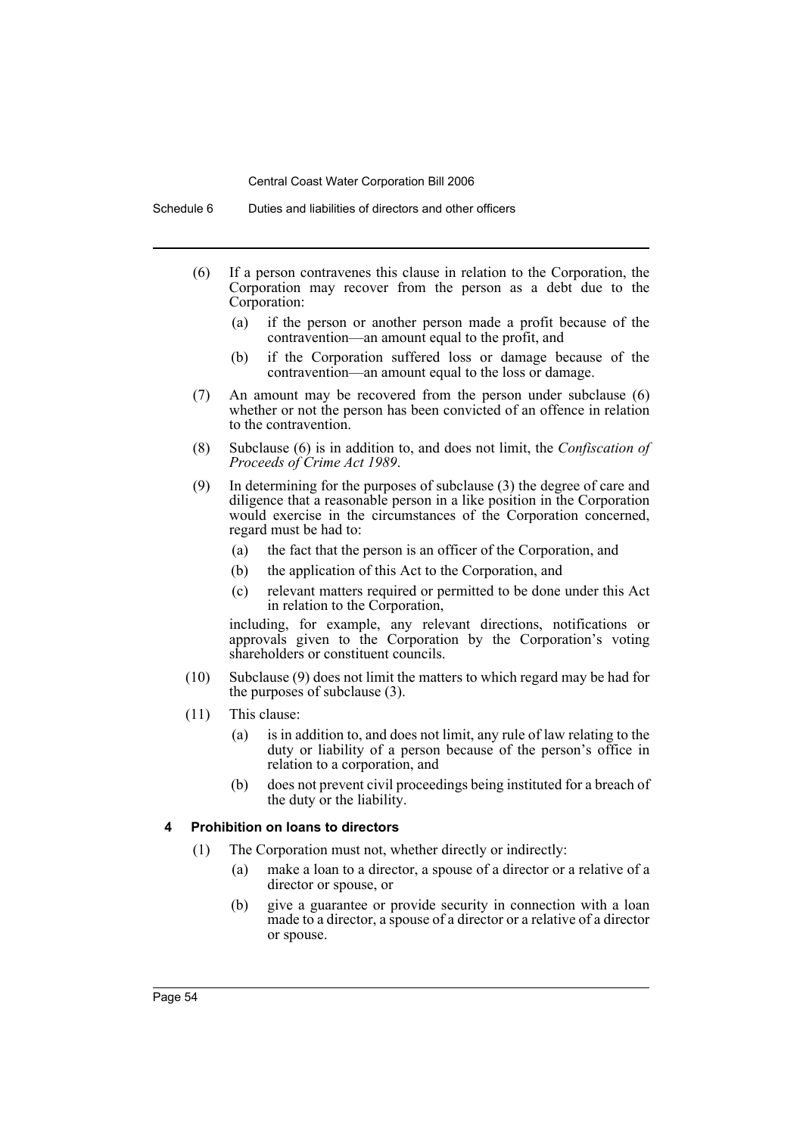Schedule 6 Duties and liabilities of directors and other officers

- (6) If a person contravenes this clause in relation to the Corporation, the Corporation may recover from the person as a debt due to the Corporation:
	- (a) if the person or another person made a profit because of the contravention—an amount equal to the profit, and
	- (b) if the Corporation suffered loss or damage because of the contravention—an amount equal to the loss or damage.
- (7) An amount may be recovered from the person under subclause (6) whether or not the person has been convicted of an offence in relation to the contravention.
- (8) Subclause (6) is in addition to, and does not limit, the *Confiscation of Proceeds of Crime Act 1989*.
- (9) In determining for the purposes of subclause (3) the degree of care and diligence that a reasonable person in a like position in the Corporation would exercise in the circumstances of the Corporation concerned, regard must be had to:
	- (a) the fact that the person is an officer of the Corporation, and
	- (b) the application of this Act to the Corporation, and
	- (c) relevant matters required or permitted to be done under this Act in relation to the Corporation,

including, for example, any relevant directions, notifications or approvals given to the Corporation by the Corporation's voting shareholders or constituent councils.

- (10) Subclause (9) does not limit the matters to which regard may be had for the purposes of subclause (3).
- (11) This clause:
	- (a) is in addition to, and does not limit, any rule of law relating to the duty or liability of a person because of the person's office in relation to a corporation, and
	- (b) does not prevent civil proceedings being instituted for a breach of the duty or the liability.

#### **4 Prohibition on loans to directors**

- (1) The Corporation must not, whether directly or indirectly:
	- (a) make a loan to a director, a spouse of a director or a relative of a director or spouse, or
	- (b) give a guarantee or provide security in connection with a loan made to a director, a spouse of a director or a relative of a director or spouse.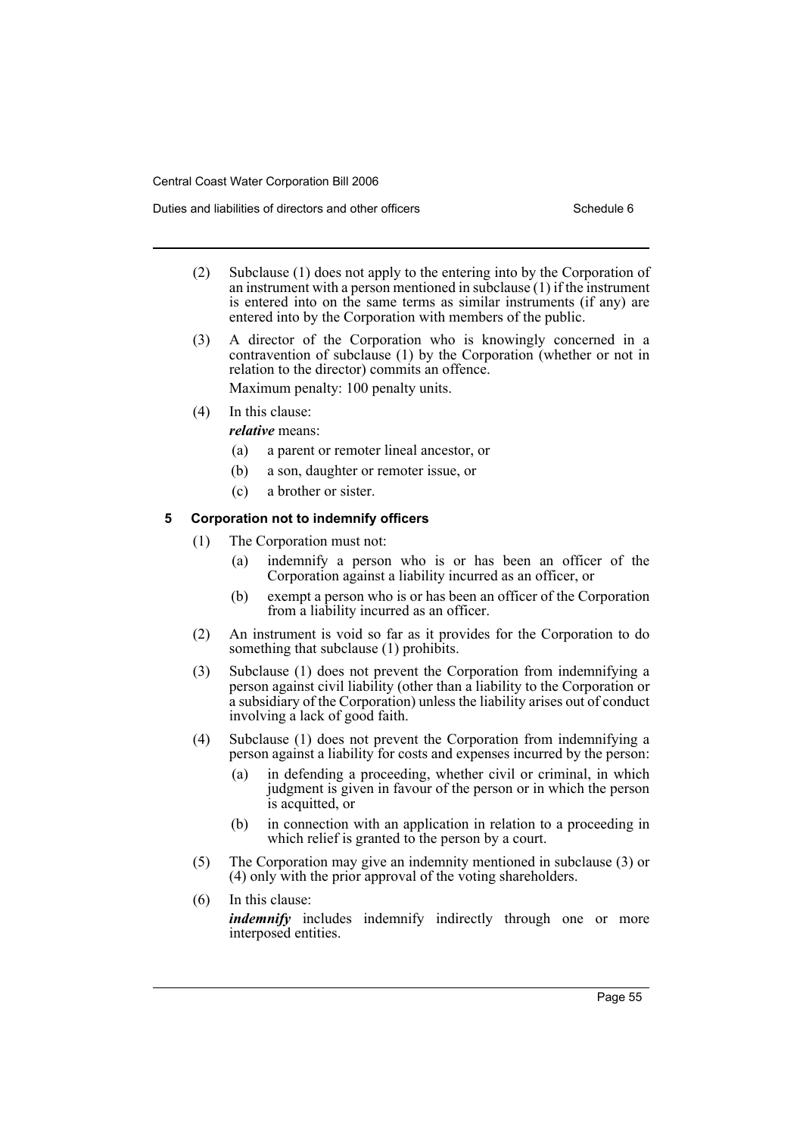Duties and liabilities of directors and other officers Schedule 6

- (2) Subclause (1) does not apply to the entering into by the Corporation of an instrument with a person mentioned in subclause (1) if the instrument is entered into on the same terms as similar instruments (if any) are entered into by the Corporation with members of the public.
- (3) A director of the Corporation who is knowingly concerned in a contravention of subclause (1) by the Corporation (whether or not in relation to the director) commits an offence. Maximum penalty: 100 penalty units.
- (4) In this clause:

*relative* means:

- (a) a parent or remoter lineal ancestor, or
- (b) a son, daughter or remoter issue, or
- (c) a brother or sister.

### **5 Corporation not to indemnify officers**

- (1) The Corporation must not:
	- (a) indemnify a person who is or has been an officer of the Corporation against a liability incurred as an officer, or
	- (b) exempt a person who is or has been an officer of the Corporation from a liability incurred as an officer.
- (2) An instrument is void so far as it provides for the Corporation to do something that subclause (1) prohibits.
- (3) Subclause (1) does not prevent the Corporation from indemnifying a person against civil liability (other than a liability to the Corporation or a subsidiary of the Corporation) unless the liability arises out of conduct involving a lack of good faith.
- (4) Subclause (1) does not prevent the Corporation from indemnifying a person against a liability for costs and expenses incurred by the person:
	- (a) in defending a proceeding, whether civil or criminal, in which judgment is given in favour of the person or in which the person is acquitted, or
	- (b) in connection with an application in relation to a proceeding in which relief is granted to the person by a court.
- (5) The Corporation may give an indemnity mentioned in subclause (3) or (4) only with the prior approval of the voting shareholders.
- (6) In this clause:

*indemnify* includes indemnify indirectly through one or more interposed entities.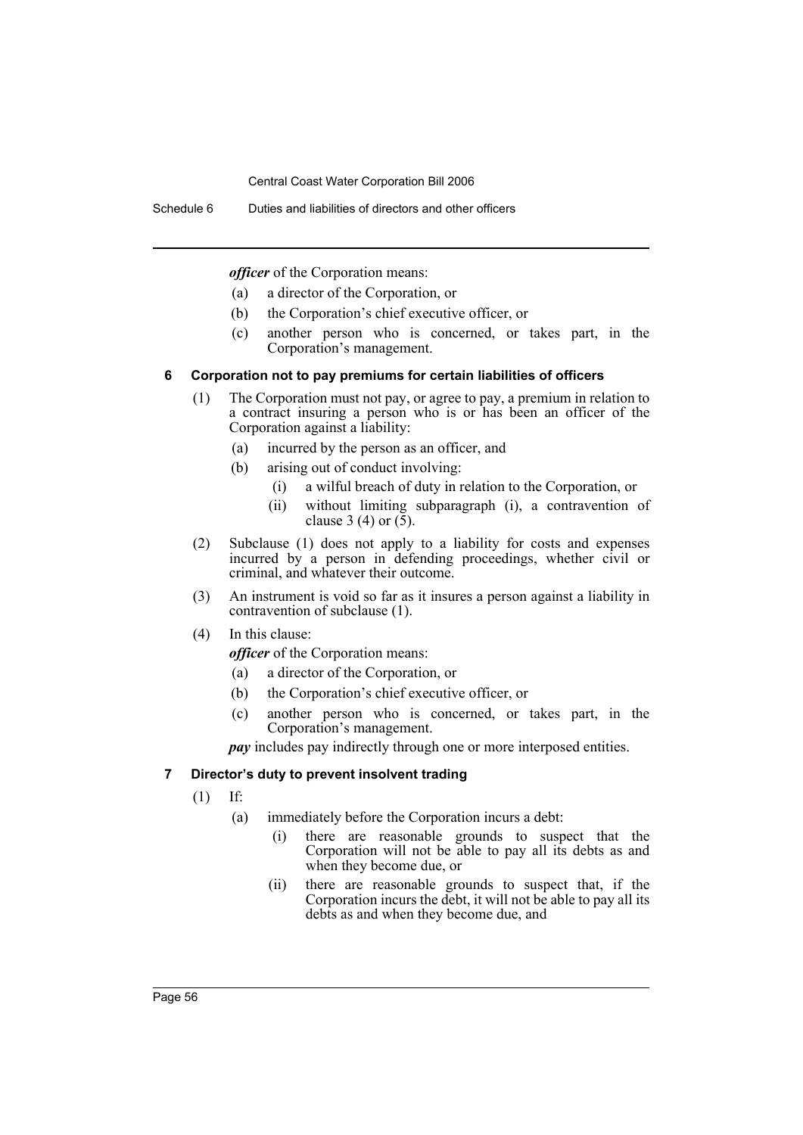Schedule 6 Duties and liabilities of directors and other officers

*officer* of the Corporation means:

- (a) a director of the Corporation, or
- (b) the Corporation's chief executive officer, or
- (c) another person who is concerned, or takes part, in the Corporation's management.

### **6 Corporation not to pay premiums for certain liabilities of officers**

- (1) The Corporation must not pay, or agree to pay, a premium in relation to a contract insuring a person who is or has been an officer of the Corporation against a liability:
	- (a) incurred by the person as an officer, and
	- (b) arising out of conduct involving:
		- (i) a wilful breach of duty in relation to the Corporation, or
		- (ii) without limiting subparagraph (i), a contravention of clause 3 (4) or  $(5)$ .
- (2) Subclause (1) does not apply to a liability for costs and expenses incurred by a person in defending proceedings, whether civil or criminal, and whatever their outcome.
- (3) An instrument is void so far as it insures a person against a liability in contravention of subclause (1).
- (4) In this clause:

*officer* of the Corporation means:

- (a) a director of the Corporation, or
- (b) the Corporation's chief executive officer, or
- (c) another person who is concerned, or takes part, in the Corporation's management.

*pay* includes pay indirectly through one or more interposed entities.

#### **7 Director's duty to prevent insolvent trading**

- (1) If:
	- (a) immediately before the Corporation incurs a debt:
		- (i) there are reasonable grounds to suspect that the Corporation will not be able to pay all its debts as and when they become due, or
		- (ii) there are reasonable grounds to suspect that, if the Corporation incurs the debt, it will not be able to pay all its debts as and when they become due, and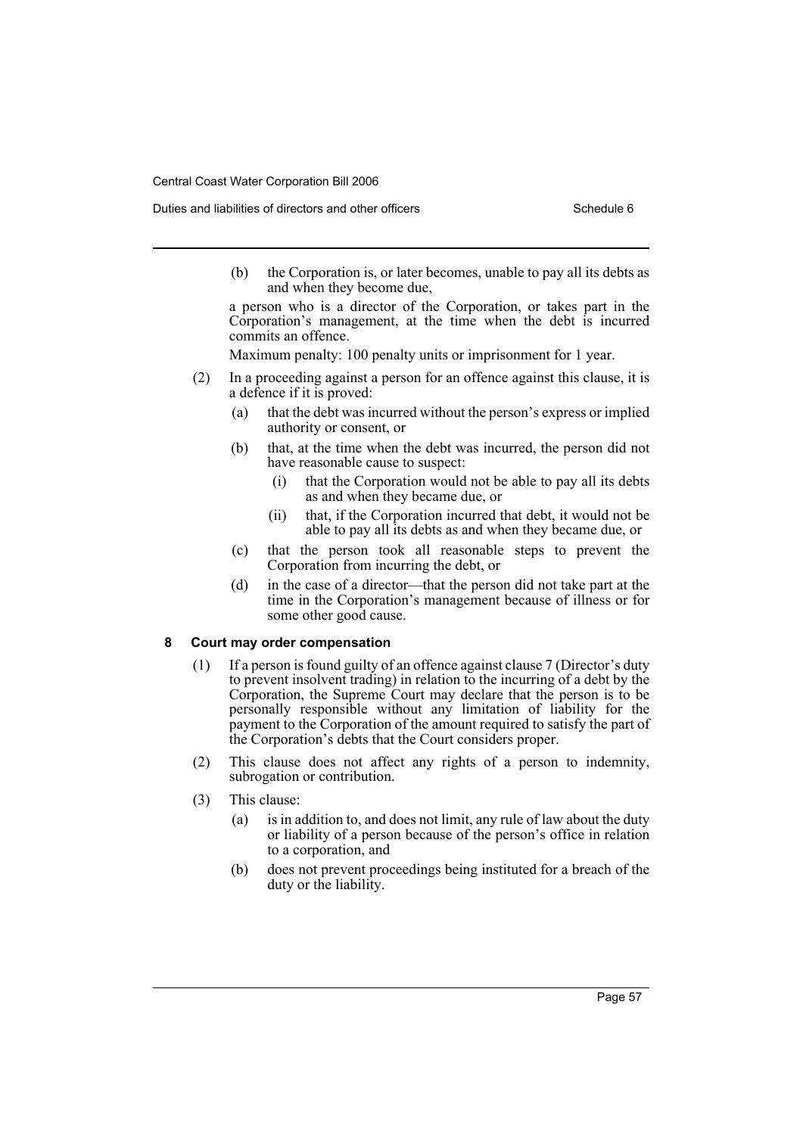Duties and liabilities of directors and other officers Schedule 6

(b) the Corporation is, or later becomes, unable to pay all its debts as and when they become due,

a person who is a director of the Corporation, or takes part in the Corporation's management, at the time when the debt is incurred commits an offence.

Maximum penalty: 100 penalty units or imprisonment for 1 year.

- (2) In a proceeding against a person for an offence against this clause, it is a defence if it is proved:
	- (a) that the debt was incurred without the person's express or implied authority or consent, or
	- (b) that, at the time when the debt was incurred, the person did not have reasonable cause to suspect:
		- (i) that the Corporation would not be able to pay all its debts as and when they became due, or
		- (ii) that, if the Corporation incurred that debt, it would not be able to pay all its debts as and when they became due, or
	- (c) that the person took all reasonable steps to prevent the Corporation from incurring the debt, or
	- (d) in the case of a director—that the person did not take part at the time in the Corporation's management because of illness or for some other good cause.

#### **8 Court may order compensation**

- (1) If a person is found guilty of an offence against clause 7 (Director's duty to prevent insolvent trading) in relation to the incurring of a debt by the Corporation, the Supreme Court may declare that the person is to be personally responsible without any limitation of liability for the payment to the Corporation of the amount required to satisfy the part of the Corporation's debts that the Court considers proper.
- (2) This clause does not affect any rights of a person to indemnity, subrogation or contribution.
- (3) This clause:
	- (a) is in addition to, and does not limit, any rule of law about the duty or liability of a person because of the person's office in relation to a corporation, and
	- (b) does not prevent proceedings being instituted for a breach of the duty or the liability.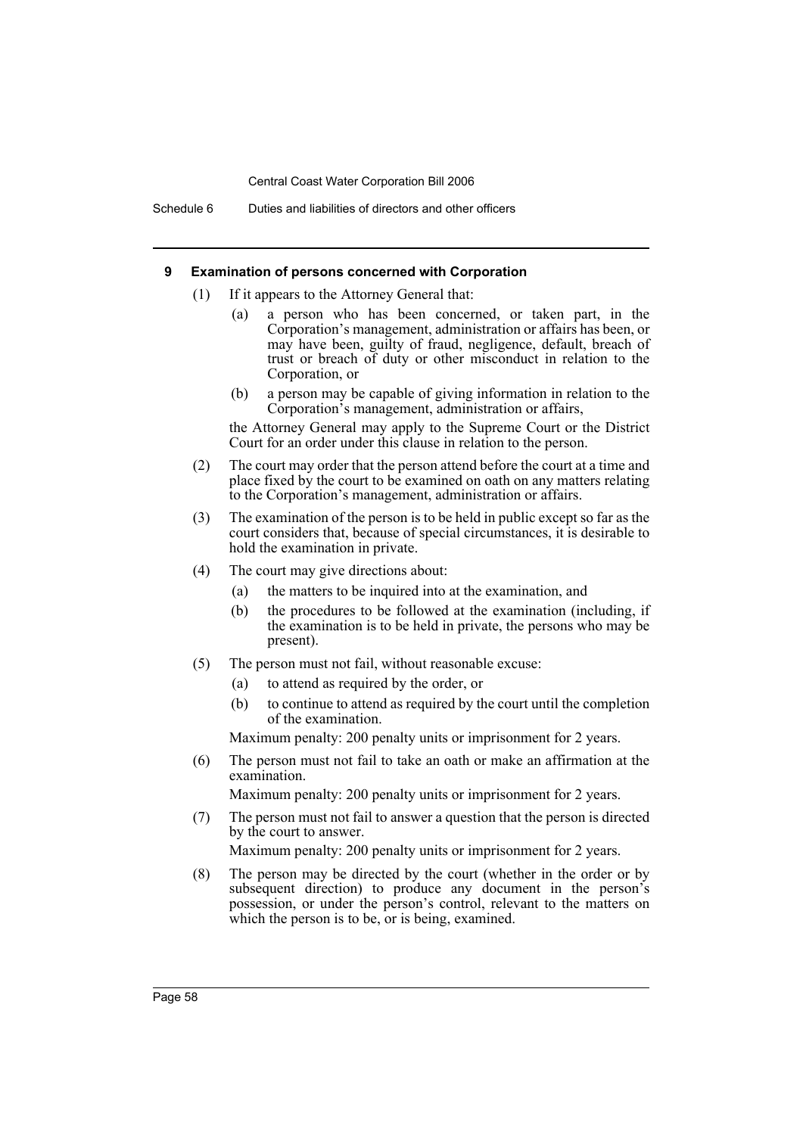Schedule 6 Duties and liabilities of directors and other officers

#### **9 Examination of persons concerned with Corporation**

- (1) If it appears to the Attorney General that:
	- (a) a person who has been concerned, or taken part, in the Corporation's management, administration or affairs has been, or may have been, guilty of fraud, negligence, default, breach of trust or breach of duty or other misconduct in relation to the Corporation, or
	- (b) a person may be capable of giving information in relation to the Corporation's management, administration or affairs,

the Attorney General may apply to the Supreme Court or the District Court for an order under this clause in relation to the person.

- (2) The court may order that the person attend before the court at a time and place fixed by the court to be examined on oath on any matters relating to the Corporation's management, administration or affairs.
- (3) The examination of the person is to be held in public except so far as the court considers that, because of special circumstances, it is desirable to hold the examination in private.
- (4) The court may give directions about:
	- (a) the matters to be inquired into at the examination, and
	- (b) the procedures to be followed at the examination (including, if the examination is to be held in private, the persons who may be present).
- (5) The person must not fail, without reasonable excuse:
	- (a) to attend as required by the order, or
	- (b) to continue to attend as required by the court until the completion of the examination.

Maximum penalty: 200 penalty units or imprisonment for 2 years.

(6) The person must not fail to take an oath or make an affirmation at the examination.

Maximum penalty: 200 penalty units or imprisonment for 2 years.

(7) The person must not fail to answer a question that the person is directed by the court to answer.

Maximum penalty: 200 penalty units or imprisonment for 2 years.

(8) The person may be directed by the court (whether in the order or by subsequent direction) to produce any document in the person's possession, or under the person's control, relevant to the matters on which the person is to be, or is being, examined.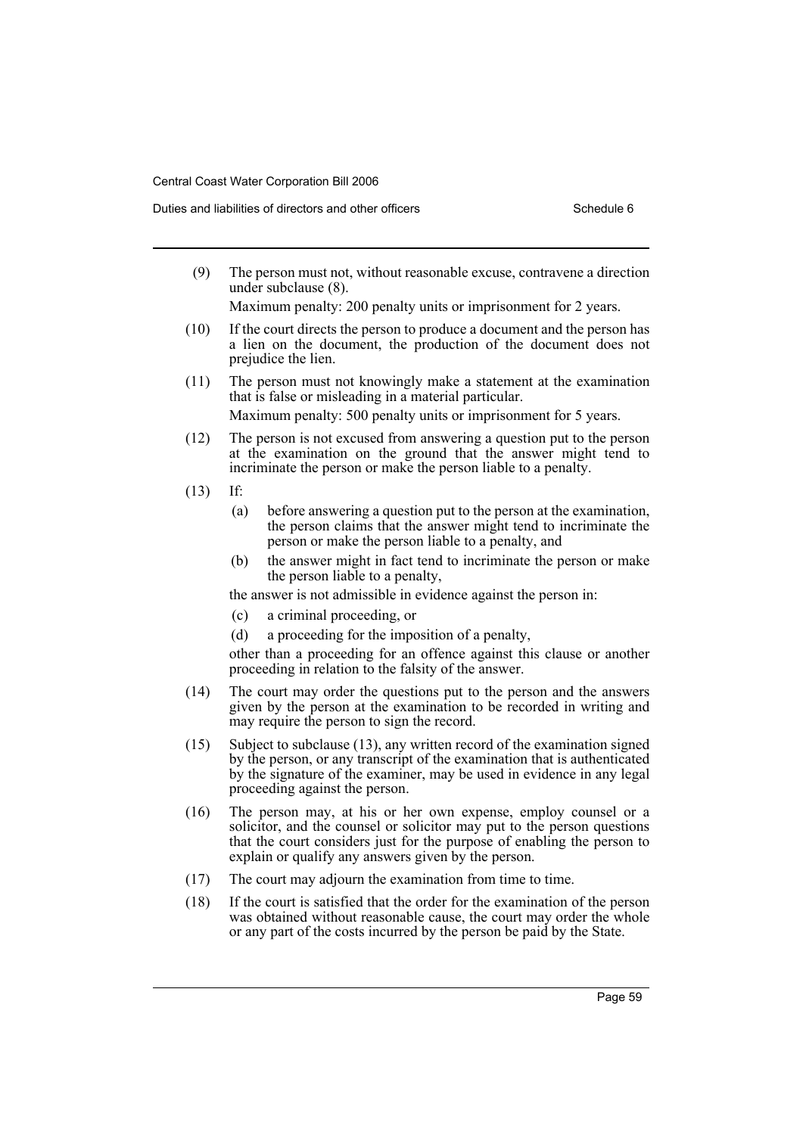Duties and liabilities of directors and other officers Schedule 6

(9) The person must not, without reasonable excuse, contravene a direction under subclause (8).

Maximum penalty: 200 penalty units or imprisonment for 2 years.

- (10) If the court directs the person to produce a document and the person has a lien on the document, the production of the document does not prejudice the lien.
- (11) The person must not knowingly make a statement at the examination that is false or misleading in a material particular.

Maximum penalty: 500 penalty units or imprisonment for 5 years.

- (12) The person is not excused from answering a question put to the person at the examination on the ground that the answer might tend to incriminate the person or make the person liable to a penalty.
- (13) If:
	- (a) before answering a question put to the person at the examination, the person claims that the answer might tend to incriminate the person or make the person liable to a penalty, and
	- (b) the answer might in fact tend to incriminate the person or make the person liable to a penalty,

the answer is not admissible in evidence against the person in:

- (c) a criminal proceeding, or
- (d) a proceeding for the imposition of a penalty,

other than a proceeding for an offence against this clause or another proceeding in relation to the falsity of the answer.

- (14) The court may order the questions put to the person and the answers given by the person at the examination to be recorded in writing and may require the person to sign the record.
- (15) Subject to subclause (13), any written record of the examination signed by the person, or any transcript of the examination that is authenticated by the signature of the examiner, may be used in evidence in any legal proceeding against the person.
- (16) The person may, at his or her own expense, employ counsel or a solicitor, and the counsel or solicitor may put to the person questions that the court considers just for the purpose of enabling the person to explain or qualify any answers given by the person.
- (17) The court may adjourn the examination from time to time.
- (18) If the court is satisfied that the order for the examination of the person was obtained without reasonable cause, the court may order the whole or any part of the costs incurred by the person be paid by the State.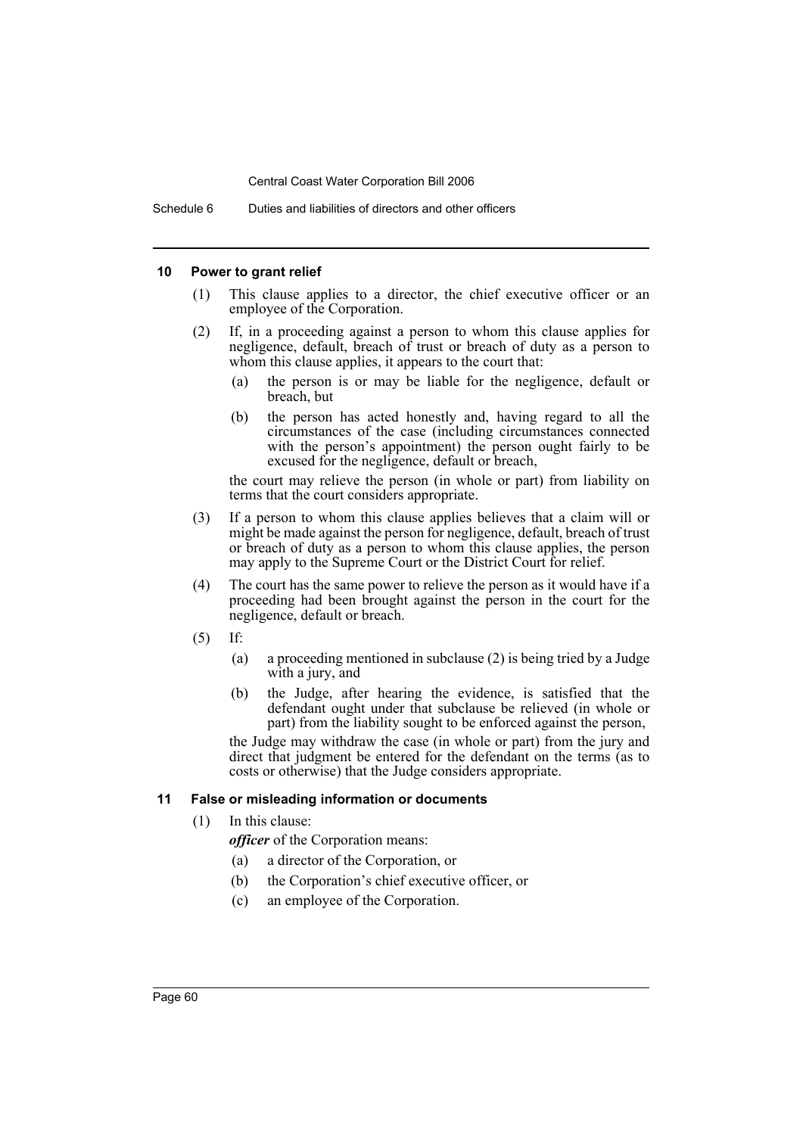Schedule 6 Duties and liabilities of directors and other officers

#### **10 Power to grant relief**

- (1) This clause applies to a director, the chief executive officer or an employee of the Corporation.
- (2) If, in a proceeding against a person to whom this clause applies for negligence, default, breach of trust or breach of duty as a person to whom this clause applies, it appears to the court that:
	- (a) the person is or may be liable for the negligence, default or breach, but
	- (b) the person has acted honestly and, having regard to all the circumstances of the case (including circumstances connected with the person's appointment) the person ought fairly to be excused for the negligence, default or breach,

the court may relieve the person (in whole or part) from liability on terms that the court considers appropriate.

- (3) If a person to whom this clause applies believes that a claim will or might be made against the person for negligence, default, breach of trust or breach of duty as a person to whom this clause applies, the person may apply to the Supreme Court or the District Court for relief.
- (4) The court has the same power to relieve the person as it would have if a proceeding had been brought against the person in the court for the negligence, default or breach.
- $(5)$  If:
	- (a) a proceeding mentioned in subclause (2) is being tried by a Judge with a jury, and
	- (b) the Judge, after hearing the evidence, is satisfied that the defendant ought under that subclause be relieved (in whole or part) from the liability sought to be enforced against the person,

the Judge may withdraw the case (in whole or part) from the jury and direct that judgment be entered for the defendant on the terms (as to costs or otherwise) that the Judge considers appropriate.

#### **11 False or misleading information or documents**

(1) In this clause:

*officer* of the Corporation means:

- (a) a director of the Corporation, or
- (b) the Corporation's chief executive officer, or
- (c) an employee of the Corporation.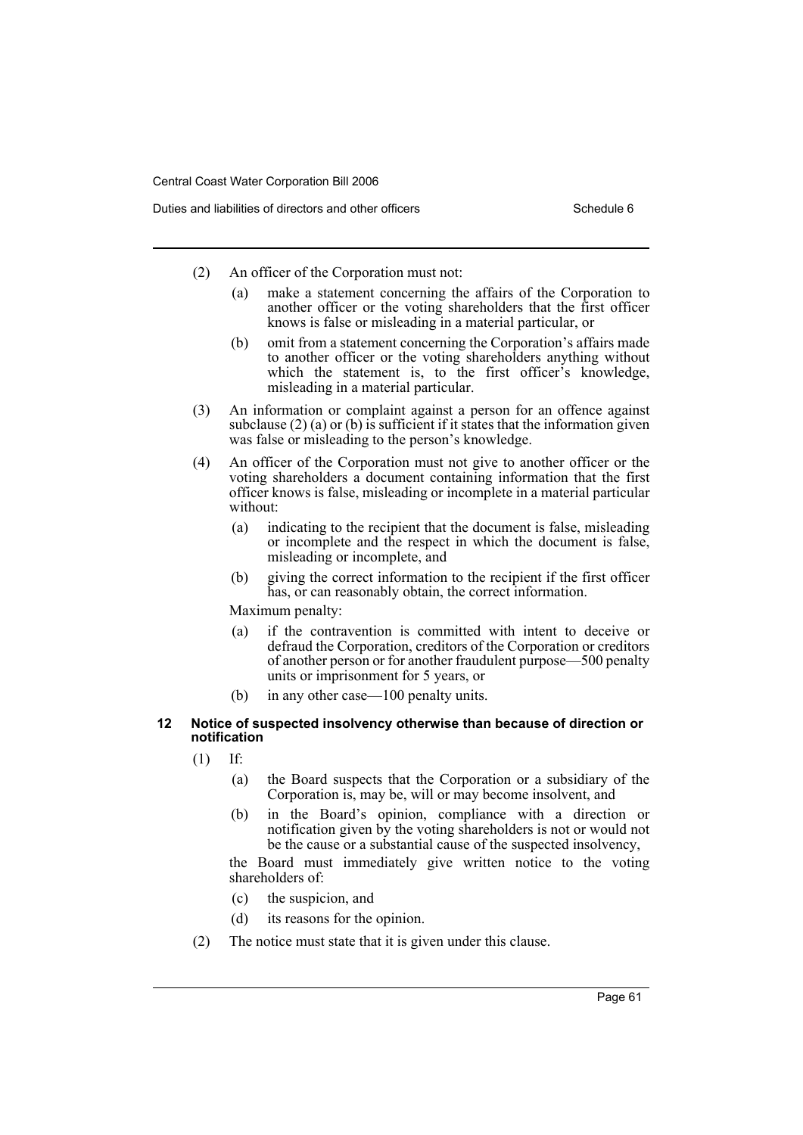- (2) An officer of the Corporation must not:
	- (a) make a statement concerning the affairs of the Corporation to another officer or the voting shareholders that the first officer knows is false or misleading in a material particular, or
	- (b) omit from a statement concerning the Corporation's affairs made to another officer or the voting shareholders anything without which the statement is, to the first officer's knowledge, misleading in a material particular.
- (3) An information or complaint against a person for an offence against subclause  $(2)$  (a) or (b) is sufficient if it states that the information given was false or misleading to the person's knowledge.
- (4) An officer of the Corporation must not give to another officer or the voting shareholders a document containing information that the first officer knows is false, misleading or incomplete in a material particular without:
	- (a) indicating to the recipient that the document is false, misleading or incomplete and the respect in which the document is false, misleading or incomplete, and
	- (b) giving the correct information to the recipient if the first officer has, or can reasonably obtain, the correct information.

Maximum penalty:

- (a) if the contravention is committed with intent to deceive or defraud the Corporation, creditors of the Corporation or creditors of another person or for another fraudulent purpose—500 penalty units or imprisonment for 5 years, or
- (b) in any other case—100 penalty units.

#### **12 Notice of suspected insolvency otherwise than because of direction or notification**

- (1) If:
	- (a) the Board suspects that the Corporation or a subsidiary of the Corporation is, may be, will or may become insolvent, and
	- (b) in the Board's opinion, compliance with a direction or notification given by the voting shareholders is not or would not be the cause or a substantial cause of the suspected insolvency,

the Board must immediately give written notice to the voting shareholders of:

- (c) the suspicion, and
- (d) its reasons for the opinion.
- (2) The notice must state that it is given under this clause.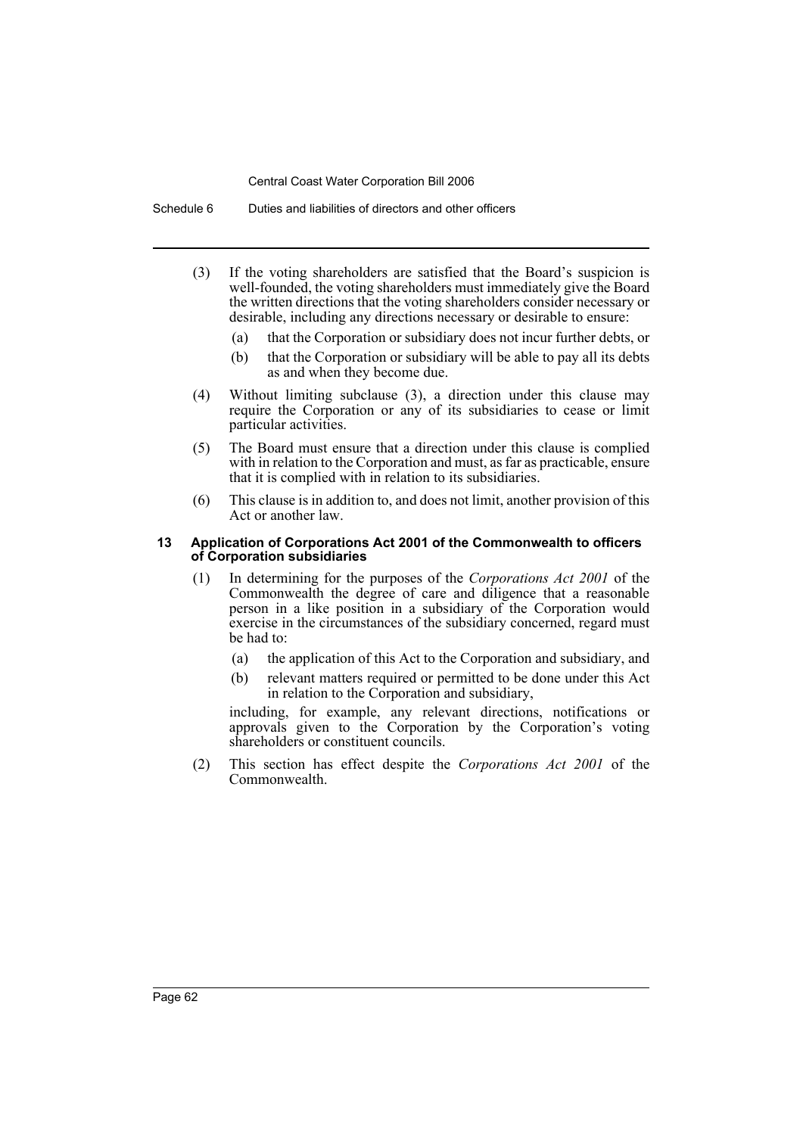Schedule 6 Duties and liabilities of directors and other officers

- (3) If the voting shareholders are satisfied that the Board's suspicion is well-founded, the voting shareholders must immediately give the Board the written directions that the voting shareholders consider necessary or desirable, including any directions necessary or desirable to ensure:
	- (a) that the Corporation or subsidiary does not incur further debts, or
	- (b) that the Corporation or subsidiary will be able to pay all its debts as and when they become due.
- (4) Without limiting subclause (3), a direction under this clause may require the Corporation or any of its subsidiaries to cease or limit particular activities.
- (5) The Board must ensure that a direction under this clause is complied with in relation to the Corporation and must, as far as practicable, ensure that it is complied with in relation to its subsidiaries.
- (6) This clause is in addition to, and does not limit, another provision of this Act or another law.

#### **13 Application of Corporations Act 2001 of the Commonwealth to officers of Corporation subsidiaries**

- (1) In determining for the purposes of the *Corporations Act 2001* of the Commonwealth the degree of care and diligence that a reasonable person in a like position in a subsidiary of the Corporation would exercise in the circumstances of the subsidiary concerned, regard must be had to:
	- (a) the application of this Act to the Corporation and subsidiary, and
	- (b) relevant matters required or permitted to be done under this Act in relation to the Corporation and subsidiary,

including, for example, any relevant directions, notifications or approvals given to the Corporation by the Corporation's voting shareholders or constituent councils.

(2) This section has effect despite the *Corporations Act 2001* of the Commonwealth.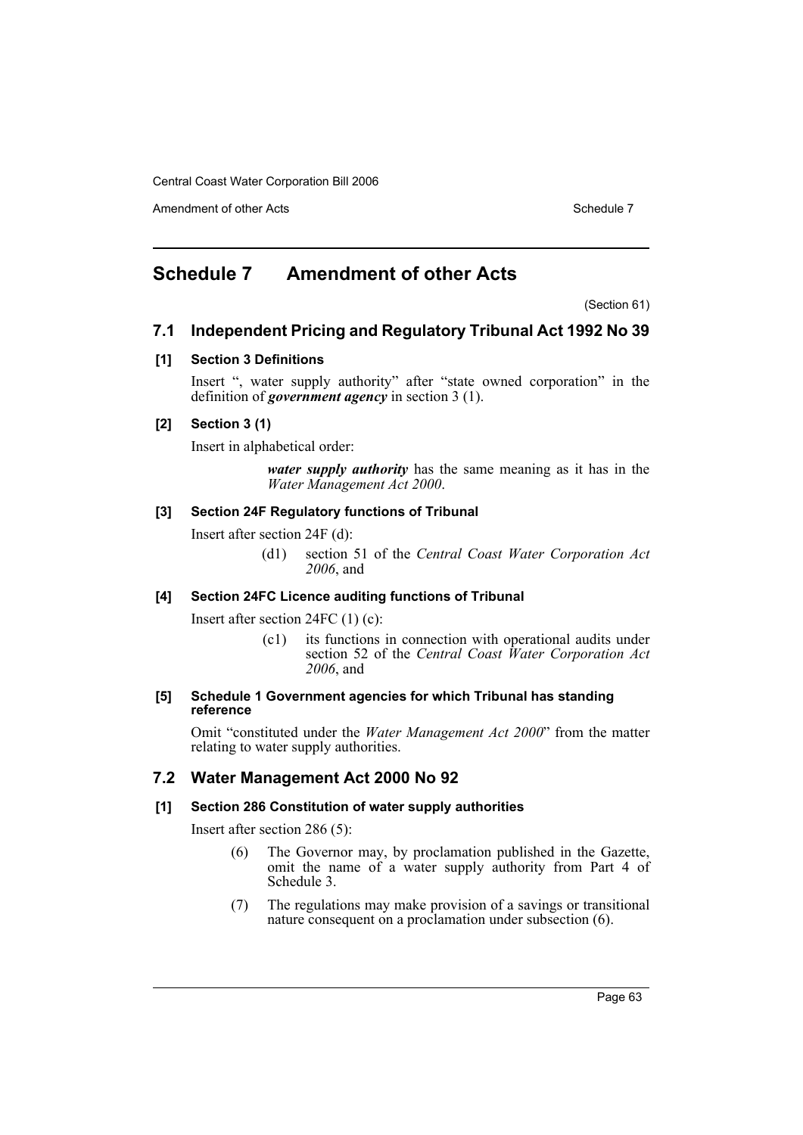Amendment of other Acts **Schedule 7** and the Acts Schedule 7

## <span id="page-65-0"></span>**Schedule 7 Amendment of other Acts**

(Section 61)

## **7.1 Independent Pricing and Regulatory Tribunal Act 1992 No 39**

#### **[1] Section 3 Definitions**

Insert ", water supply authority" after "state owned corporation" in the definition of *government agency* in section 3 (1).

### **[2] Section 3 (1)**

Insert in alphabetical order:

*water supply authority* has the same meaning as it has in the *Water Management Act 2000*.

### **[3] Section 24F Regulatory functions of Tribunal**

Insert after section 24F (d):

(d1) section 51 of the *Central Coast Water Corporation Act 2006*, and

## **[4] Section 24FC Licence auditing functions of Tribunal**

Insert after section 24FC (1) (c):

(c1) its functions in connection with operational audits under section 52 of the *Central Coast Water Corporation Act 2006*, and

#### **[5] Schedule 1 Government agencies for which Tribunal has standing reference**

Omit "constituted under the *Water Management Act 2000*" from the matter relating to water supply authorities.

## **7.2 Water Management Act 2000 No 92**

### **[1] Section 286 Constitution of water supply authorities**

Insert after section 286 (5):

- (6) The Governor may, by proclamation published in the Gazette, omit the name of a water supply authority from Part 4 of Schedule 3.
- (7) The regulations may make provision of a savings or transitional nature consequent on a proclamation under subsection (6).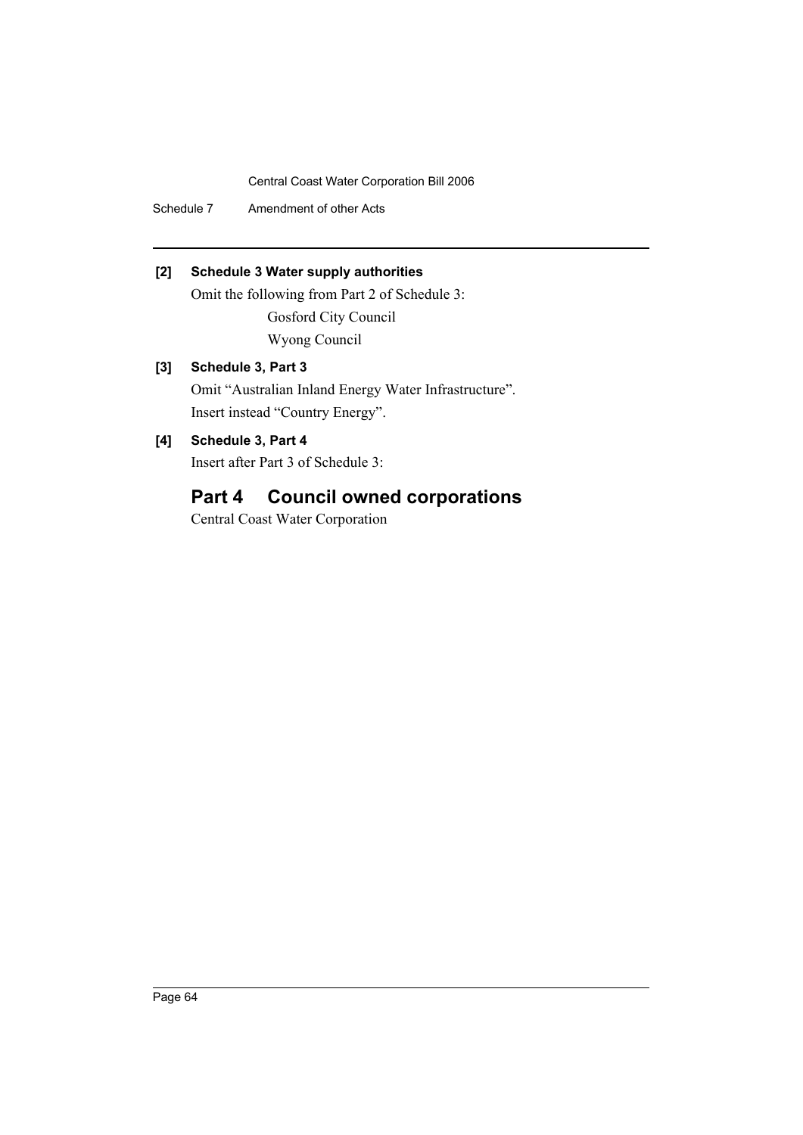Schedule 7 Amendment of other Acts

## **[2] Schedule 3 Water supply authorities**

Omit the following from Part 2 of Schedule 3: Gosford City Council Wyong Council

## **[3] Schedule 3, Part 3**

Omit "Australian Inland Energy Water Infrastructure". Insert instead "Country Energy".

## **[4] Schedule 3, Part 4**

Insert after Part 3 of Schedule 3:

## **Part 4 Council owned corporations**

Central Coast Water Corporation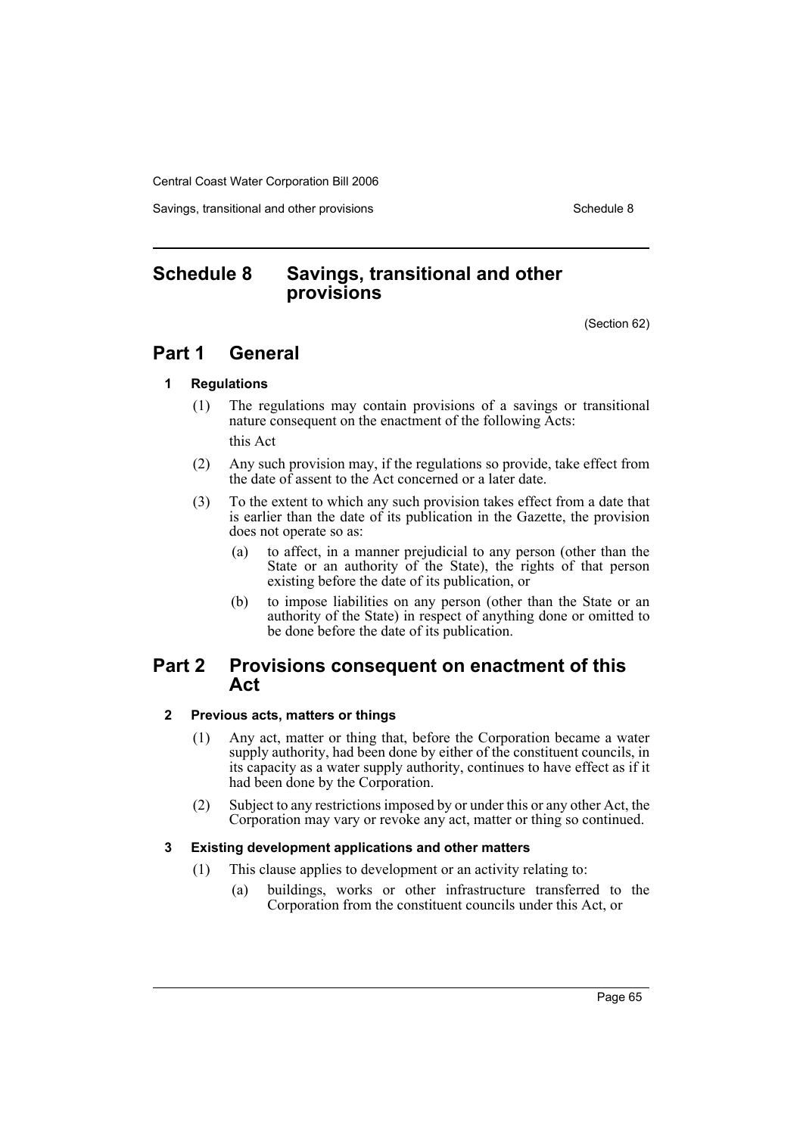Savings, transitional and other provisions Schedule 8 Schedule 8

## <span id="page-67-0"></span>**Schedule 8 Savings, transitional and other provisions**

(Section 62)

## **Part 1 General**

## **1 Regulations**

(1) The regulations may contain provisions of a savings or transitional nature consequent on the enactment of the following Acts:

this Act

- (2) Any such provision may, if the regulations so provide, take effect from the date of assent to the Act concerned or a later date.
- (3) To the extent to which any such provision takes effect from a date that is earlier than the date of its publication in the Gazette, the provision does not operate so as:
	- (a) to affect, in a manner prejudicial to any person (other than the State or an authority of the State), the rights of that person existing before the date of its publication, or
	- (b) to impose liabilities on any person (other than the State or an authority of the State) in respect of anything done or omitted to be done before the date of its publication.

## **Part 2 Provisions consequent on enactment of this Act**

## **2 Previous acts, matters or things**

- (1) Any act, matter or thing that, before the Corporation became a water supply authority, had been done by either of the constituent councils, in its capacity as a water supply authority, continues to have effect as if it had been done by the Corporation.
- (2) Subject to any restrictions imposed by or under this or any other Act, the Corporation may vary or revoke any act, matter or thing so continued.

## **3 Existing development applications and other matters**

- (1) This clause applies to development or an activity relating to:
	- (a) buildings, works or other infrastructure transferred to the Corporation from the constituent councils under this Act, or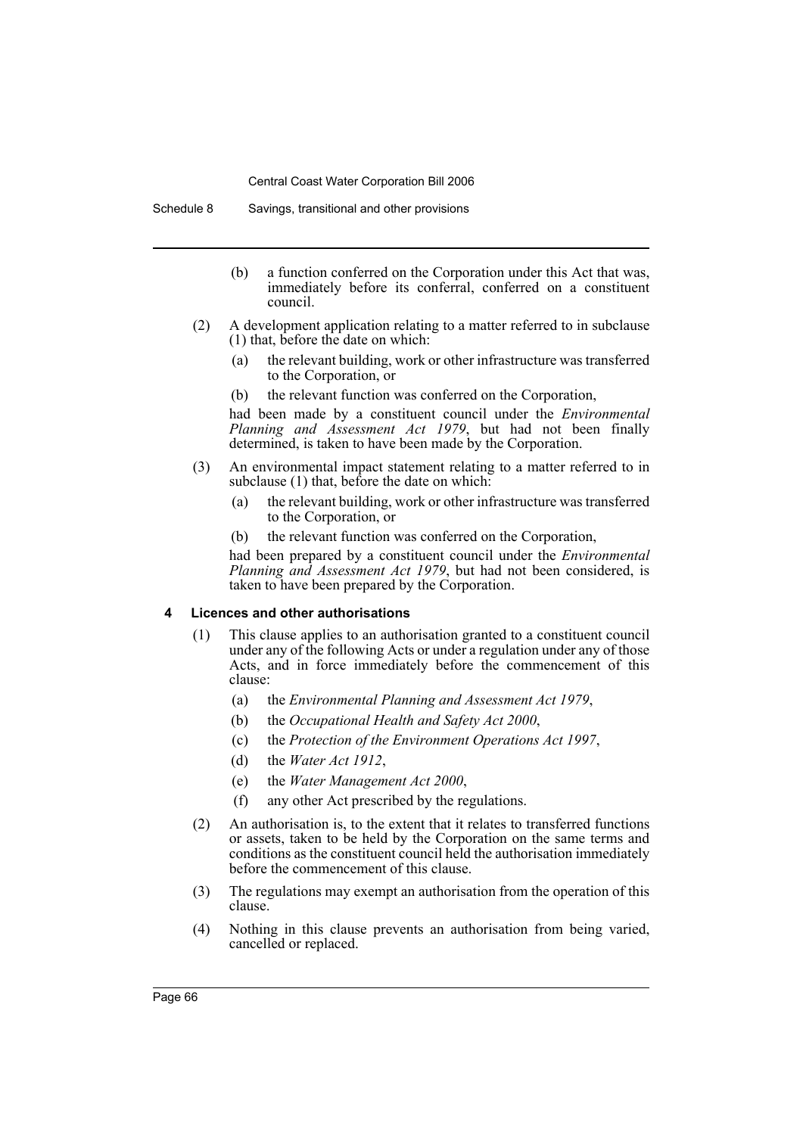Schedule 8 Savings, transitional and other provisions

- (b) a function conferred on the Corporation under this Act that was, immediately before its conferral, conferred on a constituent council.
- (2) A development application relating to a matter referred to in subclause (1) that, before the date on which:
	- (a) the relevant building, work or other infrastructure was transferred to the Corporation, or
	- (b) the relevant function was conferred on the Corporation,

had been made by a constituent council under the *Environmental Planning and Assessment Act 1979*, but had not been finally determined, is taken to have been made by the Corporation.

- (3) An environmental impact statement relating to a matter referred to in subclause (1) that, before the date on which:
	- (a) the relevant building, work or other infrastructure was transferred to the Corporation, or
	- (b) the relevant function was conferred on the Corporation,

had been prepared by a constituent council under the *Environmental Planning and Assessment Act 1979*, but had not been considered, is taken to have been prepared by the Corporation.

## **4 Licences and other authorisations**

- (1) This clause applies to an authorisation granted to a constituent council under any of the following Acts or under a regulation under any of those Acts, and in force immediately before the commencement of this clause:
	- (a) the *Environmental Planning and Assessment Act 1979*,
	- (b) the *Occupational Health and Safety Act 2000*,
	- (c) the *Protection of the Environment Operations Act 1997*,
	- (d) the *Water Act 1912*,
	- (e) the *Water Management Act 2000*,
	- (f) any other Act prescribed by the regulations.
- (2) An authorisation is, to the extent that it relates to transferred functions or assets, taken to be held by the Corporation on the same terms and conditions as the constituent council held the authorisation immediately before the commencement of this clause.
- (3) The regulations may exempt an authorisation from the operation of this clause.
- (4) Nothing in this clause prevents an authorisation from being varied, cancelled or replaced.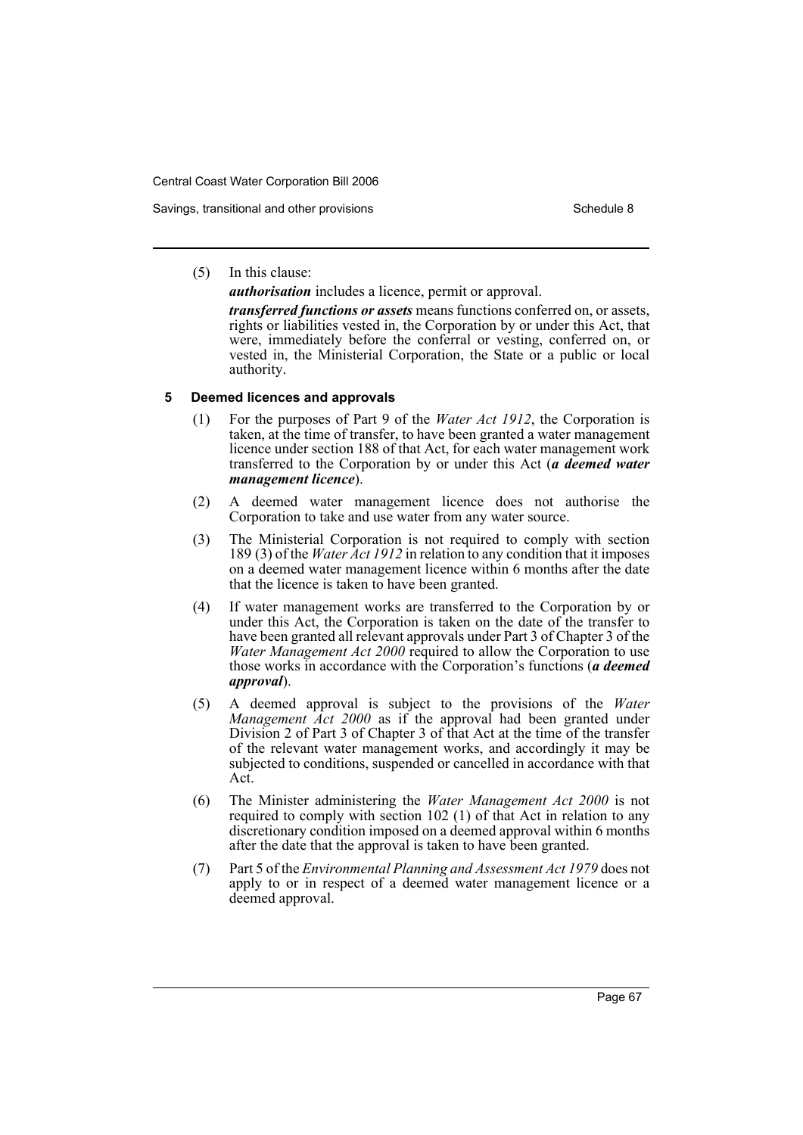Savings, transitional and other provisions Schedule 8 Schedule 8

#### (5) In this clause:

*authorisation* includes a licence, permit or approval.

*transferred functions or assets* means functions conferred on, or assets, rights or liabilities vested in, the Corporation by or under this Act, that were, immediately before the conferral or vesting, conferred on, or vested in, the Ministerial Corporation, the State or a public or local authority.

#### **5 Deemed licences and approvals**

- (1) For the purposes of Part 9 of the *Water Act 1912*, the Corporation is taken, at the time of transfer, to have been granted a water management licence under section 188 of that Act, for each water management work transferred to the Corporation by or under this Act (*a deemed water management licence*).
- (2) A deemed water management licence does not authorise the Corporation to take and use water from any water source.
- (3) The Ministerial Corporation is not required to comply with section 189 (3) of the *Water Act 1912* in relation to any condition that it imposes on a deemed water management licence within 6 months after the date that the licence is taken to have been granted.
- (4) If water management works are transferred to the Corporation by or under this Act, the Corporation is taken on the date of the transfer to have been granted all relevant approvals under Part 3 of Chapter 3 of the *Water Management Act 2000* required to allow the Corporation to use those works in accordance with the Corporation's functions (*a deemed approval*).
- (5) A deemed approval is subject to the provisions of the *Water Management Act 2000* as if the approval had been granted under Division 2 of Part 3 of Chapter 3 of that Act at the time of the transfer of the relevant water management works, and accordingly it may be subjected to conditions, suspended or cancelled in accordance with that Act.
- (6) The Minister administering the *Water Management Act 2000* is not required to comply with section 102 (1) of that Act in relation to any discretionary condition imposed on a deemed approval within 6 months after the date that the approval is taken to have been granted.
- (7) Part 5 of the *Environmental Planning and Assessment Act 1979* does not apply to or in respect of a deemed water management licence or a deemed approval.